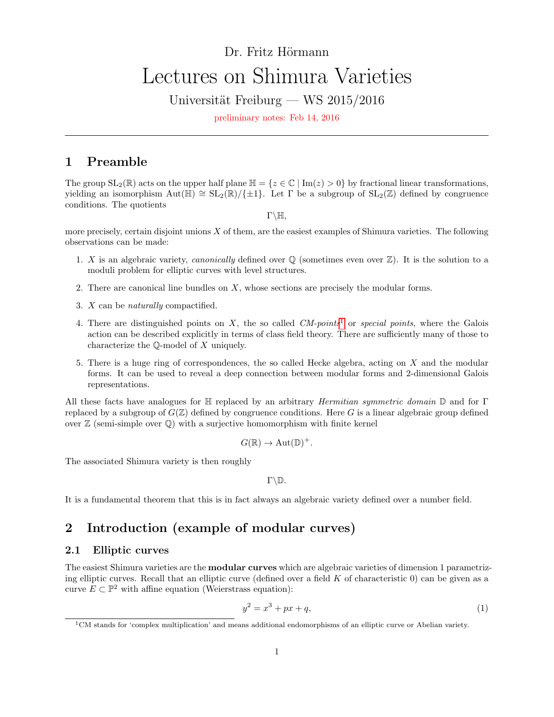# <span id="page-0-2"></span>Dr. Fritz Hörmann Lectures on Shimura Varieties

Universität Freiburg — WS  $2015/2016$ 

preliminary notes: Feb 14, 2016

# <span id="page-0-3"></span>1 Preamble

The group  $SL_2(\mathbb{R})$  acts on the upper half plane  $\mathbb{H} = \{z \in \mathbb{C} \mid \text{Im}(z) > 0\}$  by fractional linear transformations, yielding an isomorphism  $Aut(\mathbb{H}) \cong SL_2(\mathbb{R})/\{\pm 1\}$ . Let Γ be a subgroup of  $SL_2(\mathbb{Z})$  defined by congruence conditions. The quotients

 $\Gamma\backslash\mathbb{H},$ 

more precisely, certain disjoint unions  $X$  of them, are the easiest examples of Shimura varieties. The following observations can be made:

- 1. X is an algebraic variety, *canonically* defined over  $\mathbb{Q}$  (sometimes even over  $\mathbb{Z}$ ). It is the solution to a moduli problem for elliptic curves with level structures.
- 2. There are canonical line bundles on  $X$ , whose sections are precisely the modular forms.
- 3. X can be naturally compactified.
- 4. There are distinguished points on  $X$ , the so called  $CM$ -points<sup>[1](#page-0-0)</sup> or special points, where the Galois action can be described explicitly in terms of class field theory. There are sufficiently many of those to characterize the Q-model of X uniquely.
- 5. There is a huge ring of correspondences, the so called Hecke algebra, acting on X and the modular forms. It can be used to reveal a deep connection between modular forms and 2-dimensional Galois representations.

All these facts have analogues for  $\mathbb H$  replaced by an arbitrary *Hermitian symmetric domain*  $\mathbb D$  and for Γ replaced by a subgroup of  $G(\mathbb{Z})$  defined by congruence conditions. Here G is a linear algebraic group defined over  $\mathbb Z$  (semi-simple over  $\mathbb Q$ ) with a surjective homomorphism with finite kernel

$$
G(\mathbb{R}) \to \mathrm{Aut}(\mathbb{D})^+.
$$

The associated Shimura variety is then roughly

 $\Gamma\backslash\mathbb{D}$ .

It is a fundamental theorem that this is in fact always an algebraic variety defined over a number field.

# <span id="page-0-4"></span>2 Introduction (example of modular curves)

### <span id="page-0-5"></span>2.1 Elliptic curves

The easiest Shimura varieties are the modular curves which are algebraic varieties of dimension 1 parametrizing elliptic curves. Recall that an elliptic curve (defined over a field  $K$  of characteristic 0) can be given as a curve  $E \subset \mathbb{P}^2$  with affine equation (Weierstrass equation):

<span id="page-0-1"></span>
$$
y^2 = x^3 + px + q,\tag{1}
$$

<span id="page-0-0"></span><sup>1</sup>CM stands for 'complex multiplication' and means additional endomorphisms of an elliptic curve or Abelian variety.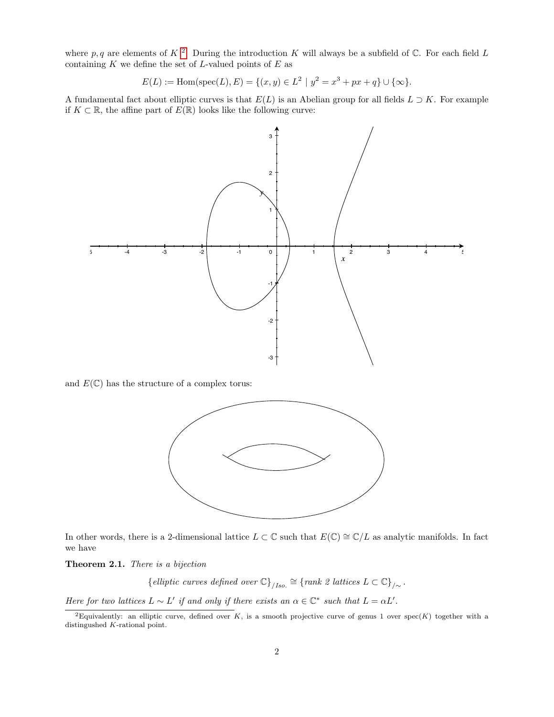where p, q are elements of K<sup>[2](#page-1-0)</sup>. During the introduction K will always be a subfield of C. For each field L containing  $K$  we define the set of  $L$ -valued points of  $E$  as

$$
E(L) := \text{Hom}(\text{spec}(L), E) = \{ (x, y) \in L^2 \mid y^2 = x^3 + px + q \} \cup \{ \infty \}.
$$

A fundamental fact about elliptic curves is that  $E(L)$  is an Abelian group for all fields  $L \supset K$ . For example if  $K ⊂ \mathbb{R}$ , the affine part of  $E(\mathbb{R})$  looks like the following curve:



and  $E(\mathbb{C})$  has the structure of a complex torus:



In other words, there is a 2-dimensional lattice  $L \subset \mathbb{C}$  such that  $E(\mathbb{C}) \cong \mathbb{C}/L$  as analytic manifolds. In fact we have

<span id="page-1-1"></span>Theorem 2.1. There is a bijection

{elliptic curves defined over  $\mathbb{C}$ }<sub>/Iso.</sub>  $\cong$  {rank 2 lattices  $L \subset \mathbb{C}$ }<sub>/∼</sub>.

Here for two lattices  $L \sim L'$  if and only if there exists an  $\alpha \in \mathbb{C}^*$  such that  $L = \alpha L'$ .

<span id="page-1-0"></span><sup>&</sup>lt;sup>2</sup>Equivalently: an elliptic curve, defined over K, is a smooth projective curve of genus 1 over spec(K) together with a distingushed K-rational point.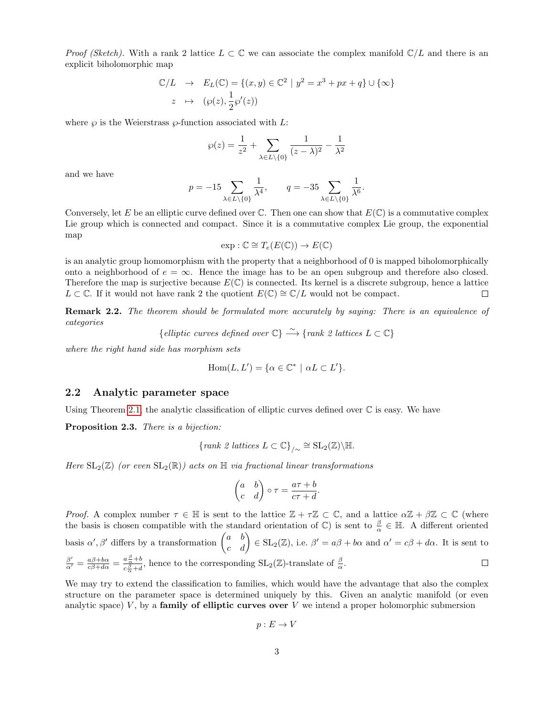*Proof (Sketch)*. With a rank 2 lattice  $L \subset \mathbb{C}$  we can associate the complex manifold  $\mathbb{C}/L$  and there is an explicit biholomorphic map

$$
\mathbb{C}/L \rightarrow E_L(\mathbb{C}) = \{(x, y) \in \mathbb{C}^2 \mid y^2 = x^3 + px + q\} \cup \{\infty\}
$$
  

$$
z \mapsto (\wp(z), \frac{1}{2}\wp'(z))
$$

where  $\wp$  is the Weierstrass  $\wp$ -function associated with L:

$$
\wp(z) = \frac{1}{z^2} + \sum_{\lambda \in L \setminus \{0\}} \frac{1}{(z - \lambda)^2} - \frac{1}{\lambda^2}
$$

and we have

$$
p = -15 \sum_{\lambda \in L \setminus \{0\}} \frac{1}{\lambda^4}, \qquad q = -35 \sum_{\lambda \in L \setminus \{0\}} \frac{1}{\lambda^6}.
$$

Conversely, let E be an elliptic curve defined over  $\mathbb C$ . Then one can show that  $E(\mathbb C)$  is a commutative complex Lie group which is connected and compact. Since it is a commutative complex Lie group, the exponential map

$$
\exp : \mathbb{C} \cong T_e(E(\mathbb{C})) \to E(\mathbb{C})
$$

is an analytic group homomorphism with the property that a neighborhood of 0 is mapped biholomorphically onto a neighborhood of  $e = \infty$ . Hence the image has to be an open subgroup and therefore also closed. Therefore the map is surjective because  $E(\mathbb{C})$  is connected. Its kernel is a discrete subgroup, hence a lattice  $L \subset \mathbb{C}$ . If it would not have rank 2 the quotient  $E(\mathbb{C}) \cong \mathbb{C}/L$  would not be compact.  $\Box$ 

**Remark 2.2.** The theorem should be formulated more accurately by saying: There is an equivalence of categories

{elliptic curves defined over 
$$
\mathbb{C}
$$
}  $\xrightarrow{\sim}$  {rank 2 lattices  $L \subset \mathbb{C}$ }

where the right hand side has morphism sets

$$
Hom(L, L') = \{ \alpha \in \mathbb{C}^* \mid \alpha L \subset L' \}.
$$

### <span id="page-2-0"></span>2.2 Analytic parameter space

Using Theorem [2.1,](#page-1-1) the analytic classification of elliptic curves defined over  $\mathbb C$  is easy. We have

Proposition 2.3. There is a bijection:

{rank 2 lattices 
$$
L \subset \mathbb{C}
$$
}<sub>/\sim</sub>  $\cong$  SL<sub>2</sub>( $\mathbb{Z}$ )\ $\setminus$   $\mathbb{H}$ .

Here  $SL_2(\mathbb{Z})$  (or even  $SL_2(\mathbb{R})$ ) acts on  $\mathbb{H}$  via fractional linear transformations

$$
\begin{pmatrix} a & b \\ c & d \end{pmatrix} \circ \tau = \frac{a\tau + b}{c\tau + d}.
$$

Proof. A complex number  $\tau \in \mathbb{H}$  is sent to the lattice  $\mathbb{Z} + \tau \mathbb{Z} \subset \mathbb{C}$ , and a lattice  $\alpha \mathbb{Z} + \beta \mathbb{Z} \subset \mathbb{C}$  (where the basis is chosen compatible with the standard orientation of  $\mathbb{C}$ ) is sent to  $\frac{\beta}{\alpha} \in \mathbb{H}$ . A different oriented basis  $\alpha', \beta'$  differs by a transformation  $\begin{pmatrix} a & b \\ c & d \end{pmatrix} \in SL_2(\mathbb{Z})$ , i.e.  $\beta' = a\beta + b\alpha$  and  $\alpha' = c\beta + d\alpha$ . It is sent to β  $\frac{\beta'}{\alpha'}=\frac{a\beta+b\alpha}{c\beta+d\alpha}=\frac{a\frac{\beta}{\alpha}+b}{c\frac{\beta}{\alpha}+d}$  $\frac{a\frac{\alpha}{\alpha}+b}{c\frac{\beta}{\alpha}+d}$ , hence to the corresponding  $SL_2(\mathbb{Z})$ -translate of  $\frac{\beta}{\alpha}$ .  $\Box$ 

We may try to extend the classification to families, which would have the advantage that also the complex structure on the parameter space is determined uniquely by this. Given an analytic manifold (or even analytic space)  $V$ , by a **family of elliptic curves over**  $V$  we intend a proper holomorphic submersion

$$
p:E\to V
$$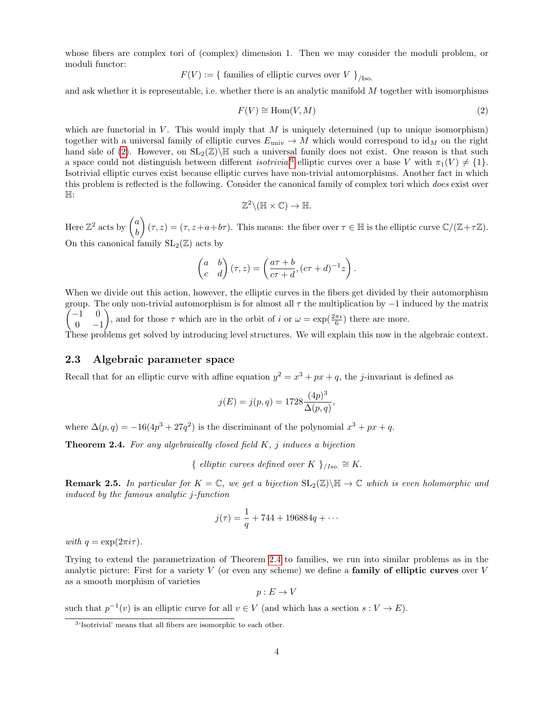whose fibers are complex tori of (complex) dimension 1. Then we may consider the moduli problem, or moduli functor:

$$
F(V) := \{ \text{ families of elliptic curves over } V \}_{/\text{Iso.}}
$$

and ask whether it is representable, i.e. whether there is an analytic manifold M together with isomorphisms

<span id="page-3-0"></span>
$$
F(V) \cong \text{Hom}(V, M) \tag{2}
$$

which are functorial in  $V$ . This would imply that  $M$  is uniquely determined (up to unique isomorphism) together with a universal family of elliptic curves  $E_{\text{univ}} \to M$  which would correspond to  $\mathrm{id}_M$  on the right hand side of [\(2\)](#page-3-0). However, on  $SL_2(\mathbb{Z})\backslash\mathbb{H}$  such a universal family does not exist. One reason is that such a space could not distinguish between different *isotrivial*<sup>[3](#page-3-1)</sup> elliptic curves over a base V with  $\pi_1(V) \neq \{1\}$ . Isotrivial elliptic curves exist because elliptic curves have non-trivial automorphisms. Another fact in which this problem is reflected is the following. Consider the canonical family of complex tori which does exist over H:

$$
\mathbb{Z}^2 \backslash (\mathbb{H} \times \mathbb{C}) \to \mathbb{H}.
$$

Here  $\mathbb{Z}^2$  acts by  $\begin{pmatrix} a & b \\ c & d \end{pmatrix}$ b  $(\tau, z) = (\tau, z + a + b\tau)$ . This means: the fiber over  $\tau \in \mathbb{H}$  is the elliptic curve  $\mathbb{C}/(\mathbb{Z}+\tau\mathbb{Z})$ . On this canonical family  $SL_2(\mathbb{Z})$  acts by

$$
\begin{pmatrix} a & b \\ c & d \end{pmatrix} (\tau, z) = \left( \frac{a \tau + b}{c \tau + d}, (c \tau + d)^{-1} z \right).
$$

When we divide out this action, however, the elliptic curves in the fibers get divided by their automorphism  $\sqrt{ }$ group. The only non-trivial automorphism is for almost all  $\tau$  the multiplication by  $-1$  induced by the matrix −1 0  $0 -1$ ), and for those  $\tau$  which are in the orbit of i or  $\omega = \exp(\frac{2\pi i}{6})$  there are more.

These problems get solved by introducing level structures. We will explain this now in the algebraic context.

### <span id="page-3-3"></span>2.3 Algebraic parameter space

Recall that for an elliptic curve with affine equation  $y^2 = x^3 + px + q$ , the *j*-invariant is defined as

$$
j(E) = j(p, q) = 1728 \frac{(4p)^3}{\Delta(p, q)},
$$

where  $\Delta(p,q) = -16(4p^3 + 27q^2)$  is the discriminant of the polynomial  $x^3 + px + q$ .

<span id="page-3-2"></span>**Theorem 2.4.** For any algebraically closed field  $K$ ,  $j$  induces a bijection

{ elliptic curves defined over K }<sub>/Iso.</sub>  $\cong$  K.

**Remark 2.5.** In particular for  $K = \mathbb{C}$ , we get a bijection  $SL_2(\mathbb{Z})\backslash\mathbb{H} \to \mathbb{C}$  which is even holomorphic and induced by the famous analytic j-function

$$
j(\tau) = \frac{1}{q} + 744 + 196884q + \cdots
$$

with  $q = \exp(2\pi i \tau)$ .

Trying to extend the parametrization of Theorem [2.4](#page-3-2) to families, we run into similar problems as in the analytic picture: First for a variety  $V$  (or even any scheme) we define a **family of elliptic curves** over  $V$ as a smooth morphism of varieties

 $p: E \to V$ 

such that  $p^{-1}(v)$  is an elliptic curve for all  $v \in V$  (and which has a section  $s: V \to E$ ).

<span id="page-3-1"></span><sup>3</sup> 'Isotrivial' means that all fibers are isomorphic to each other.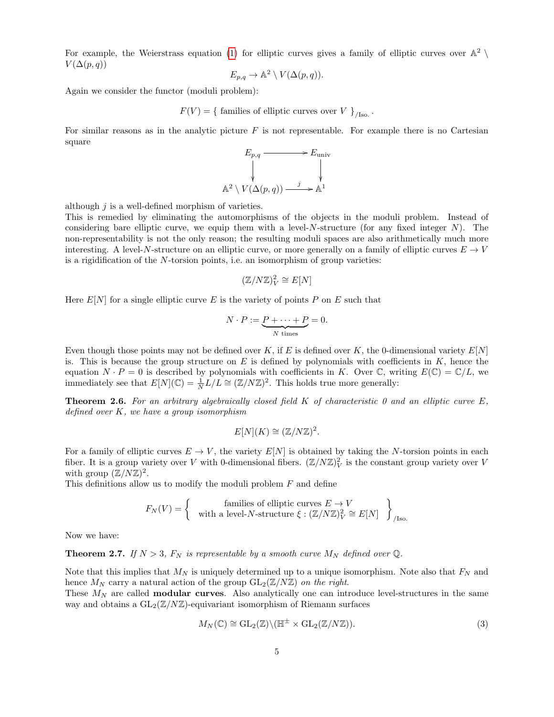For example, the Weierstrass equation [\(1\)](#page-0-1) for elliptic curves gives a family of elliptic curves over  $\mathbb{A}^2$  $V(\Delta(p,q))$ 

$$
E_{p,q} \to \mathbb{A}^2 \setminus V(\Delta(p,q)).
$$

Again we consider the functor (moduli problem):

 $F(V) = \{$  families of elliptic curves over V  $\}_{/Iso}$ .

For similar reasons as in the analytic picture  $F$  is not representable. For example there is no Cartesian square

$$
E_{p,q} \longrightarrow E_{\text{univ}}
$$
  
\n
$$
\downarrow
$$
  
\n
$$
\downarrow
$$
  
\n
$$
\downarrow
$$
  
\n
$$
\downarrow
$$
  
\n
$$
\downarrow
$$
  
\n
$$
\downarrow
$$
  
\n
$$
\downarrow
$$
  
\n
$$
\downarrow
$$
  
\n
$$
\downarrow
$$
  
\n
$$
\downarrow
$$
  
\n
$$
\downarrow
$$
  
\n
$$
\downarrow
$$
  
\n
$$
\downarrow
$$
  
\n
$$
\downarrow
$$
  
\n
$$
\downarrow
$$
  
\n
$$
\downarrow
$$
  
\n
$$
\downarrow
$$
  
\n
$$
\downarrow
$$
  
\n
$$
\downarrow
$$
  
\n
$$
\downarrow
$$
  
\n
$$
\downarrow
$$
  
\n
$$
\downarrow
$$
  
\n
$$
\downarrow
$$
  
\n
$$
\downarrow
$$
  
\n
$$
\downarrow
$$
  
\n
$$
\downarrow
$$
  
\n
$$
\downarrow
$$
  
\n
$$
\downarrow
$$
  
\n
$$
\downarrow
$$
  
\n
$$
\downarrow
$$
  
\n
$$
\downarrow
$$
  
\n
$$
\downarrow
$$
  
\n
$$
\downarrow
$$
  
\n
$$
\downarrow
$$
  
\n
$$
\downarrow
$$

although  $j$  is a well-defined morphism of varieties.

This is remedied by eliminating the automorphisms of the objects in the moduli problem. Instead of considering bare elliptic curve, we equip them with a level- $N$ -structure (for any fixed integer  $N$ ). The non-representability is not the only reason; the resulting moduli spaces are also arithmetically much more interesting. A level-N-structure on an elliptic curve, or more generally on a family of elliptic curves  $E \to V$ is a rigidification of the N-torsion points, i.e. an isomorphism of group varieties:

$$
(\mathbb{Z}/N\mathbb{Z})_V^2 \cong E[N]
$$

Here  $E[N]$  for a single elliptic curve E is the variety of points P on E such that

A

$$
N \cdot P := \underbrace{P + \dots + P}_{N \text{ times}} = 0.
$$

Even though those points may not be defined over K, if E is defined over K, the 0-dimensional variety  $E[N]$ is. This is because the group structure on  $E$  is defined by polynomials with coefficients in  $K$ , hence the equation  $N \cdot P = 0$  is described by polynomials with coefficients in K. Over  $\mathbb{C}$ , writing  $E(\mathbb{C}) = \mathbb{C}/L$ , we immediately see that  $E[N](\mathbb{C}) = \frac{1}{N}L/L \cong (\mathbb{Z}/N\mathbb{Z})^2$ . This holds true more generally:

**Theorem 2.6.** For an arbitrary algebraically closed field  $K$  of characteristic 0 and an elliptic curve  $E$ , defined over  $K$ , we have a group isomorphism

$$
E[N](K) \cong (\mathbb{Z}/N\mathbb{Z})^2.
$$

For a family of elliptic curves  $E \to V$ , the variety  $E[N]$  is obtained by taking the N-torsion points in each fiber. It is a group variety over V with 0-dimensional fibers.  $(\mathbb{Z}/N\mathbb{Z})_V^2$  is the constant group variety over V with group  $(\mathbb{Z}/N\mathbb{Z})^2$ .

This definitions allow us to modify the moduli problem F and define

$$
F_N(V) = \left\{ \begin{array}{c} \text{families of elliptic curves } E \to V \\ \text{with a level-}N\text{-structure } \xi : (\mathbb{Z}/N\mathbb{Z})_V^2 \cong E[N] \end{array} \right\}_{/\text{Iso.}}
$$

Now we have:

<span id="page-4-1"></span>**Theorem 2.7.** If  $N > 3$ ,  $F_N$  is representable by a smooth curve  $M_N$  defined over  $\mathbb{Q}$ .

Note that this implies that  $M_N$  is uniquely determined up to a unique isomorphism. Note also that  $F_N$  and hence  $M_N$  carry a natural action of the group  $GL_2(\mathbb{Z}/N\mathbb{Z})$  on the right.

These  $M_N$  are called **modular curves**. Also analytically one can introduce level-structures in the same way and obtains a  $GL_2(\mathbb{Z}/N\mathbb{Z})$ -equivariant isomorphism of Riemann surfaces

<span id="page-4-0"></span>
$$
M_N(\mathbb{C}) \cong \mathrm{GL}_2(\mathbb{Z}) \backslash (\mathbb{H}^{\pm} \times \mathrm{GL}_2(\mathbb{Z}/N\mathbb{Z})).
$$
\n(3)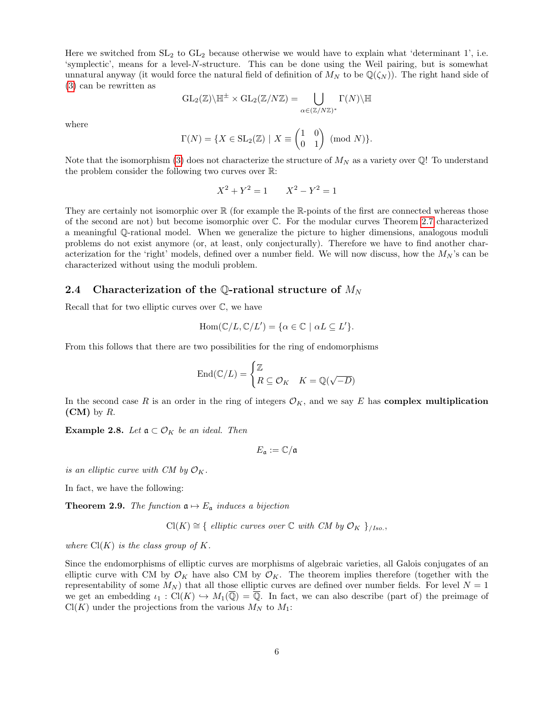Here we switched from  $SL_2$  to  $GL_2$  because otherwise we would have to explain what 'determinant 1', i.e. 'symplectic', means for a level-N-structure. This can be done using the Weil pairing, but is somewhat unnatural anyway (it would force the natural field of definition of  $M_N$  to be  $\mathbb{Q}(\zeta_N)$ ). The right hand side of [\(3\)](#page-4-0) can be rewritten as

$$
\operatorname{GL}_2(\mathbb{Z})\backslash \mathbb{H}^\pm \times \operatorname{GL}_2(\mathbb{Z}/N\mathbb{Z}) = \bigcup_{\alpha \in (\mathbb{Z}/N\mathbb{Z})^*} \Gamma(N) \backslash \mathbb{H}
$$

where

$$
\Gamma(N) = \{ X \in SL_2(\mathbb{Z}) \mid X \equiv \begin{pmatrix} 1 & 0 \\ 0 & 1 \end{pmatrix} \pmod{N} \}.
$$

Note that the isomorphism [\(3\)](#page-4-0) does not characterize the structure of  $M_N$  as a variety over  $\mathbb{Q}!$  To understand the problem consider the following two curves over R:

$$
X^2 + Y^2 = 1 \qquad X^2 - Y^2 = 1
$$

They are certainly not isomorphic over  $\mathbb R$  (for example the R-points of the first are connected whereas those of the second are not) but become isomorphic over C. For the modular curves Theorem [2.7](#page-4-1) characterized a meaningful Q-rational model. When we generalize the picture to higher dimensions, analogous moduli problems do not exist anymore (or, at least, only conjecturally). Therefore we have to find another characterization for the 'right' models, defined over a number field. We will now discuss, how the  $M_N$ 's can be characterized without using the moduli problem.

### <span id="page-5-0"></span>2.4 Characterization of the Q-rational structure of  $M_N$

Recall that for two elliptic curves over  $\mathbb{C}$ , we have

$$
Hom(\mathbb{C}/L,\mathbb{C}/L') = \{ \alpha \in \mathbb{C} \mid \alpha L \subseteq L' \}.
$$

From this follows that there are two possibilities for the ring of endomorphisms

$$
\operatorname{End}({\mathbb C}/L) = \begin{cases} {\mathbb Z} \\ R \subseteq {\mathcal O}_K & K = {\mathbb Q}(\sqrt{-D}) \end{cases}
$$

In the second case R is an order in the ring of integers  $\mathcal{O}_K$ , and we say E has **complex multiplication**  $(CM)$  by R.

Example 2.8. Let  $\mathfrak{a} \subset \mathcal{O}_K$  be an ideal. Then

$$
E_{\mathfrak{a}}:=\mathbb{C}/\mathfrak{a}
$$

is an elliptic curve with CM by  $\mathcal{O}_K$ .

In fact, we have the following:

**Theorem 2.9.** The function  $\mathfrak{a} \mapsto E_{\mathfrak{a}}$  induces a bijection

 $Cl(K) \cong \{ \text{ elliptic curves over } \mathbb{C} \text{ with } CM \text{ by } \mathcal{O}_K \}_{/Iso}$ ,

where  $Cl(K)$  is the class group of K.

Since the endomorphisms of elliptic curves are morphisms of algebraic varieties, all Galois conjugates of an elliptic curve with CM by  $\mathcal{O}_K$  have also CM by  $\mathcal{O}_K$ . The theorem implies therefore (together with the representability of some  $M_N$ ) that all those elliptic curves are defined over number fields. For level  $N = 1$ we get an embedding  $\iota_1 : \mathrm{Cl}(K) \hookrightarrow M_1(\overline{\mathbb{Q}}) = \overline{\mathbb{Q}}$ . In fact, we can also describe (part of) the preimage of  $Cl(K)$  under the projections from the various  $M_N$  to  $M_1$ :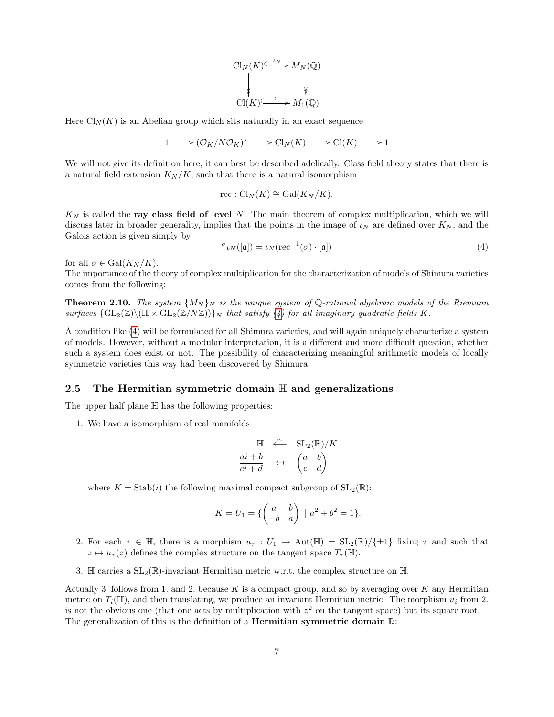$$
\begin{CD} \mathrm{Cl}_N(K)^{\underbrace{\smash{\leftarrow_{N}^{\mathbb{L}_N}}}\!\!} \rightarrow M_N(\overline{\mathbb{Q}})}\\ \Downarrow\\ \mathrm{Cl}(K)^{\underbrace{\smash{\leftarrow_{\smash{\scriptscriptstyle{L_1}^{\mathbb{L}_1}}}}}\!\!} \rightarrow M_1(\overline{\mathbb{Q}})} \end{CD}
$$

Here  $\text{Cl}_N(K)$  is an Abelian group which sits naturally in an exact sequence

$$
1 \longrightarrow (\mathcal{O}_K/N\mathcal{O}_K)^* \longrightarrow \mathrm{Cl}_N(K) \longrightarrow \mathrm{Cl}(K) \longrightarrow 1
$$

We will not give its definition here, it can best be described adelically. Class field theory states that there is a natural field extension  $K_N/K$ , such that there is a natural isomorphism

$$
rec: Cl_N(K) \cong Gal(K_N/K).
$$

 $K_N$  is called the ray class field of level N. The main theorem of complex multiplication, which we will discuss later in broader generality, implies that the points in the image of  $\iota_N$  are defined over  $K_N$ , and the Galois action is given simply by

<span id="page-6-0"></span>
$$
\sigma_{l}(\mathfrak{[a]}) = \iota_N(\text{rec}^{-1}(\sigma) \cdot [\mathfrak{a}]) \tag{4}
$$

for all  $\sigma \in \text{Gal}(K_N/K)$ .

The importance of the theory of complex multiplication for the characterization of models of Shimura varieties comes from the following:

<span id="page-6-1"></span>**Theorem 2.10.** The system  $\{M_N\}_N$  is the unique system of Q-rational algebraic models of the Riemann surfaces  $\{GL_2(\mathbb{Z})\setminus (\mathbb{H} \times GL_2(\mathbb{Z}/N\mathbb{Z}))\}\$ <sub>N</sub> that satisfy [\(4\)](#page-6-0) for all imaginary quadratic fields K.

A condition like [\(4\)](#page-6-0) will be formulated for all Shimura varieties, and will again uniquely characterize a system of models. However, without a modular interpretation, it is a different and more difficult question, whether such a system does exist or not. The possibility of characterizing meaningful arithmetic models of locally symmetric varieties this way had been discovered by Shimura.

### <span id="page-6-2"></span>2.5 The Hermitian symmetric domain  $\mathbb H$  and generalizations

The upper half plane  $\mathbb H$  has the following properties:

1. We have a isomorphism of real manifolds

$$
\begin{array}{ccc}\n\mathbb{H} & \stackrel{\sim}{\longleftarrow} & \text{SL}_2(\mathbb{R})/K \\
\frac{ai+b}{ci+d} & \leftarrow & \begin{pmatrix} a & b \\ c & d \end{pmatrix}\n\end{array}
$$

where  $K = \text{Stab}(i)$  the following maximal compact subgroup of  $SL_2(\mathbb{R})$ :

$$
K = U_1 = \{ \begin{pmatrix} a & b \\ -b & a \end{pmatrix} \mid a^2 + b^2 = 1 \}.
$$

- 2. For each  $\tau \in \mathbb{H}$ , there is a morphism  $u_{\tau}: U_1 \to \text{Aut}(\mathbb{H}) = SL_2(\mathbb{R})/\{\pm 1\}$  fixing  $\tau$  and such that  $z \mapsto u_{\tau}(z)$  defines the complex structure on the tangent space  $T_{\tau}(\mathbb{H})$ .
- 3. H carries a  $SL_2(\mathbb{R})$ -invariant Hermitian metric w.r.t. the complex structure on H.

Actually 3. follows from 1. and 2. because  $K$  is a compact group, and so by averaging over  $K$  any Hermitian metric on  $T_i(\mathbb{H})$ , and then translating, we produce an invariant Hermitian metric. The morphism  $u_i$  from 2. is not the obvious one (that one acts by multiplication with  $z^2$  on the tangent space) but its square root. The generalization of this is the definition of a **Hermitian symmetric domain**  $\mathbb{D}$ :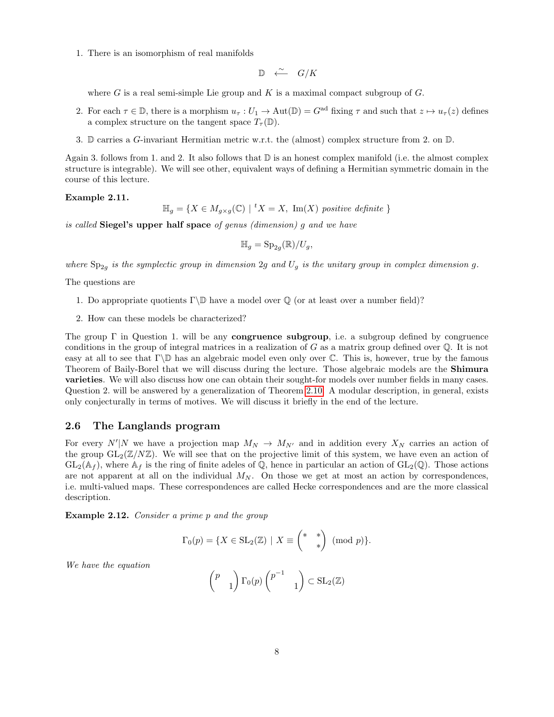1. There is an isomorphism of real manifolds

$$
\mathbb{D} \quad \xleftarrow{\sim} \quad G/K
$$

where G is a real semi-simple Lie group and K is a maximal compact subgroup of  $G$ .

- 2. For each  $\tau \in \mathbb{D}$ , there is a morphism  $u_{\tau}: U_1 \to \text{Aut}(\mathbb{D}) = G^{\text{ad}}$  fixing  $\tau$  and such that  $z \mapsto u_{\tau}(z)$  defines a complex structure on the tangent space  $T_{\tau}(\mathbb{D})$ .
- 3. D carries a G-invariant Hermitian metric w.r.t. the (almost) complex structure from 2. on  $\mathbb{D}$ .

Again 3. follows from 1. and 2. It also follows that  $\mathbb D$  is an honest complex manifold (i.e. the almost complex structure is integrable). We will see other, equivalent ways of defining a Hermitian symmetric domain in the course of this lecture.

#### Example 2.11.

$$
\mathbb{H}_g = \{ X \in M_{g \times g}(\mathbb{C}) \mid {}^t X = X, \text{ Im}(X) \text{ positive definite } \}
$$

is called Siegel's upper half space of genus (dimension) g and we have

$$
\mathbb{H}_g = \mathrm{Sp}_{2g}(\mathbb{R})/U_g,
$$

where  $Sp_{2g}$  is the symplectic group in dimension 2g and  $U_g$  is the unitary group in complex dimension g.

The questions are

- 1. Do appropriate quotients  $\Gamma\backslash\mathbb{D}$  have a model over  $\mathbb{Q}$  (or at least over a number field)?
- 2. How can these models be characterized?

The group  $\Gamma$  in Question 1. will be any **congruence subgroup**, i.e. a subgroup defined by congruence conditions in the group of integral matrices in a realization of  $G$  as a matrix group defined over  $\mathbb Q$ . It is not easy at all to see that  $\Gamma\backslash\mathbb{D}$  has an algebraic model even only over  $\mathbb{C}$ . This is, however, true by the famous Theorem of Baily-Borel that we will discuss during the lecture. Those algebraic models are the Shimura varieties. We will also discuss how one can obtain their sought-for models over number fields in many cases. Question 2. will be answered by a generalization of Theorem [2.10.](#page-6-1) A modular description, in general, exists only conjecturally in terms of motives. We will discuss it briefly in the end of the lecture.

### <span id="page-7-0"></span>2.6 The Langlands program

For every  $N'|N$  we have a projection map  $M_N \to M_{N'}$  and in addition every  $X_N$  carries an action of the group  $GL_2(\mathbb{Z}/N\mathbb{Z})$ . We will see that on the projective limit of this system, we have even an action of  $GL_2(\mathbb{A}_f)$ , where  $\mathbb{A}_f$  is the ring of finite adeles of  $\mathbb{Q}$ , hence in particular an action of  $GL_2(\mathbb{Q})$ . Those actions are not apparent at all on the individual  $M_N$ . On those we get at most an action by correspondences, i.e. multi-valued maps. These correspondences are called Hecke correspondences and are the more classical description.

Example 2.12. Consider a prime p and the group

$$
\Gamma_0(p) = \{ X \in SL_2(\mathbb{Z}) \mid X \equiv \begin{pmatrix} * & * \\ & * \end{pmatrix} \pmod{p} \}.
$$

We have the equation

$$
\begin{pmatrix} p \\ & 1 \end{pmatrix} \Gamma_0(p) \begin{pmatrix} p^{-1} \\ & 1 \end{pmatrix} \subset \text{SL}_2(\mathbb{Z})
$$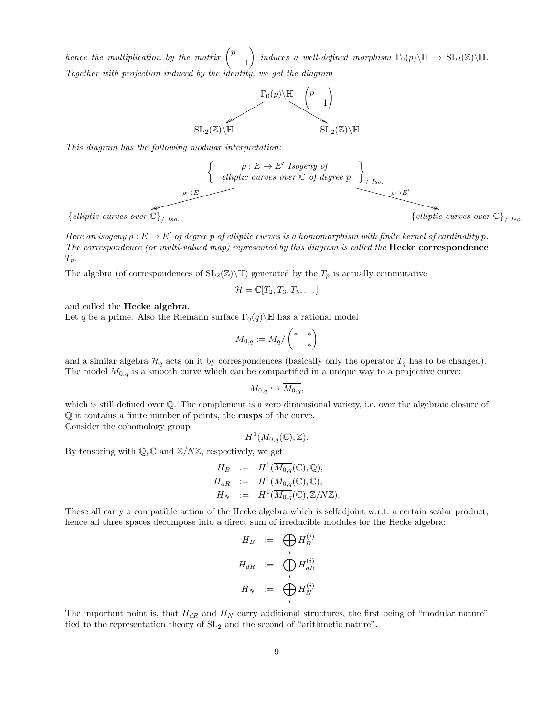hence the multiplication by the matrix  $\int^p$ 1 induces a well-defined morphism  $\Gamma_0(p)\backslash \mathbb{H} \to \mathrm{SL}_2(\mathbb{Z})\backslash \mathbb{H}$ . Together with projection induced by the identity, we get the diagram



This diagram has the following modular interpretation:



 $\{ \textit{elliptic curves over} \widehat{\mathbb{C}} \}_{\textit{1-to}}$ 

Here an isogeny  $\rho: E \to E'$  of degree p of elliptic curves is a homomorphism with finite kernel of cardinality p. The correspondence (or multi-valued map) represented by this diagram is called the **Hecke correspondence**  $T_p$ .

The algebra (of correspondences of  $SL_2(\mathbb{Z})\backslash\mathbb{H}$ ) generated by the  $T_p$  is actually commutative

$$
\mathcal{H}=\mathbb{C}[T_2,T_3,T_5,\dots]
$$

and called the Hecke algebra.

Let q be a prime. Also the Riemann surface  $\Gamma_0(q)$  H has a rational model

$$
M_{0,q}:=M_q/\left(\begin{smallmatrix} *&*\\&*\end{smallmatrix}\right)
$$

and a similar algebra  $\mathcal{H}_q$  acts on it by correspondences (basically only the operator  $T_q$  has to be changed). The model  $M_{0,q}$  is a smooth curve which can be compactified in a unique way to a projective curve:

$$
M_{0,q} \hookrightarrow M_{0,q},
$$

which is still defined over  $\mathbb{O}$ . The complement is a zero dimensional variety, i.e. over the algebraic closure of Q it contains a finite number of points, the cusps of the curve. Consider the cohomology group

 $H^1(\overline{M_{0,q}}(\mathbb{C}),\mathbb{Z}).$ 

By tensoring with  $\mathbb{Q}, \mathbb{C}$  and  $\mathbb{Z}/N\mathbb{Z}$ , respectively, we get

$$
H_B := H^1(\overline{M_{0,q}}(\mathbb{C}), \mathbb{Q}),
$$
  
\n
$$
H_{dR} := H^1(\overline{M_{0,q}}(\mathbb{C}), \mathbb{C}),
$$
  
\n
$$
H_N := H^1(\overline{M_{0,q}}(\mathbb{C}), \mathbb{Z}/N\mathbb{Z}).
$$

These all carry a compatible action of the Hecke algebra which is selfadjoint w.r.t. a certain scalar product, hence all three spaces decompose into a direct sum of irreducible modules for the Hecke algebra:

$$
H_B := \bigoplus_i H_B^{(i)}
$$
  

$$
H_{dR} := \bigoplus_i H_{dR}^{(i)}
$$
  

$$
H_N := \bigoplus_i H_N^{(i)}
$$

The important point is, that  $H_{dR}$  and  $H_N$  carry additional structures, the first being of "modular nature" tied to the representation theory of  $SL<sub>2</sub>$  and the second of "arithmetic nature".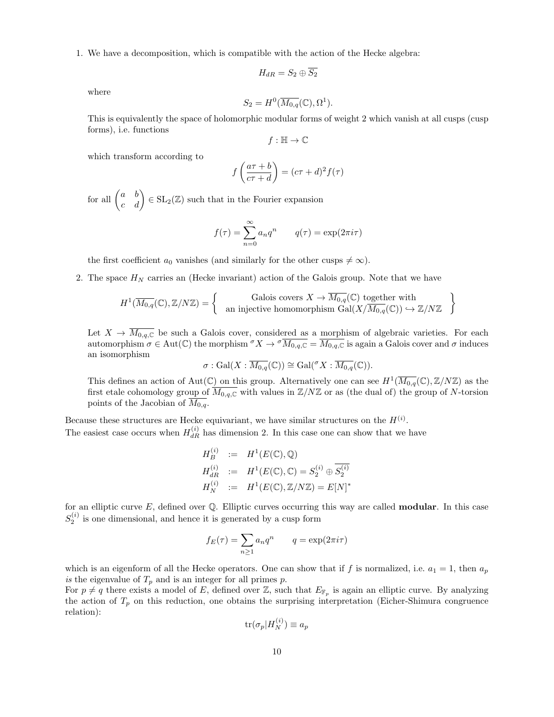1. We have a decomposition, which is compatible with the action of the Hecke algebra:

$$
H_{dR} = S_2 \oplus \overline{S_2}
$$

where

$$
S_2 = H^0(\overline{M_{0,q}}(\mathbb{C}), \Omega^1).
$$

This is equivalently the space of holomorphic modular forms of weight 2 which vanish at all cusps (cusp forms), i.e. functions

$$
f:\mathbb{H}\to\mathbb{C}
$$

which transform according to

$$
f\left(\frac{a\tau+b}{c\tau+d}\right) = (c\tau+d)^2 f(\tau)
$$

for all  $\begin{pmatrix} a & b \\ c & d \end{pmatrix} \in SL_2(\mathbb{Z})$  such that in the Fourier expansion

$$
f(\tau) = \sum_{n=0}^{\infty} a_n q^n \qquad q(\tau) = \exp(2\pi i \tau)
$$

the first coefficient  $a_0$  vanishes (and similarly for the other cusps  $\neq \infty$ ).

2. The space  $H_N$  carries an (Hecke invariant) action of the Galois group. Note that we have

$$
H^1(\overline{M_{0,q}}(\mathbb{C}), \mathbb{Z}/N\mathbb{Z}) = \left\{ \begin{array}{c} \text{Galois covers } X \to \overline{M_{0,q}}(\mathbb{C}) \text{ together with} \\ \text{an injective homomorphism } \text{Gal}(X/\overline{M_{0,q}}(\mathbb{C})) \hookrightarrow \mathbb{Z}/N\mathbb{Z} \end{array} \right\}
$$

Let  $X \to M_{0,q,\mathbb{C}}$  be such a Galois cover, considered as a morphism of algebraic varieties. For each automorphism  $\sigma \in \text{Aut}(\mathbb{C})$  the morphism  $\sigma X \to \sigma \overline{M_{0,q,\mathbb{C}}} = \overline{M_{0,q,\mathbb{C}}}$  is again a Galois cover and  $\sigma$  induces an isomorphism

$$
\sigma: \mathrm{Gal}(X: \overline{M_{0,q}}(\mathbb{C})) \cong \mathrm{Gal}(\sigma X: \overline{M_{0,q}}(\mathbb{C})).
$$

This defines an action of Aut(C) on this group. Alternatively one can see  $H^1(\overline{M_{0,q}}(\mathbb{C}), \mathbb{Z}/N\mathbb{Z})$  as the first etale cohomology group of  $\overline{M_{0,q,\mathbb{C}}}$  with values in  $\mathbb{Z}/N\mathbb{Z}$  or as (the dual of) the group of N-torsion points of the Jacobian of  $M_{0,q}$ .

Because these structures are Hecke equivariant, we have similar structures on the  $H^{(i)}$ . The easiest case occurs when  $H_{dR}^{(i)}$  has dimension 2. In this case one can show that we have

$$
H_B^{(i)} := H^1(E(\mathbb{C}), \mathbb{Q})
$$
  
\n
$$
H_{dR}^{(i)} := H^1(E(\mathbb{C}), \mathbb{C}) = S_2^{(i)} \oplus \overline{S_2^{(i)}}
$$
  
\n
$$
H_N^{(i)} := H^1(E(\mathbb{C}), \mathbb{Z}/N\mathbb{Z}) = E[N]^*
$$

for an elliptic curve  $E$ , defined over  $\mathbb Q$ . Elliptic curves occurring this way are called **modular**. In this case  $S_2^{(i)}$  is one dimensional, and hence it is generated by a cusp form

$$
f_E(\tau) = \sum_{n \ge 1} a_n q^n \qquad q = \exp(2\pi i \tau)
$$

which is an eigenform of all the Hecke operators. One can show that if f is normalized, i.e.  $a_1 = 1$ , then  $a_p$ is the eigenvalue of  $T_p$  and is an integer for all primes p.

For  $p \neq q$  there exists a model of E, defined over Z, such that  $E_{\mathbb{F}_p}$  is again an elliptic curve. By analyzing the action of  $T_p$  on this reduction, one obtains the surprising interpretation (Eicher-Shimura congruence relation):

$$
\text{tr}(\sigma_p|H_N^{(i)}) \equiv a_p
$$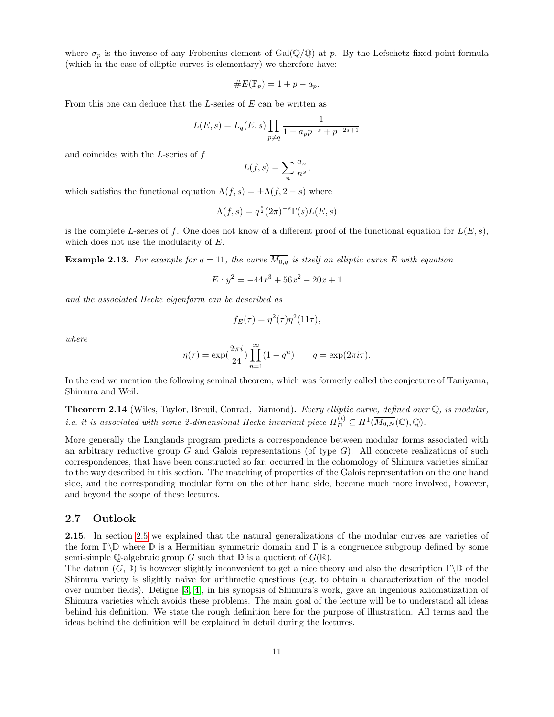where  $\sigma_p$  is the inverse of any Frobenius element of Gal( $\overline{Q}/Q$ ) at p. By the Lefschetz fixed-point-formula (which in the case of elliptic curves is elementary) we therefore have:

$$
\#E(\mathbb{F}_p) = 1 + p - a_p.
$$

From this one can deduce that the  $L$ -series of  $E$  can be written as

$$
L(E, s) = L_q(E, s) \prod_{p \neq q} \frac{1}{1 - a_p p^{-s} + p^{-2s+1}}
$$

and coincides with the  $L$ -series of  $f$ 

$$
L(f,s) = \sum_{n} \frac{a_n}{n^s},
$$

which satisfies the functional equation  $\Lambda(f, s) = \pm \Lambda(f, 2 - s)$  where

$$
\Lambda(f,s)=q^{\frac{s}{2}}(2\pi)^{-s}\Gamma(s)L(E,s)
$$

is the complete L-series of f. One does not know of a different proof of the functional equation for  $L(E, s)$ , which does not use the modularity of E.

**Example 2.13.** For example for  $q = 11$ , the curve  $\overline{M_{0,q}}$  is itself an elliptic curve E with equation

$$
E: y^2 = -44x^3 + 56x^2 - 20x + 1
$$

and the associated Hecke eigenform can be described as

$$
f_E(\tau) = \eta^2(\tau)\eta^2(11\tau),
$$

where

$$
\eta(\tau) = \exp(\frac{2\pi i}{24}) \prod_{n=1}^{\infty} (1 - q^n) \qquad q = \exp(2\pi i \tau).
$$

In the end we mention the following seminal theorem, which was formerly called the conjecture of Taniyama, Shimura and Weil.

Theorem 2.14 (Wiles, Taylor, Breuil, Conrad, Diamond). Every elliptic curve, defined over Q, is modular, *i.e.* it is associated with some 2-dimensional Hecke invariant piece  $H^{(i)}_B \subseteq H^1(\overline{M_{0,N}}(\mathbb{C}), \mathbb{Q})$ .

More generally the Langlands program predicts a correspondence between modular forms associated with an arbitrary reductive group  $G$  and Galois representations (of type  $G$ ). All concrete realizations of such correspondences, that have been constructed so far, occurred in the cohomology of Shimura varieties similar to the way described in this section. The matching of properties of the Galois representation on the one hand side, and the corresponding modular form on the other hand side, become much more involved, however, and beyond the scope of these lectures.

### <span id="page-10-0"></span>2.7 Outlook

2.15. In section [2.5](#page-6-2) we explained that the natural generalizations of the modular curves are varieties of the form Γ $\mathbb{D}$  where  $\mathbb D$  is a Hermitian symmetric domain and Γ is a congruence subgroup defined by some semi-simple Q-algebraic group G such that  $\mathbb D$  is a quotient of  $G(\mathbb R)$ .

The datum  $(G, \mathbb{D})$  is however slightly inconvenient to get a nice theory and also the description  $\Gamma \backslash \mathbb{D}$  of the Shimura variety is slightly naive for arithmetic questions (e.g. to obtain a characterization of the model over number fields). Deligne [\[3,](#page-70-0) [4\]](#page-70-1), in his synopsis of Shimura's work, gave an ingenious axiomatization of Shimura varieties which avoids these problems. The main goal of the lecture will be to understand all ideas behind his definition. We state the rough definition here for the purpose of illustration. All terms and the ideas behind the definition will be explained in detail during the lectures.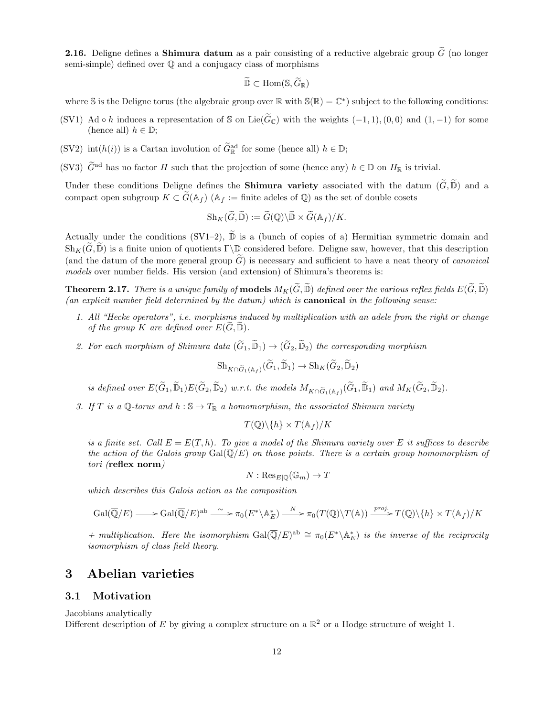**2.16.** Deligne defines a **Shimura datum** as a pair consisting of a reductive algebraic group  $\widetilde{G}$  (no longer semi-simple) defined over Q and a conjugacy class of morphisms

$$
\widetilde{\mathbb{D}} \subset \text{Hom}(\mathbb{S}, \widetilde{G}_{\mathbb{R}})
$$

where S is the Deligne torus (the algebraic group over  $\mathbb R$  with  $\mathbb S(\mathbb R)=\mathbb C^*$ ) subject to the following conditions:

- (SV1) Ad ∘ h induces a representation of S on Lie( $\tilde{G}_{\mathbb{C}}$ ) with the weights (-1, 1), (0, 0) and (1, -1) for some (hence all)  $h \in \mathbb{D}$ ;
- (SV2) int(h(i)) is a Cartan involution of  $\tilde{G}_{\mathbb{R}}^{\text{ad}}$  for some (hence all)  $h \in \mathbb{D}$ ;
- (SV3)  $\widetilde{G}^{\text{ad}}$  has no factor H such that the projection of some (hence any)  $h \in \mathbb{D}$  on  $H_{\mathbb{R}}$  is trivial.

Under these conditions Deligne defines the **Shimura variety** associated with the datum  $(\tilde{G}, \tilde{D})$  and a compact open subgroup  $K \subset \tilde{G}(\mathbb{A}_f)$  ( $\mathbb{A}_f :=$  finite adeles of  $\mathbb{Q}$ ) as the set of double cosets

$$
\mathrm{Sh}_K(\widetilde{G},\widetilde{\mathbb{D}}):=\widetilde{G}(\mathbb{Q})\backslash\widetilde{\mathbb{D}}\times\widetilde{G}(\mathbb{A}_f)/K.
$$

Actually under the conditions (SV1–2),  $\widetilde{\mathbb{D}}$  is a (bunch of copies of a) Hermitian symmetric domain and  $\operatorname{Sh}_K(\widetilde{G}, \widetilde{\mathbb{D}})$  is a finite union of quotients  $\Gamma \backslash \mathbb{D}$  considered before. Deligne saw, however, that this description (and the datum of the more general group  $\tilde{G}$ ) is necessary and sufficient to have a neat theory of *canonical* models over number fields. His version (and extension) of Shimura's theorems is:

**Theorem 2.17.** There is a unique family of **models**  $M_K(\widetilde{G}, \widetilde{\mathbb{D}})$  defined over the various reflex fields  $E(\widetilde{G}, \widetilde{\mathbb{D}})$ (an explicit number field determined by the datum) which is canonical in the following sense:

- 1. All "Hecke operators", i.e. morphisms induced by multiplication with an adele from the right or change of the group K are defined over  $E(\tilde{G}, \tilde{\mathbb{D}})$ .
- 2. For each morphism of Shimura data  $(\widetilde{G}_1, \widetilde{\mathbb{D}}_1) \to (\widetilde{G}_2, \widetilde{\mathbb{D}}_2)$  the corresponding morphism

$$
\mathrm{Sh}_{K\cap \widetilde{G}_1(\mathbb{A}_f)}(\widetilde{G}_1,\widetilde{\mathbb{D}}_1)\to \mathrm{Sh}_K(\widetilde{G}_2,\widetilde{\mathbb{D}}_2)
$$

is defined over  $E(\widetilde{G}_1, \widetilde{\mathbb{D}}_1)E(\widetilde{G}_2, \widetilde{\mathbb{D}}_2)$  w.r.t. the models  $M_{K\cap \widetilde{G}_1(\mathbb{A}_f)}(\widetilde{G}_1, \widetilde{\mathbb{D}}_1)$  and  $M_K(\widetilde{G}_2, \widetilde{\mathbb{D}}_2)$ .

3. If T is a Q-torus and  $h : \mathbb{S} \to T_{\mathbb{R}}$  a homomorphism, the associated Shimura variety

 $T(\mathbb{Q})\backslash\{h\}\times T(\mathbb{A}_f)/K$ 

is a finite set. Call  $E = E(T, h)$ . To give a model of the Shimura variety over E it suffices to describe the action of the Galois group  $Gal(\overline{\mathbb{Q}}/E)$  on those points. There is a certain group homomorphism of tori (reflex norm)

$$
N: \mathrm{Res}_{E|\mathbb{Q}}(\mathbb{G}_m) \to T
$$

which describes this Galois action as the composition

$$
\mathrm{Gal}(\overline{\mathbb{Q}}/E) \longrightarrow \mathrm{Gal}(\overline{\mathbb{Q}}/E)^{\mathrm{ab}} \longrightarrow \pi_0(E^*\backslash \mathbb{A}_E^*) \longrightarrow \pi_0(T(\mathbb{Q})\backslash T(\mathbb{A})) \longrightarrow T(\mathbb{Q})\backslash \{h\} \times T(\mathbb{A}_f)/K
$$

+ multiplication. Here the isomorphism Gal $(\overline{Q}/E)^{ab} \cong \pi_0(E^*\backslash \mathbb{A}_E^*)$  is the inverse of the reciprocity isomorphism of class field theory.

# <span id="page-11-0"></span>3 Abelian varieties

### <span id="page-11-1"></span>3.1 Motivation

Jacobians analytically Different description of E by giving a complex structure on a  $\mathbb{R}^2$  or a Hodge structure of weight 1.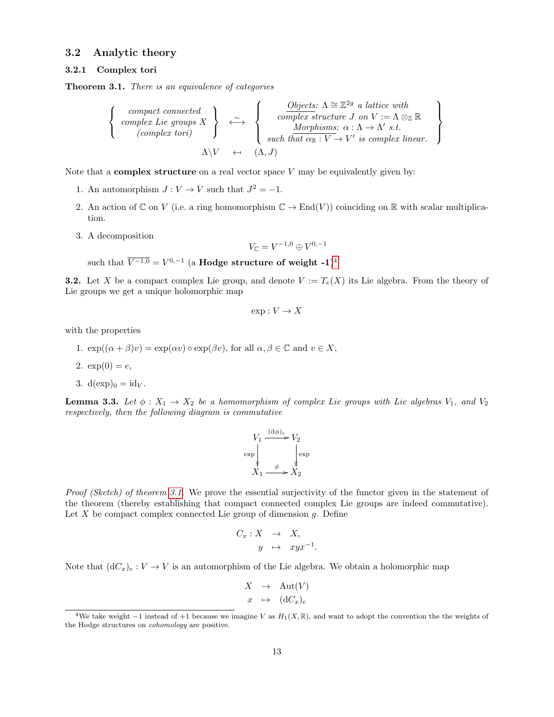### <span id="page-12-3"></span>3.2 Analytic theory

### <span id="page-12-4"></span>3.2.1 Complex tori

<span id="page-12-1"></span>Theorem 3.1. There is an equivalence of categories

$$
\left\{\begin{array}{c} \textit{compact connected} \\ \textit{complex Lie groups } X \\ \textit{(complex tori)} \\ \textit{A} \setminus V \\ \end{array}\right\} \begin{array}{c} \begin{array}{c} \textit{Objects: } \Lambda \cong \mathbb{Z}^{2g} \textit{ a lattice with} \\ \textit{complex structure } J \textit{ on } V := \Lambda \otimes_{\mathbb{Z}} \mathbb{R} \\ \textit{Morphisms: } \alpha : \Lambda \to \Lambda' \textit{ s.t.} \\ \textit{such that } \alpha_{\mathbb{R}} : V \to V' \textit{ is complex linear.} \end{array}\right\}
$$

Note that a **complex structure** on a real vector space  $V$  may be equivalently given by:

- 1. An automorphism  $J: V \to V$  such that  $J^2 = -1$ .
- 2. An action of  $\mathbb C$  on V (i.e. a ring homomorphism  $\mathbb C \to \mathrm{End}(V)$ ) coinciding on  $\mathbb R$  with scalar multiplication.
- 3. A decomposition

$$
V_{\mathbb{C}} = V^{-1,0} \oplus V^{0,-1}
$$

such that  $\overline{V^{-1,0}} = V^{0,-1}$  (a **Hodge structure of weight -1**)<sup>[4](#page-12-0)</sup>.

**3.2.** Let X be a compact complex Lie group, and denote  $V := T_e(X)$  its Lie algebra. From the theory of Lie groups we get a unique holomorphic map

$$
\exp: V \to X
$$

with the properties

- 1.  $exp((\alpha + \beta)v) = exp(\alpha v) \circ exp(\beta v)$ , for all  $\alpha, \beta \in \mathbb{C}$  and  $v \in X$ ,
- 2.  $exp(0) = e$ ,
- 3.  $d(exp)_0 = id_V$ .

<span id="page-12-2"></span>**Lemma 3.3.** Let  $\phi: X_1 \to X_2$  be a homomorphism of complex Lie groups with Lie algebras  $V_1$ , and  $V_2$ respectively, then the following diagram is commutative

$$
V_1 \xrightarrow{(d\phi)_e} V_2
$$
  
\n
$$
\exp \downarrow \qquad \qquad \downarrow \exp
$$
  
\n
$$
X_1 \xrightarrow{\phi} X_2
$$

Proof (Sketch) of theorem [3.1.](#page-12-1) We prove the essential surjectivity of the functor given in the statement of the theorem (thereby establishing that compact connected complex Lie groups are indeed commutative). Let  $X$  be compact complex connected Lie group of dimension  $g$ . Define

$$
C_x: X \rightarrow X,
$$
  

$$
y \mapsto xyx^{-1}.
$$

Note that  $(dC_x)_e : V \to V$  is an automorphism of the Lie algebra. We obtain a holomorphic map

$$
X \rightarrow \text{Aut}(V)
$$
  

$$
x \rightarrow (\text{d}C_x)_e
$$

<span id="page-12-0"></span><sup>&</sup>lt;sup>4</sup>We take weight  $-1$  instead of +1 because we imagine V as  $H_1(X,\mathbb{R})$ , and want to adopt the convention the the weights of the Hodge structures on cohomology are positive.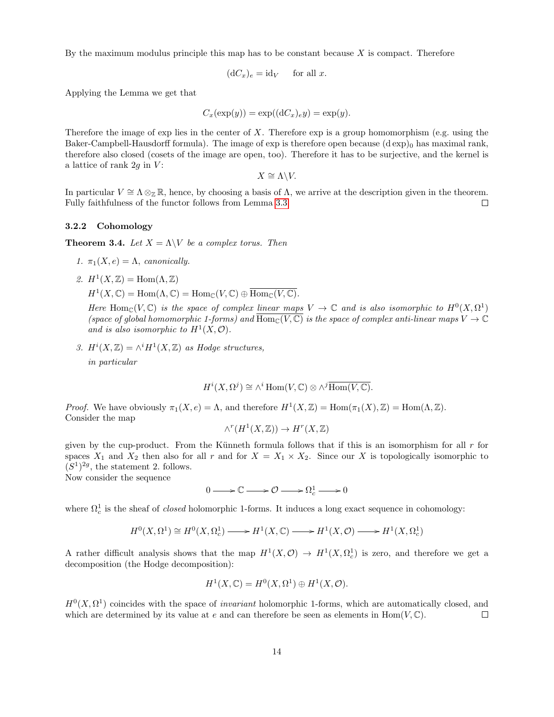By the maximum modulus principle this map has to be constant because  $X$  is compact. Therefore

$$
(\mathrm{d}C_x)_e = \mathrm{id}_V \quad \text{ for all } x.
$$

Applying the Lemma we get that

$$
C_x(\exp(y)) = \exp((dC_x)_e y) = \exp(y).
$$

Therefore the image of  $\exp$  lies in the center of X. Therefore  $\exp$  is a group homomorphism (e.g. using the Baker-Campbell-Hausdorff formula). The image of exp is therefore open because  $(d \exp)_0$  has maximal rank, therefore also closed (cosets of the image are open, too). Therefore it has to be surjective, and the kernel is a lattice of rank  $2g$  in  $V$ :

$$
X \cong \Lambda \backslash V.
$$

In particular  $V \cong \Lambda \otimes_{\mathbb{Z}} \mathbb{R}$ , hence, by choosing a basis of  $\Lambda$ , we arrive at the description given in the theorem. Fully faithfulness of the functor follows from Lemma [3.3.](#page-12-2)  $\Box$ 

### <span id="page-13-0"></span>3.2.2 Cohomology

**Theorem 3.4.** Let  $X = \Lambda \backslash V$  be a complex torus. Then

- 1.  $\pi_1(X, e) = \Lambda$ , canonically.
- 2.  $H^1(X,\mathbb{Z}) = \text{Hom}(\Lambda,\mathbb{Z})$ 
	- $H^1(X,\mathbb{C}) = \text{Hom}(\Lambda,\mathbb{C}) = \text{Hom}_{\mathbb{C}}(V,\mathbb{C}) \oplus \overline{\text{Hom}_{\mathbb{C}}(V,\mathbb{C})}.$

Here Hom<sub>C</sub>(V, C) is the space of complex linear maps  $V \to \mathbb{C}$  and is also isomorphic to  $H^0(X, \Omega^1)$ (space of global homomorphic 1-forms) and  $\overline{\text{Hom}_{\mathbb{C}}(V,\mathbb{C})}$  is the space of complex anti-linear maps  $V \to \mathbb{C}$ and is also isomorphic to  $H^1(X, \mathcal{O})$ .

3.  $H^i(X,\mathbb{Z}) = \wedge^i H^1(X,\mathbb{Z})$  as Hodge structures,

in particular

$$
H^i(X, \Omega^j) \cong \wedge^i \operatorname{Hom}(V, \mathbb{C}) \otimes \wedge^j \overline{\operatorname{Hom}(V, \mathbb{C})}.
$$

Proof. We have obviously  $\pi_1(X, e) = \Lambda$ , and therefore  $H^1(X, \mathbb{Z}) = \text{Hom}(\pi_1(X), \mathbb{Z}) = \text{Hom}(\Lambda, \mathbb{Z})$ . Consider the map

$$
\wedge^r(H^1(X,\mathbb{Z})) \to H^r(X,\mathbb{Z})
$$

given by the cup-product. From the Künneth formula follows that if this is an isomorphism for all  $r$  for spaces  $X_1$  and  $X_2$  then also for all r and for  $X = X_1 \times X_2$ . Since our X is topologically isomorphic to  $(S^1)^{2g}$ , the statement 2. follows.

Now consider the sequence

 $0 \longrightarrow \mathbb{C} \longrightarrow \mathcal{O} \longrightarrow \Omega_c^1 \longrightarrow 0$ 

where  $\Omega_c^1$  is the sheaf of *closed* holomorphic 1-forms. It induces a long exact sequence in cohomology:

$$
H^0(X, \Omega^1) \cong H^0(X, \Omega^1_c) \longrightarrow H^1(X, \mathbb{C}) \longrightarrow H^1(X, \mathcal{O}) \longrightarrow H^1(X, \Omega^1_c)
$$

A rather difficult analysis shows that the map  $H^1(X, \mathcal{O}) \to H^1(X, \Omega_c^1)$  is zero, and therefore we get a decomposition (the Hodge decomposition):

$$
H^1(X, \mathbb{C}) = H^0(X, \Omega^1) \oplus H^1(X, \mathcal{O}).
$$

 $H^0(X, \Omega^1)$  coincides with the space of *invariant* holomorphic 1-forms, which are automatically closed, and which are determined by its value at e and can therefore be seen as elements in Hom $(V, \mathbb{C})$ .  $\Box$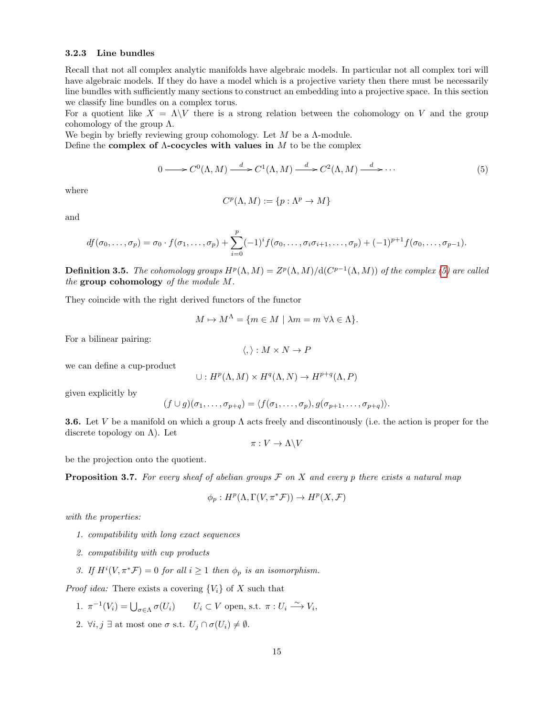### <span id="page-14-2"></span>3.2.3 Line bundles

Recall that not all complex analytic manifolds have algebraic models. In particular not all complex tori will have algebraic models. If they do have a model which is a projective variety then there must be necessarily line bundles with sufficiently many sections to construct an embedding into a projective space. In this section we classify line bundles on a complex torus.

For a quotient like  $X = \Lambda \backslash V$  there is a strong relation between the cohomology on V and the group cohomology of the group  $\Lambda$ .

We begin by briefly reviewing group cohomology. Let  $M$  be a  $\Lambda$ -module.

Define the complex of  $\Lambda$ -cocycles with values in M to be the complex

<span id="page-14-0"></span>
$$
0 \longrightarrow C^{0}(\Lambda, M) \xrightarrow{d} C^{1}(\Lambda, M) \xrightarrow{d} C^{2}(\Lambda, M) \xrightarrow{d} \cdots
$$
\n(5)

where

$$
C^p(\Lambda, M) := \{ p : \Lambda^p \to M \}
$$

and

$$
df(\sigma_0,\ldots,\sigma_p)=\sigma_0\cdot f(\sigma_1,\ldots,\sigma_p)+\sum_{i=0}^p(-1)^if(\sigma_0,\ldots,\sigma_i\sigma_{i+1},\ldots,\sigma_p)+(-1)^{p+1}f(\sigma_0,\ldots,\sigma_{p-1}).
$$

**Definition 3.5.** The cohomology groups  $H^p(\Lambda, M) = Z^p(\Lambda, M)/d(C^{p-1}(\Lambda, M))$  of the complex [\(5\)](#page-14-0) are called the group cohomology of the module M.

They coincide with the right derived functors of the functor

$$
M \mapsto M^{\Lambda} = \{ m \in M \mid \lambda m = m \,\,\forall \lambda \in \Lambda \}.
$$

For a bilinear pairing:

$$
\langle,\rangle: M\times N\to P
$$

we can define a cup-product

$$
\cup: H^p(\Lambda, M) \times H^q(\Lambda, N) \to H^{p+q}(\Lambda, P)
$$

given explicitly by

$$
(f \cup g)(\sigma_1, \ldots, \sigma_{p+q}) = \langle f(\sigma_1, \ldots, \sigma_p), g(\sigma_{p+1}, \ldots, \sigma_{p+q}) \rangle.
$$

**3.6.** Let V be a manifold on which a group  $\Lambda$  acts freely and discontinously (i.e. the action is proper for the discrete topology on  $\Lambda$ ). Let

$$
\pi: V \to \Lambda \backslash V
$$

be the projection onto the quotient.

<span id="page-14-1"></span>**Proposition 3.7.** For every sheaf of abelian groups  $\mathcal F$  on  $X$  and every p there exists a natural map

$$
\phi_p: H^p(\Lambda, \Gamma(V, \pi^* \mathcal{F})) \to H^p(X, \mathcal{F})
$$

with the properties:

- 1. compatibility with long exact sequences
- 2. compatibility with cup products
- 3. If  $H^i(V, \pi^* \mathcal{F}) = 0$  for all  $i \geq 1$  then  $\phi_p$  is an isomorphism.

*Proof idea:* There exists a covering  $\{V_i\}$  of X such that

- 1.  $\pi^{-1}(V_i) = \bigcup_{\sigma \in \Lambda} \sigma(U_i)$   $U_i \subset V$  open, s.t.  $\pi : U_i \xrightarrow{\sim} V_i$ ,
- 2.  $\forall i, j \exists$  at most one  $\sigma$  s.t.  $U_j \cap \sigma(U_i) \neq \emptyset$ .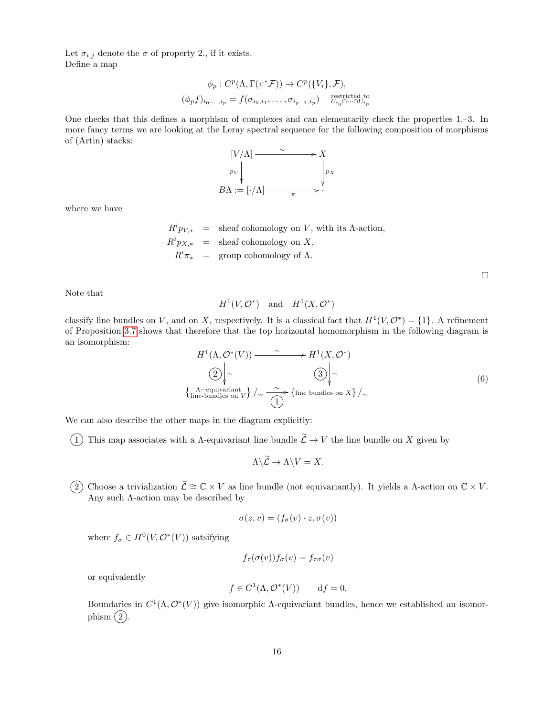Let  $\sigma_{i,j}$  denote the  $\sigma$  of property 2., if it exists. Define a map

$$
\phi_p: C^p(\Lambda, \Gamma(\pi^* \mathcal{F})) \to C^p(\{V_i\}, \mathcal{F}),
$$
  

$$
(\phi_p f)_{i_0, \dots, i_p} = f(\sigma_{i_0, i_1}, \dots, \sigma_{i_{p-1}, i_p}) \underset{U_{i_0} \cap \dots \cap U_{i_p}}{\text{restricted to}}
$$

One checks that this defines a morphism of complexes and can elementarily check the properties 1.–3. In more fancy terms we are looking at the Leray spectral sequence for the following composition of morphisms of (Artin) stacks:



where we have

 $R^i p_{V,*}$  = sheaf cohomology on V, with its  $\Lambda$ -action,  $R^i p_{X,*}$  = sheaf cohomology on X,  $R^i \pi_*$  = group cohomology of  $\Lambda$ .

Note that

$$
H^1(V, \mathcal{O}^*) \quad \text{and} \quad H^1(X, \mathcal{O}^*)
$$

classify line bundles on V, and on X, respectively. It is a classical fact that  $H^1(V, \mathcal{O}^*) = \{1\}$ . A refinement of Proposition [3.7](#page-14-1) shows that therefore that the top horizontal homomorphism in the following diagram is an isomorphism:

<span id="page-15-0"></span>
$$
H^{1}(\Lambda, \mathcal{O}^{*}(V)) \longrightarrow H^{1}(X, \mathcal{O}^{*})
$$
  
\n
$$
\begin{array}{c} \boxed{2} \\ \boxed{\sim} \\ \boxed{\sim} \\ \boxed{\text{The -equivalent} \\ \text{line-bundles on } V} \end{array}
$$
  
\n
$$
\begin{array}{c} \boxed{3} \\ \boxed{\sim} \\ \boxed{\text{line bundles on } X} \end{array}
$$
  
\n(6)

We can also describe the other maps in the diagram explicitly:

 $(1)$  This map associates with a A-equivariant line bundle  $\tilde{\mathcal{L}} \to V$  the line bundle on X given by

$$
\Lambda \backslash \widetilde{\mathcal{L}} \to \Lambda \backslash V = X.
$$

2 Choose a trivialization  $\widetilde{\mathcal{L}} \cong \mathbb{C} \times V$  as line bundle (not equivariantly). It yields a Λ-action on  $\mathbb{C} \times V$ . Any such Λ-action may be described by

$$
\sigma(z,v) = (f_{\sigma}(v) \cdot z, \sigma(v))
$$

where  $f_{\sigma} \in H^0(V, \mathcal{O}^*(V))$  satsifying

$$
f_{\tau}(\sigma(v))f_{\sigma}(v) = f_{\tau\sigma}(v)
$$

or equivalently

$$
f \in C^1(\Lambda, \mathcal{O}^*(V)) \qquad \text{d}f = 0.
$$

Boundaries in  $C^1(\Lambda, \mathcal{O}^*(V))$  give isomorphic  $\Lambda$ -equivariant bundles, hence we established an isomorphism  $(2)$ .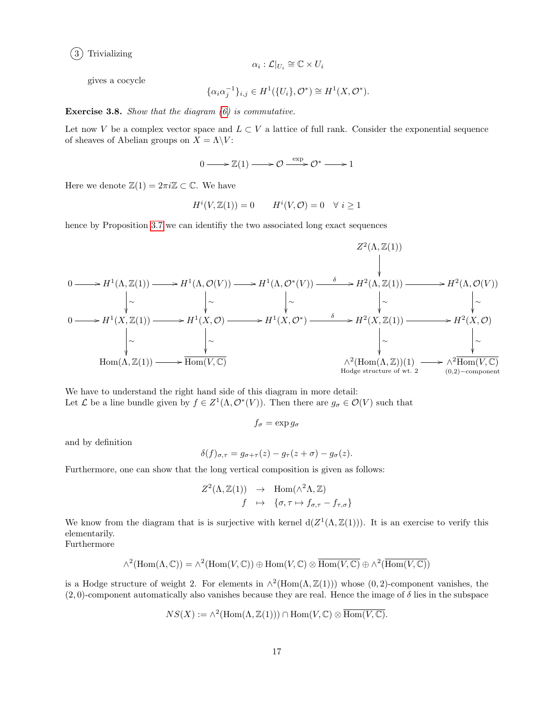

$$
\alpha_i : \mathcal{L}|_{U_i} \cong \mathbb{C} \times U_i
$$

gives a cocycle

$$
\{\alpha_i \alpha_j^{-1}\}_{i,j} \in H^1(\{U_i\}, \mathcal{O}^*) \cong H^1(X, \mathcal{O}^*).
$$

Exercise 3.8. Show that the diagram [\(6\)](#page-15-0) is commutative.

Let now V be a complex vector space and  $L \subset V$  a lattice of full rank. Consider the exponential sequence of sheaves of Abelian groups on  $X = \Lambda \backslash V$ :

$$
0 \longrightarrow \mathbb{Z}(1) \longrightarrow \mathcal{O} \xrightarrow{\exp} \mathcal{O}^* \longrightarrow 1
$$

Here we denote  $\mathbb{Z}(1) = 2\pi i \mathbb{Z} \subset \mathbb{C}$ . We have

$$
H^i(V, \mathbb{Z}(1)) = 0 \qquad H^i(V, \mathcal{O}) = 0 \quad \forall \ i \ge 1
$$

hence by Proposition [3.7](#page-14-1) we can identifiy the two associated long exact sequences

$$
0 \longrightarrow H^{1}(\Lambda, \mathbb{Z}(1)) \longrightarrow H^{1}(\Lambda, \mathcal{O}(V)) \longrightarrow H^{1}(\Lambda, \mathcal{O}^{*}(V)) \longrightarrow H^{2}(\Lambda, \mathbb{Z}(1)) \longrightarrow H^{2}(\Lambda, \mathcal{O}(V))
$$
\n
$$
\downarrow \sim \qquad \qquad \downarrow \sim \qquad \qquad \downarrow \sim \qquad \qquad \downarrow \sim \qquad \qquad \downarrow \sim \qquad \qquad \downarrow \sim \qquad \qquad \downarrow \sim \qquad \qquad \downarrow \sim \qquad \qquad \downarrow \sim \qquad \qquad \downarrow \sim \qquad \qquad \downarrow \sim \qquad \qquad \downarrow \sim \qquad \qquad \downarrow \sim \qquad \qquad \downarrow \sim \qquad \qquad \downarrow \sim \qquad \qquad \downarrow \sim \qquad \qquad \downarrow \sim \qquad \qquad \downarrow \sim \qquad \qquad \downarrow \sim \qquad \qquad \downarrow \sim \qquad \qquad \downarrow \sim \qquad \qquad \downarrow \sim \qquad \qquad \downarrow \sim \qquad \qquad \downarrow \sim \qquad \qquad \downarrow \sim \qquad \qquad \downarrow \sim \qquad \qquad \downarrow \sim \qquad \qquad \downarrow \sim \qquad \qquad \downarrow \sim \qquad \qquad \downarrow \sim \qquad \qquad \downarrow \sim \qquad \qquad \downarrow \sim \qquad \qquad \downarrow \sim \qquad \qquad \downarrow \sim \qquad \qquad \downarrow \sim \qquad \qquad \downarrow \sim \qquad \qquad \downarrow \sim \qquad \qquad \downarrow \sim \qquad \qquad \downarrow \sim \qquad \qquad \downarrow \sim \qquad \qquad \downarrow \sim \qquad \qquad \downarrow \sim \qquad \qquad \downarrow \sim \qquad \qquad \downarrow \sim \qquad \qquad \downarrow \sim \qquad \qquad \downarrow \sim \qquad \qquad \downarrow \sim \qquad \qquad \downarrow \sim \qquad \qquad \downarrow \sim \qquad \qquad \downarrow \sim \qquad \qquad \downarrow \sim \qquad \qquad \downarrow \sim \qquad \qquad \downarrow \sim \qquad \qquad \downarrow \sim \qquad \qquad \downarrow \sim \qquad \qquad \downarrow \sim \qquad \qquad \downarrow \sim \qquad \qquad \downarrow \sim \qquad \qquad \downarrow \sim \qquad \qquad \downarrow \sim \qquad \qquad \
$$

We have to understand the right hand side of this diagram in more detail: Let L be a line bundle given by  $f \in Z^1(\Lambda, \mathcal{O}^*(V))$ . Then there are  $g_{\sigma} \in \mathcal{O}(V)$  such that

$$
f_{\sigma} = \exp g_{\sigma}
$$

and by definition

$$
\delta(f)_{\sigma,\tau} = g_{\sigma+\tau}(z) - g_{\tau}(z+\sigma) - g_{\sigma}(z).
$$

Furthermore, one can show that the long vertical composition is given as follows:

$$
Z^2(\Lambda, \mathbb{Z}(1)) \rightarrow \text{Hom}(\Lambda^2 \Lambda, \mathbb{Z})
$$
  

$$
f \rightarrow \{\sigma, \tau \mapsto f_{\sigma, \tau} - f_{\tau, \sigma}\}\
$$

We know from the diagram that is is surjective with kernel  $d(Z^1(\Lambda, \mathbb{Z}(1)))$ . It is an exercise to verify this elementarily.

Furthermore

$$
\wedge^2(\mathrm{Hom}(\Lambda,\mathbb{C}))=\wedge^2(\mathrm{Hom}(V,\mathbb{C}))\oplus\mathrm{Hom}(V,\mathbb{C})\otimes\overline{\mathrm{Hom}(V,\mathbb{C})}\oplus\wedge^2(\overline{\mathrm{Hom}(V,\mathbb{C})})
$$

is a Hodge structure of weight 2. For elements in  $\wedge^2(\text{Hom}(\Lambda, \mathbb{Z}(1)))$  whose  $(0, 2)$ -component vanishes, the  $(2,0)$ -component automatically also vanishes because they are real. Hence the image of  $\delta$  lies in the subspace

$$
NS(X) := \wedge^2(\text{Hom}(\Lambda, \mathbb{Z}(1))) \cap \text{Hom}(V, \mathbb{C}) \otimes \overline{\text{Hom}(V, \mathbb{C})}.
$$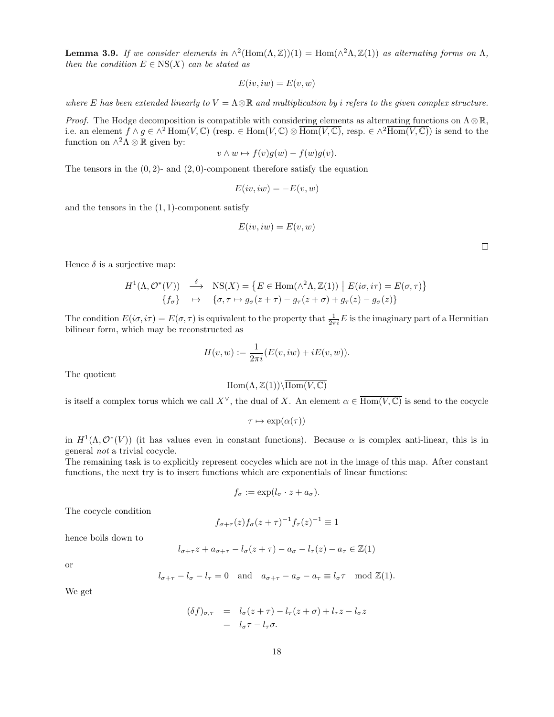**Lemma 3.9.** If we consider elements in  $\wedge^2(\text{Hom}(\Lambda, \mathbb{Z}))(1) = \text{Hom}(\wedge^2 \Lambda, \mathbb{Z}(1))$  as alternating forms on  $\Lambda$ , then the condition  $E \in \text{NS}(X)$  can be stated as

$$
E(iv, iw) = E(v, w)
$$

where E has been extended linearly to  $V = \Lambda \otimes \mathbb{R}$  and multiplication by i refers to the given complex structure.

*Proof.* The Hodge decomposition is compatible with considering elements as alternating functions on  $\Lambda \otimes \mathbb{R}$ , i.e. an element  $f \wedge g \in \wedge^2 \text{Hom}(V, \mathbb{C})$  (resp.  $\in \text{Hom}(V, \mathbb{C}) \otimes \text{Hom}(V, \mathbb{C})$ , resp.  $\in \wedge^2 \text{Hom}(V, \mathbb{C})$ ) is send to the function on  $\wedge^2 \Lambda \otimes \mathbb{R}$  given by:

$$
v \wedge w \mapsto f(v)g(w) - f(w)g(v).
$$

The tensors in the  $(0, 2)$ - and  $(2, 0)$ -component therefore satisfy the equation

$$
E(iv, iw) = -E(v, w)
$$

and the tensors in the  $(1, 1)$ -component satisfy

$$
E(iv, iw) = E(v, w)
$$

 $\Box$ 

Hence  $\delta$  is a surjective map:

$$
H^{1}(\Lambda, \mathcal{O}^{*}(V)) \xrightarrow{\delta} \text{NS}(X) = \left\{ E \in \text{Hom}(\wedge^{2} \Lambda, \mathbb{Z}(1)) \mid E(i\sigma, i\tau) = E(\sigma, \tau) \right\}
$$

$$
\left\{ f_{\sigma} \right\} \xrightarrow{\mapsto} \left\{ \sigma, \tau \mapsto g_{\sigma}(z + \tau) - g_{\tau}(z + \sigma) + g_{\tau}(z) - g_{\sigma}(z) \right\}
$$

The condition  $E(i\sigma, i\tau) = E(\sigma, \tau)$  is equivalent to the property that  $\frac{1}{2\pi i}E$  is the imaginary part of a Hermitian bilinear form, which may be reconstructed as

$$
H(v, w) := \frac{1}{2\pi i} (E(v, iw) + iE(v, w)).
$$

The quotient

$$
\mathrm{Hom}(\Lambda,\mathbb{Z}(1))\backslash\overline{\mathrm{Hom}(V,\mathbb{C})}
$$

is itself a complex torus which we call  $X^{\vee}$ , the dual of X. An element  $\alpha \in \overline{Hom(V, \mathbb{C})}$  is send to the cocycle

 $\tau \mapsto \exp(\alpha(\tau))$ 

in  $H^1(\Lambda, \mathcal{O}^*(V))$  (it has values even in constant functions). Because  $\alpha$  is complex anti-linear, this is in general not a trivial cocycle.

The remaining task is to explicitly represent cocycles which are not in the image of this map. After constant functions, the next try is to insert functions which are exponentials of linear functions:

$$
f_{\sigma} := \exp(l_{\sigma} \cdot z + a_{\sigma}).
$$

The cocycle condition

$$
f_{\sigma+\tau}(z)f_{\sigma}(z+\tau)^{-1}f_{\tau}(z)^{-1} \equiv 1
$$

hence boils down to

$$
l_{\sigma+\tau}z + a_{\sigma+\tau} - l_{\sigma}(z+\tau) - a_{\sigma} - l_{\tau}(z) - a_{\tau} \in \mathbb{Z}(1)
$$

or

$$
l_{\sigma+\tau} - l_{\sigma} - l_{\tau} = 0
$$
 and  $a_{\sigma+\tau} - a_{\sigma} - a_{\tau} \equiv l_{\sigma}\tau \mod \mathbb{Z}(1)$ .

We get

$$
(\delta f)_{\sigma,\tau} = l_{\sigma}(z+\tau) - l_{\tau}(z+\sigma) + l_{\tau}z - l_{\sigma}z
$$
  
= 
$$
l_{\sigma}\tau - l_{\tau}\sigma.
$$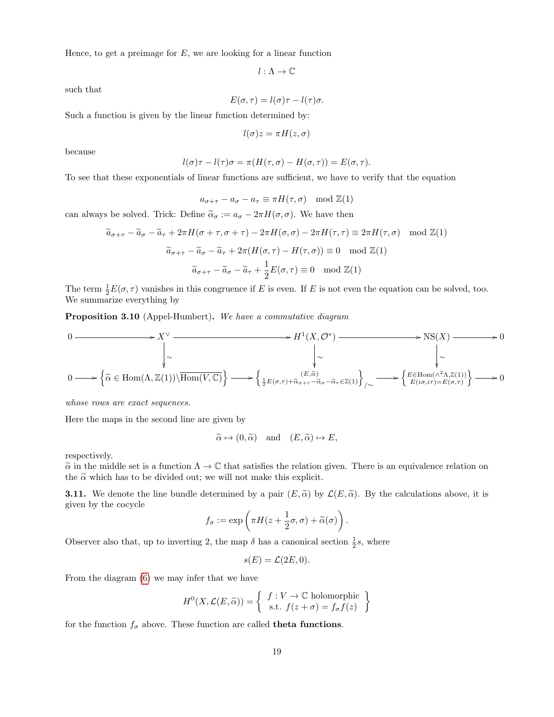Hence, to get a preimage for  $E$ , we are looking for a linear function

 $l : \Lambda \to \mathbb{C}$ 

such that

$$
E(\sigma,\tau) = l(\sigma)\tau - l(\tau)\sigma.
$$

Such a function is given by the linear function determined by:

$$
l(\sigma)z = \pi H(z, \sigma)
$$

because

$$
l(\sigma)\tau - l(\tau)\sigma = \pi(H(\tau,\sigma) - H(\sigma,\tau)) = E(\sigma,\tau).
$$

To see that these exponentials of linear functions are sufficient, we have to verify that the equation

$$
a_{\sigma+\tau} - a_{\sigma} - a_{\tau} \equiv \pi H(\tau, \sigma) \mod \mathbb{Z}(1)
$$

can always be solved. Trick: Define  $\tilde{\alpha}_{\sigma} := a_{\sigma} - 2\pi H(\sigma, \sigma)$ . We have then

$$
\widetilde{a}_{\sigma+\tau} - \widetilde{a}_{\sigma} - \widetilde{a}_{\tau} + 2\pi H(\sigma + \tau, \sigma + \tau) - 2\pi H(\sigma, \sigma) - 2\pi H(\tau, \tau) \equiv 2\pi H(\tau, \sigma) \mod \mathbb{Z}(1)
$$

$$
\widetilde{a}_{\sigma+\tau} - \widetilde{a}_{\sigma} - \widetilde{a}_{\tau} + 2\pi (H(\sigma, \tau) - H(\tau, \sigma)) \equiv 0 \mod \mathbb{Z}(1)
$$

$$
\widetilde{a}_{\sigma+\tau} - \widetilde{a}_{\sigma} - \widetilde{a}_{\tau} + \frac{1}{2}E(\sigma, \tau) \equiv 0 \mod \mathbb{Z}(1)
$$

The term  $\frac{1}{2}E(\sigma,\tau)$  vanishes in this congruence if E is even. If E is not even the equation can be solved, too. We summarize everything by

<span id="page-18-0"></span>Proposition 3.10 (Appel-Humbert). We have a commutative diagram

$$
0 \longrightarrow X^{\vee} \longrightarrow H^{1}(X, \mathcal{O}^{*}) \longrightarrow \text{NS}(X) \longrightarrow 0
$$
  
\n
$$
\downarrow \sim \qquad \qquad \downarrow \sim \qquad \qquad \downarrow \sim \qquad \qquad \downarrow \sim
$$
  
\n
$$
0 \longrightarrow \left\{ \tilde{\alpha} \in \text{Hom}(\Lambda, \mathbb{Z}(1)) \setminus \overline{\text{Hom}(V, \mathbb{C})} \right\} \longrightarrow \left\{ \underset{\frac{1}{2}E(\sigma, \tau) + \tilde{\alpha}_{\sigma + \tau} - \tilde{\alpha}_{\sigma} - \tilde{\alpha}_{\tau} \in \mathbb{Z}(1)}{(E, \tilde{\alpha})} \right\}_{/\sim} \longrightarrow \left\{ E \in \text{Hom}(\Lambda^{2} \Lambda, \mathbb{Z}(1)) \right\} \longrightarrow 0
$$

whose rows are exact sequences.

Here the maps in the second line are given by

$$
\widetilde{\alpha} \mapsto (0, \widetilde{\alpha}) \quad \text{and} \quad (E, \widetilde{\alpha}) \mapsto E,
$$

respectively.

 $\tilde{\alpha}$  in the middle set is a function  $\Lambda \to \mathbb{C}$  that satisfies the relation given. There is an equivalence relation on the  $\tilde{\alpha}$  which has to be divided out; we will not make this explicit.

<span id="page-18-1"></span>**3.11.** We denote the line bundle determined by a pair  $(E, \tilde{\alpha})$  by  $\mathcal{L}(E, \tilde{\alpha})$ . By the calculations above, it is given by the cocycle

$$
f_{\sigma} := \exp\left(\pi H(z + \frac{1}{2}\sigma, \sigma) + \widetilde{\alpha}(\sigma)\right).
$$

Observer also that, up to inverting 2, the map  $\delta$  has a canonical section  $\frac{1}{2}s$ , where

$$
s(E) = \mathcal{L}(2E, 0).
$$

From the diagram [\(6\)](#page-15-0) we may infer that we have

$$
H^{0}(X, \mathcal{L}(E, \widetilde{\alpha})) = \left\{ \begin{array}{c} f : V \to \mathbb{C} \text{ holomorphic} \\ \text{s.t.} \ f(z + \sigma) = f_{\sigma} f(z) \end{array} \right\}
$$

for the function  $f_{\sigma}$  above. These function are called **theta functions**.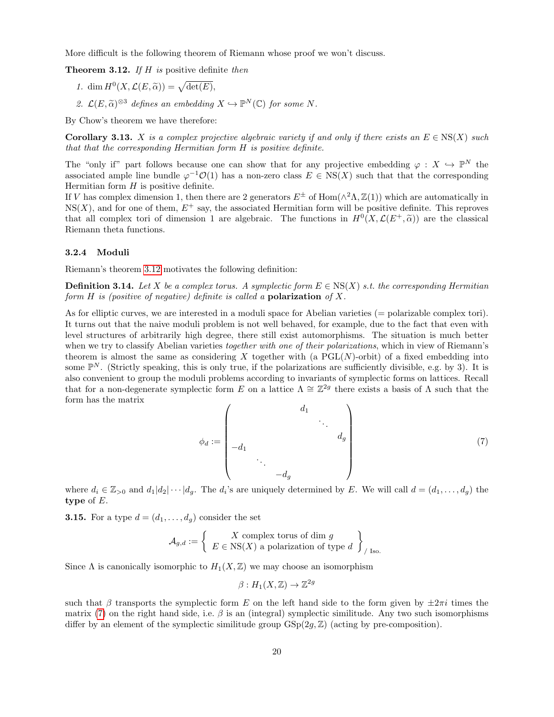More difficult is the following theorem of Riemann whose proof we won't discuss.

<span id="page-19-0"></span>**Theorem 3.12.** If  $H$  is positive definite then

- 1. dim  $H^0(X, \mathcal{L}(E, \widetilde{\alpha})) = \sqrt{\det(E)},$
- 2.  $\mathcal{L}(E, \widetilde{\alpha})^{\otimes 3}$  defines an embedding  $X \hookrightarrow \mathbb{P}^N(\mathbb{C})$  for some N.

By Chow's theorem we have therefore:

**Corollary 3.13.** X is a complex projective algebraic variety if and only if there exists an  $E \in \text{NS}(X)$  such that that the corresponding Hermitian form H is positive definite.

The "only if" part follows because one can show that for any projective embedding  $\varphi : X \hookrightarrow \mathbb{P}^N$  the associated ample line bundle  $\varphi^{-1}O(1)$  has a non-zero class  $E \in NS(X)$  such that that the corresponding Hermitian form  $H$  is positive definite.

If V has complex dimension 1, then there are 2 generators  $E^{\pm}$  of Hom( $\wedge^2 \Lambda$ ,  $\mathbb{Z}(1)$ ) which are automatically in  $NS(X)$ , and for one of them,  $E^+$  say, the associated Hermitian form will be positive definite. This reproves that all complex tori of dimension 1 are algebraic. The functions in  $H^0(X, \mathcal{L}(E^+, \tilde{\alpha}))$  are the classical<br>Piemann that functions Riemann theta functions.

### <span id="page-19-2"></span>3.2.4 Moduli

Riemann's theorem [3.12](#page-19-0) motivates the following definition:

**Definition 3.14.** Let X be a complex torus. A symplectic form  $E \in \text{NS}(X)$  s.t. the corresponding Hermitian form  $H$  is (positive of negative) definite is called a **polarization** of  $X$ .

As for elliptic curves, we are interested in a moduli space for Abelian varieties (= polarizable complex tori). It turns out that the naive moduli problem is not well behaved, for example, due to the fact that even with level structures of arbitrarily high degree, there still exist automorphisms. The situation is much better when we try to classify Abelian varieties *together with one of their polarizations*, which in view of Riemann's theorem is almost the same as considering X together with (a  $PGL(N)$ -orbit) of a fixed embedding into some  $\mathbb{P}^N$ . (Strictly speaking, this is only true, if the polarizations are sufficiently divisible, e.g. by 3). It is also convenient to group the moduli problems according to invariants of symplectic forms on lattices. Recall that for a non-degenerate symplectic form E on a lattice  $\Lambda \cong \mathbb{Z}^{2g}$  there exists a basis of  $\Lambda$  such that the form has the matrix  $\overline{\phantom{0}}$ 

<span id="page-19-1"></span>
$$
\phi_d := \begin{pmatrix} d_1 & & & \\ & \ddots & & \\ -d_1 & & & \\ & \ddots & & \\ & & -d_g & \end{pmatrix}
$$
 (7)

where  $d_i \in \mathbb{Z}_{>0}$  and  $d_1|d_2|\cdots|d_g$ . The  $d_i$ 's are uniquely determined by E. We will call  $d=(d_1,\ldots,d_g)$  the type of E.

**3.15.** For a type  $d = (d_1, \ldots, d_g)$  consider the set

$$
\mathcal{A}_{g,d} := \left\{ \begin{array}{c} X \text{ complex torus of } \text{dim } g \\ E \in \text{NS}(X) \text{ a polarization of type } d \end{array} \right\}_{/ \text{ Iso.}}
$$

Since  $\Lambda$  is canonically isomorphic to  $H_1(X,\mathbb{Z})$  we may choose an isomorphism

$$
\beta: H_1(X, \mathbb{Z}) \to \mathbb{Z}^{2g}
$$

such that β transports the symplectic form E on the left hand side to the form given by  $\pm 2\pi i$  times the matrix [\(7\)](#page-19-1) on the right hand side, i.e.  $\beta$  is an (integral) symplectic similitude. Any two such isomorphisms differ by an element of the symplectic similitude group  $GSp(2g, \mathbb{Z})$  (acting by pre-composition).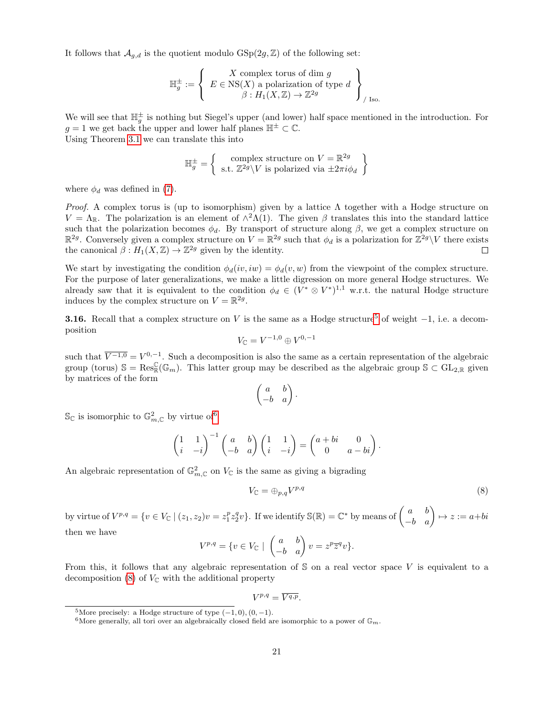It follows that  $\mathcal{A}_{q,d}$  is the quotient modulo  $\mathrm{GSp}(2g,\mathbb{Z})$  of the following set:

$$
\mathbb{H}_g^{\pm} := \left\{ \begin{array}{c} X \text{ complex torus of } \text{dim } g \\ E \in \text{NS}(X) \text{ a polarization of type } d \\ \beta: H_1(X, \mathbb{Z}) \to \mathbb{Z}^{2g} \end{array} \right\}_{/ \text{ Iso.}}
$$

We will see that  $\mathbb{H}_g^{\pm}$  is nothing but Siegel's upper (and lower) half space mentioned in the introduction. For  $g = 1$  we get back the upper and lower half planes  $\mathbb{H}^{\pm} \subset \mathbb{C}$ . Using Theorem [3.1](#page-12-1) we can translate this into

$$
\mathbb{H}_g^{\pm} = \left\{ \begin{array}{c} \text{complex structure on } V = \mathbb{R}^{2g} \\ \text{s.t. } \mathbb{Z}^{2g} \backslash V \text{ is polarized via } \pm 2\pi i \phi_d \end{array} \right\}
$$

where  $\phi_d$  was defined in [\(7\)](#page-19-1).

*Proof.* A complex torus is (up to isomorphism) given by a lattice  $\Lambda$  together with a Hodge structure on  $V = \Lambda_{\mathbb{R}}$ . The polarization is an element of  $\Lambda^2 \Lambda(1)$ . The given  $\beta$  translates this into the standard lattice such that the polarization becomes  $\phi_d$ . By transport of structure along  $\beta$ , we get a complex structure on  $\mathbb{R}^{2g}$ . Conversely given a complex structure on  $V = \mathbb{R}^{2g}$  such that  $\phi_d$  is a polarization for  $\mathbb{Z}^{2g}\setminus V$  there exists the canonical  $\beta: H_1(X, \mathbb{Z}) \to \mathbb{Z}^{2g}$  given by the identity.  $\Box$ 

We start by investigating the condition  $\phi_d(iv, iw) = \phi_d(v, w)$  from the viewpoint of the complex structure. For the purpose of later generalizations, we make a little digression on more general Hodge structures. We already saw that it is equivalent to the condition  $\phi_d \in (V^* \otimes V^*)^{1,1}$  w.r.t. the natural Hodge structure induces by the complex structure on  $V = \mathbb{R}^{2g}$ .

**3.16.** Recall that a complex structure on V is the same as a Hodge structure<sup>[5](#page-20-0)</sup> of weight  $-1$ , i.e. a decomposition

$$
V_{\mathbb C}=V^{-1,0}\oplus V^{0,-1}
$$

such that  $\overline{V^{-1,0}} = V^{0,-1}$ . Such a decomposition is also the same as a certain representation of the algebraic group (torus)  $\mathbb{S} = \text{Res}_{\mathbb{R}}^{\mathbb{C}}(\mathbb{G}_m)$ . This latter group may be described as the algebraic group  $\mathbb{S} \subset \text{GL}_{2,\mathbb{R}}$  given by matrices of the form

$$
\begin{pmatrix} a & b \\ -b & a \end{pmatrix}
$$

.

 $\mathbb{S}_{\mathbb{C}}$  is isomorphic to  $\mathbb{G}_{m,\mathbb{C}}^2$  by virtue of

$$
\begin{pmatrix} 1 & 1 \ i & -i \end{pmatrix}^{-1} \begin{pmatrix} a & b \ -b & a \end{pmatrix} \begin{pmatrix} 1 & 1 \ i & -i \end{pmatrix} = \begin{pmatrix} a+bi & 0 \ 0 & a-bi \end{pmatrix}
$$

An algebraic representation of  $\mathbb{G}_{m,\mathbb{C}}^2$  on  $V_{\mathbb{C}}$  is the same as giving a bigrading

<span id="page-20-2"></span>
$$
V_{\mathbb{C}} = \bigoplus_{p,q} V^{p,q} \tag{8}
$$

.

by virtue of  $V^{p,q} = \{v \in V_{\mathbb{C}} \mid (z_1, z_2)v = z_1^pz_2^qv\}.$  If we identify  $\mathbb{S}(\mathbb{R}) = \mathbb{C}^*$  by means of  $\begin{pmatrix} a & b \\ -b & a \end{pmatrix} \mapsto z := a+bi$ then we have

$$
V^{p,q} = \{ v \in V_{\mathbb{C}} \mid \begin{pmatrix} a & b \\ -b & a \end{pmatrix} v = z^p \overline{z}^q v \}.
$$

From this, it follows that any algebraic representation of  $S$  on a real vector space V is equivalent to a decomposition  $(8)$  of  $V_{\mathbb{C}}$  with the additional property

$$
V^{p,q}=\overline{V^{q,p}}.
$$

<span id="page-20-0"></span><sup>&</sup>lt;sup>5</sup>More precisely: a Hodge structure of type  $(-1,0)$ ,  $(0,-1)$ .

<span id="page-20-1"></span><sup>&</sup>lt;sup>6</sup>More generally, all tori over an algebraically closed field are isomorphic to a power of  $\mathbb{G}_m$ .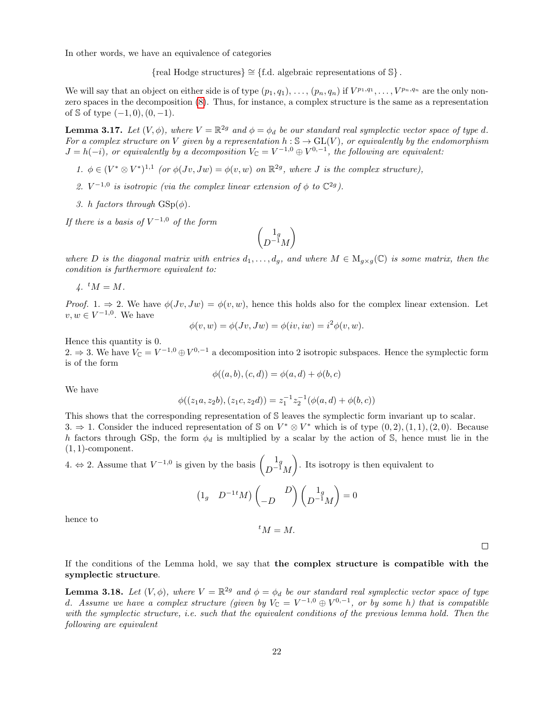In other words, we have an equivalence of categories

{real Hodge structures} ∼= {f.d. algebraic representations of S} .

We will say that an object on either side is of type  $(p_1, q_1), \ldots, (p_n, q_n)$  if  $V^{p_1, q_1}, \ldots, V^{p_n, q_n}$  are the only nonzero spaces in the decomposition [\(8\)](#page-20-2). Thus, for instance, a complex structure is the same as a representation of  $\Im$  of type  $(-1, 0), (0, -1)$ .

<span id="page-21-0"></span>**Lemma 3.17.** Let  $(V, \phi)$ , where  $V = \mathbb{R}^{2g}$  and  $\phi = \phi_d$  be our standard real symplectic vector space of type d. For a complex structure on V given by a representation  $h : \mathbb{S} \to GL(V)$ , or equivalently by the endomorphism  $J = h(-i)$ , or equivalently by a decomposition  $V_{\mathbb{C}} = V^{-1,0} \oplus V^{0,-1}$ , the following are equivalent:

- 1.  $\phi \in (V^* \otimes V^*)^{1,1}$  (or  $\phi(Jv, Jw) = \phi(v, w)$  on  $\mathbb{R}^{2g}$ , where J is the complex structure),
- 2.  $V^{-1,0}$  is isotropic (via the complex linear extension of  $\phi$  to  $\mathbb{C}^{2g}$ ).
- 3. h factors through  $GSp(\phi)$ .

If there is a basis of  $V^{-1,0}$  of the form

$$
\begin{pmatrix} 1_g \\ D^{-1}M \end{pmatrix}
$$

where D is the diagonal matrix with entries  $d_1, \ldots, d_q$ , and where  $M \in M_{q \times q}(\mathbb{C})$  is some matrix, then the condition is furthermore equivalent to:

 $\lambda$ .  $^tM = M$ .

Proof. 1.  $\Rightarrow$  2. We have  $\phi(Jv, Jw) = \phi(v, w)$ , hence this holds also for the complex linear extension. Let  $v, w \in V^{-1,0}$ . We have

$$
\phi(v, w) = \phi(Jv, Jw) = \phi(iv, iw) = i^2 \phi(v, w).
$$

Hence this quantity is 0.

2. ⇒ 3. We have  $V_{\mathbb{C}} = V^{-1,0} \oplus V^{0,-1}$  a decomposition into 2 isotropic subspaces. Hence the symplectic form is of the form

$$
\phi((a, b), (c, d)) = \phi(a, d) + \phi(b, c)
$$

We have

$$
\phi((z_1a, z_2b), (z_1c, z_2d)) = z_1^{-1}z_2^{-1}(\phi(a, d) + \phi(b, c))
$$

This shows that the corresponding representation of S leaves the symplectic form invariant up to scalar. 3. ⇒ 1. Consider the induced representation of S on  $V^* \otimes V^*$  which is of type  $(0, 2), (1, 1), (2, 0)$ . Because h factors through GSp, the form  $\phi_d$  is multiplied by a scalar by the action of S, hence must lie in the  $(1, 1)$ -component.

4. ⇔ 2. Assume that  $V^{-1,0}$  is given by the basis  $\begin{pmatrix} 1_g \\ D-1_g \end{pmatrix}$  $D^{-1}M$ . Its isotropy is then equivalent to

$$
\begin{pmatrix} 1_g & D^{-1}M \end{pmatrix} \begin{pmatrix} D \\ -D \end{pmatrix} \begin{pmatrix} 1_g \\ D^{-1}M \end{pmatrix} = 0
$$

hence to

$$
{}^tM=M.
$$

 $\Box$ 

If the conditions of the Lemma hold, we say that the complex structure is compatible with the symplectic structure.

<span id="page-21-1"></span>**Lemma 3.18.** Let  $(V, \phi)$ , where  $V = \mathbb{R}^{2g}$  and  $\phi = \phi_d$  be our standard real symplectic vector space of type d. Assume we have a complex structure (given by  $V_{\mathbb{C}} = V^{-1,0} \oplus V^{0,-1}$ , or by some h) that is compatible with the symplectic structure, i.e. such that the equivalent conditions of the previous lemma hold. Then the following are equivalent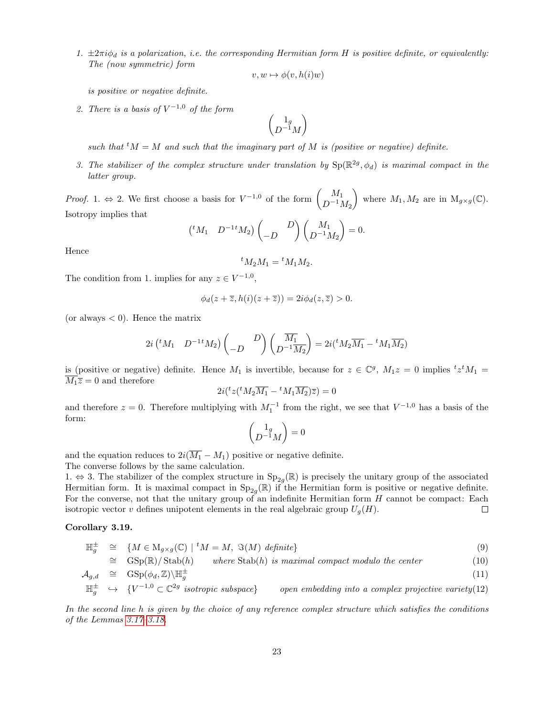1.  $\pm 2\pi i \phi_d$  is a polarization, i.e. the corresponding Hermitian form H is positive definite, or equivalently: The (now symmetric) form

$$
v, w \mapsto \phi(v, h(i)w)
$$

is positive or negative definite.

2. There is a basis of  $V^{-1,0}$  of the form

$$
\begin{pmatrix} 1_g \\ D^{-1}M \end{pmatrix}
$$

such that  ${}^tM = M$  and such that the imaginary part of M is (positive or negative) definite.

3. The stabilizer of the complex structure under translation by  $Sp(\mathbb{R}^{2g}, \phi_d)$  is maximal compact in the latter group.

*Proof.* 1.  $\Leftrightarrow$  2. We first choose a basis for  $V^{-1,0}$  of the form  $\begin{pmatrix} M_1 \\ D-1 \end{pmatrix}$  $D^{-1}M_2$ where  $M_1, M_2$  are in  $M_{g \times g}(\mathbb{C})$ . Isotropy implies that

$$
\begin{pmatrix}^t M_1 & D^{-1} M_2 \end{pmatrix} \begin{pmatrix} D \\ -D \end{pmatrix} \begin{pmatrix} M_1 \\ D^{-1} M_2 \end{pmatrix} = 0.
$$

Hence

$$
^tM_2M_1={}^tM_1M_2.
$$

The condition from 1. implies for any  $z \in V^{-1,0}$ ,

$$
\phi_d(z+\overline{z},h(i)(z+\overline{z}))=2i\phi_d(z,\overline{z})>0.
$$

(or always  $< 0$ ). Hence the matrix

$$
2i \left( {}^{t}M_{1} \quad D^{-1} {}^{t}M_{2} \right) \begin{pmatrix} D \\ -D \end{pmatrix} \begin{pmatrix} \overline{M_{1}} \\ D^{-1} \overline{M_{2}} \end{pmatrix} = 2i \left( {}^{t}M_{2} \overline{M_{1}} - {}^{t}M_{1} \overline{M_{2}} \right)
$$

is (positive or negative) definite. Hence  $M_1$  is invertible, because for  $z \in \mathbb{C}^g$ ,  $M_1z = 0$  implies  ${}^t z^t M_1 =$  $\overline{M_1\overline{z}}=0$  and therefore

$$
2i({}^t z({}^t M_2 \overline{M_1} - {}^t M_1 \overline{M_2}) \overline{z}) = 0
$$

and therefore  $z = 0$ . Therefore multiplying with  $M_1^{-1}$  from the right, we see that  $V^{-1,0}$  has a basis of the form:

$$
\begin{pmatrix} 1_g \\ D^{-1}M \end{pmatrix} = 0
$$

and the equation reduces to  $2i(\overline{M_1} - M_1)$  positive or negative definite.

The converse follows by the same calculation.

1.  $\Leftrightarrow$  3. The stabilizer of the complex structure in Sp<sub>2g</sub>(ℝ) is precisely the unitary group of the associated Hermitian form. It is maximal compact in  $Sp_{2g}(\mathbb{R})$  if the Hermitian form is positive or negative definite. For the converse, not that the unitary group of an indefinite Hermitian form H cannot be compact: Each isotropic vector v defines unipotent elements in the real algebraic group  $U_g(H)$ .  $\Box$ 

### <span id="page-22-1"></span>Corollary 3.19.

<span id="page-22-0"></span>
$$
\mathbb{H}_g^{\pm} \cong \{ M \in M_{g \times g}(\mathbb{C}) \mid {}^t M = M, \ \Im(M) \ \text{definite} \} \tag{9}
$$

$$
\cong \quad \text{GSp}(\mathbb{R})/\text{Stab}(h) \qquad \text{where } \text{Stab}(h) \text{ is maximal compact modulo the center} \tag{10}
$$

$$
\mathcal{A}_{g,d} \quad \cong \quad \text{GSp}(\phi_d, \mathbb{Z}) \backslash \mathbb{H}_g^{\pm} \tag{11}
$$

 $\mathbb{H}_g^{\pm} \quad \hookrightarrow \quad \{V^{-1,0} \subset \mathbb{C}^{2g}\}$ open embedding into a complex projective variety $(12)$ 

In the second line h is given by the choice of any reference complex structure which satisfies the conditions of the Lemmas [3.17–](#page-21-0)[3.18.](#page-21-1)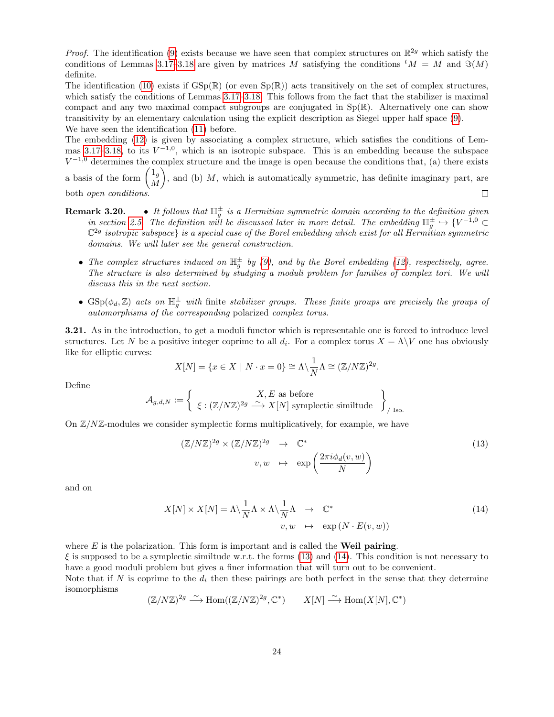*Proof.* The identification [\(9\)](#page-22-0) exists because we have seen that complex structures on  $\mathbb{R}^{2g}$  which satisfy the conditions of Lemmas [3.17–](#page-21-0)[3.18](#page-21-1) are given by matrices M satisfying the conditions  ${}^tM = M$  and  $\Im(M)$ definite.

The identification [\(10\)](#page-22-0) exists if  $GSp(\mathbb{R})$  (or even  $Sp(\mathbb{R})$ ) acts transitively on the set of complex structures. which satisfy the conditions of Lemmas [3.17–](#page-21-0)[3.18.](#page-21-1) This follows from the fact that the stabilizer is maximal compact and any two maximal compact subgroups are conjugated in  $Sp(\mathbb{R})$ . Alternatively one can show transitivity by an elementary calculation using the explicit description as Siegel upper half space [\(9\)](#page-22-0). We have seen the identification [\(11\)](#page-22-0) before.

The embedding [\(12\)](#page-22-0) is given by associating a complex structure, which satisfies the conditions of Lem-mas [3.17](#page-21-0)[–3.18,](#page-21-1) to its  $V^{-1,0}$ , which is an isotropic subspace. This is an embedding because the subspace  $V^{-1,0}$  determines the complex structure and the image is open because the conditions that, (a) there exists a basis of the form  $\begin{pmatrix} 1_g \\ M \end{pmatrix}$ M ), and (b)  $M$ , which is automatically symmetric, has definite imaginary part, are

both open conditions.

- **Remark 3.20.** It follows that  $\mathbb{H}_g^{\pm}$  is a Hermitian symmetric domain according to the definition given in section [2.5.](#page-6-2) The definition will be discussed later in more detail. The embedding  $\mathbb{H}_g^{\pm} \hookrightarrow \{V^{-1,0} \subset$  $\mathbb{C}^{2g}$  isotropic subspace) is a special case of the Borel embedding which exist for all Hermitian symmetric domains. We will later see the general construction.
	- The complex structures induced on  $\mathbb{H}^{\pm}_{g}$  by [\(9\)](#page-22-0), and by the Borel embedding [\(12\)](#page-22-0), respectively, agree. The structure is also determined by studying a moduli problem for families of complex tori. We will discuss this in the next section.
	- $GSp(\phi_d, \mathbb{Z})$  acts on  $\mathbb{H}^{\pm}_g$  with finite stabilizer groups. These finite groups are precisely the groups of automorphisms of the corresponding polarized complex torus.

3.21. As in the introduction, to get a moduli functor which is representable one is forced to introduce level structures. Let N be a positive integer coprime to all  $d_i$ . For a complex torus  $X = \Lambda \backslash V$  one has obviously like for elliptic curves:

$$
X[N] = \{x \in X \mid N \cdot x = 0\} \cong \Lambda \backslash \frac{1}{N} \Lambda \cong (\mathbb{Z}/N\mathbb{Z})^{2g}.
$$

Define

$$
\mathcal{A}_{g,d,N} := \left\{ \begin{array}{c} X,E \text{ as before} \\ \xi: (\mathbb{Z}/N\mathbb{Z})^{2g} \stackrel{\sim}{\longrightarrow} X[N] \text{ symplectic similtude} \end{array} \right\}_{/ \text{ Iso.}}
$$

On  $\mathbb{Z}/N\mathbb{Z}$ -modules we consider symplectic forms multiplicatively, for example, we have

<span id="page-23-0"></span>
$$
(\mathbb{Z}/N\mathbb{Z})^{2g} \times (\mathbb{Z}/N\mathbb{Z})^{2g} \rightarrow \mathbb{C}^*
$$
  

$$
v, w \mapsto \exp\left(\frac{2\pi i \phi_d(v, w)}{N}\right)
$$
 (13)

 $\Box$ 

and on

<span id="page-23-1"></span>
$$
X[N] \times X[N] = \Lambda \setminus \frac{1}{N} \Lambda \times \Lambda \setminus \frac{1}{N} \Lambda \rightarrow \mathbb{C}^*
$$
  

$$
v, w \mapsto \exp(N \cdot E(v, w))
$$
 (14)

where  $E$  is the polarization. This form is important and is called the **Weil pairing.** 

 $\xi$  is supposed to be a symplectic similtude w.r.t. the forms [\(13\)](#page-23-0) and [\(14\)](#page-23-1). This condition is not necessary to have a good moduli problem but gives a finer information that will turn out to be convenient.

Note that if N is coprime to the  $d_i$  then these pairings are both perfect in the sense that they determine isomorphisms

$$
(\mathbb{Z}/N\mathbb{Z})^{2g} \xrightarrow{\sim} \text{Hom}((\mathbb{Z}/N\mathbb{Z})^{2g}, \mathbb{C}^*) \qquad X[N] \xrightarrow{\sim} \text{Hom}(X[N], \mathbb{C}^*)
$$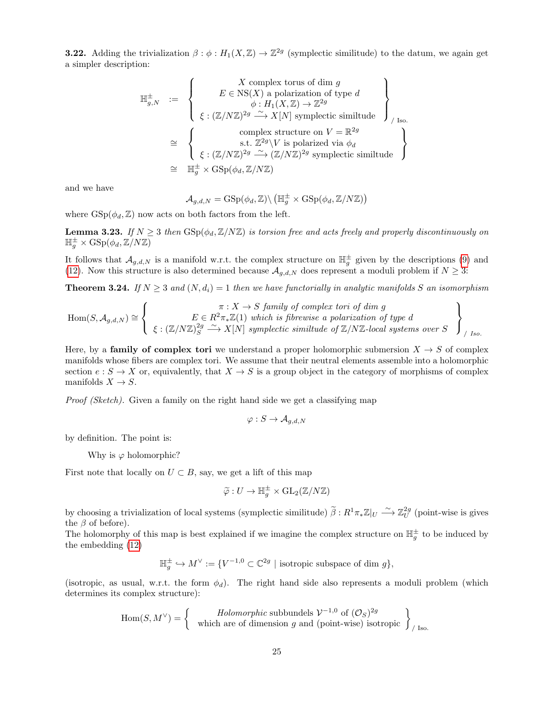**3.22.** Adding the trivialization  $\beta : \phi : H_1(X, \mathbb{Z}) \to \mathbb{Z}^{2g}$  (symplectic similitude) to the datum, we again get a simpler description:

$$
\mathbb{H}_{g,N}^{\pm} := \left\{ \begin{array}{c} X \text{ complex torus of dim } g \\ E \in \operatorname{NS}(X) \text{ a polarization of type } d \\ \phi: H_1(X, \mathbb{Z}) \to \mathbb{Z}^{2g} \\ \xi: (\mathbb{Z}/N\mathbb{Z})^{2g} \xrightarrow{\sim} X[N] \text{ symplectic similtude} \end{array} \right\}_{/ \text{ Iso.}
$$
  
\n
$$
\cong \left\{ \begin{array}{c} \text{complex structure on } V = \mathbb{R}^{2g} \\ \text{s.t. } \mathbb{Z}^{2g} \backslash V \text{ is polarized via } \phi_d \\ \xi: (\mathbb{Z}/N\mathbb{Z})^{2g} \xrightarrow{\sim} (\mathbb{Z}/N\mathbb{Z})^{2g} \text{ symplectic similtude} \end{array} \right\}
$$
  
\n
$$
\cong \mathbb{H}_g^{\pm} \times \operatorname{GSp}(\phi_d, \mathbb{Z}/N\mathbb{Z})
$$

and we have

$$
\mathcal{A}_{g,d,N}=\operatorname{GSp}(\phi_d,\mathbb{Z})\backslash\left(\mathbb{H}_g^\pm\times\operatorname{GSp}(\phi_d,\mathbb{Z}/N\mathbb{Z})\right)
$$

where  $\text{GSp}(\phi_d, \mathbb{Z})$  now acts on both factors from the left.

**Lemma 3.23.** If  $N \geq 3$  then  $GSp(\phi_d, \mathbb{Z}/N\mathbb{Z})$  is torsion free and acts freely and properly discontinuously on  $\mathbb{H}^{\pm}_g \times \mathrm{GSp}(\phi_d, \mathbb{Z}/N\mathbb{Z})$ 

It follows that  $\mathcal{A}_{g,d,N}$  is a manifold w.r.t. the complex structure on  $\mathbb{H}_g^{\pm}$  given by the descriptions [\(9\)](#page-22-0) and [\(12\)](#page-22-0). Now this structure is also determined because  $\mathcal{A}_{g,d,N}$  does represent a moduli problem if  $N \geq 3$ :

**Theorem 3.24.** If  $N \geq 3$  and  $(N, d_i) = 1$  then we have functorially in analytic manifolds S an isomorphism

$$
\text{Hom}(S, \mathcal{A}_{g,d,N}) \cong \left\{ \begin{array}{c} \pi: X \to S \text{ family of complex tori of } \text{dim } g \\ E \in R^2 \pi_* \mathbb{Z}(1) \text{ which is fibrewise a polarization of type } d \\ \xi: (\mathbb{Z}/N\mathbb{Z})_S^{2g} \xrightarrow{\sim} X[N] \text{ symplectic similtude of } \mathbb{Z}/N\mathbb{Z}\text{-local systems over } S \end{array} \right\}_{/Iso.}
$$

Here, by a **family of complex tori** we understand a proper holomorphic submersion  $X \rightarrow S$  of complex manifolds whose fibers are complex tori. We assume that their neutral elements assemble into a holomorphic section  $e : S \to X$  or, equivalently, that  $X \to S$  is a group object in the category of morphisms of complex manifolds  $X \to S$ .

Proof (Sketch). Given a family on the right hand side we get a classifying map

$$
\varphi: S \to \mathcal{A}_{g,d,N}
$$

by definition. The point is:

Why is  $\varphi$  holomorphic?

First note that locally on  $U \subset B$ , say, we get a lift of this map

$$
\widetilde{\varphi}: U \to \mathbb{H}_g^{\pm} \times \mathrm{GL}_2(\mathbb{Z}/N\mathbb{Z})
$$

by choosing a trivialization of local systems (symplectic similitude)  $\tilde{\beta}: R^1\pi_*\mathbb{Z}|_U \xrightarrow{\sim} \mathbb{Z}_U^{2g}$  (point-wise is gives the  $\beta$  of before).

The holomorphy of this map is best explained if we imagine the complex structure on  $\mathbb{H}_g^{\pm}$  to be induced by the embedding [\(12\)](#page-22-0)

$$
\mathbb H_g^\pm \hookrightarrow M^\vee := \{ V^{-1,0} \subset \mathbb C^{2g} \ | \ \text{isotropic subspace of dim } g \},
$$

(isotropic, as usual, w.r.t. the form  $\phi_d$ ). The right hand side also represents a moduli problem (which determines its complex structure):

$$
\text{Hom}(S, M^{\vee}) = \left\{ \begin{array}{c} \text{Holomorphic subbundels } \mathcal{V}^{-1,0} \text{ of } (\mathcal{O}_S)^{2g} \\ \text{which are of dimension } g \text{ and (point-wise) isotropic} \end{array} \right\}_{/ \text{ Iso.}}
$$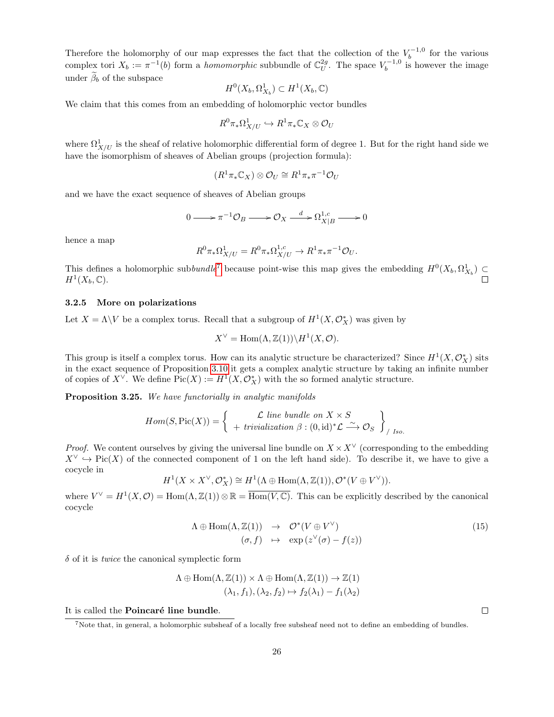Therefore the holomorphy of our map expresses the fact that the collection of the  $V_b^{-1,0}$  for the various complex tori  $X_b := \pi^{-1}(b)$  form a *homomorphic* subbundle of  $\mathbb{C}_U^{2g}$ . The space  $V_b^{-1,0}$  is however the image under  $\widetilde{\beta}_b$  of the subspace

$$
H^0(X_b,\Omega^1_{X_b})\subset H^1(X_b,\mathbb{C})
$$

We claim that this comes from an embedding of holomorphic vector bundles

$$
R^0\pi_*\Omega^1_{X/U} \hookrightarrow R^1\pi_*\mathbb{C}_X \otimes \mathcal{O}_U
$$

where  $\Omega^1_{X/U}$  is the sheaf of relative holomorphic differential form of degree 1. But for the right hand side we have the isomorphism of sheaves of Abelian groups (projection formula):

$$
(R^1\pi_*\mathbb{C}_X)\otimes\mathcal{O}_U\cong R^1\pi_*\pi^{-1}\mathcal{O}_U
$$

and we have the exact sequence of sheaves of Abelian groups

$$
0 \longrightarrow \pi^{-1} \mathcal{O}_B \longrightarrow \mathcal{O}_X \xrightarrow{d} \Omega_{X|B}^{1,c} \longrightarrow 0
$$

hence a map

$$
R^0 \pi_* \Omega^1_{X/U} = R^0 \pi_* \Omega^{1,c}_{X/U} \to R^1 \pi_* \pi^{-1} \mathcal{O}_U.
$$

This defines a holomorphic subbundle<sup>[7](#page-25-0)</sup> because point-wise this map gives the embedding  $H^0(X_b, \Omega^1_{X_b}) \subset$  $H^1(X_b, \mathbb{C}).$ 

### <span id="page-25-2"></span>3.2.5 More on polarizations

Let  $X = \Lambda \backslash V$  be a complex torus. Recall that a subgroup of  $H^1(X, \mathcal{O}_X^*)$  was given by

$$
X^{\vee} = \text{Hom}(\Lambda, \mathbb{Z}(1)) \backslash H^1(X, \mathcal{O}).
$$

This group is itself a complex torus. How can its analytic structure be characterized? Since  $H^1(X, \mathcal{O}_X^*)$  sits in the exact sequence of Proposition [3.10](#page-18-0) it gets a complex analytic structure by taking an infinite number of copies of  $X^{\vee}$ . We define  $Pic(X) := H^{1}(X, \mathcal{O}_{X}^{*})$  with the so formed analytic structure.

<span id="page-25-3"></span>Proposition 3.25. We have functorially in analytic manifolds

$$
Hom(S, Pic(X)) = \left\{ \begin{array}{c} \mathcal{L} \text{ line bundle on } X \times S \\ + \text{ trivialization } \beta : (0, id)^* \mathcal{L} \xrightarrow{\sim} \mathcal{O}_S \end{array} \right\}_{/Iso.}
$$

*Proof.* We content ourselves by giving the universal line bundle on  $X \times X^{\vee}$  (corresponding to the embedding  $X^{\vee} \hookrightarrow Pic(X)$  of the connected component of 1 on the left hand side). To describe it, we have to give a cocycle in

$$
H^1(X\times X^{\vee}, \mathcal{O}_X^*)\cong H^1(\Lambda\oplus \mathrm{Hom}(\Lambda,\mathbb{Z}(1)),\mathcal{O}^*(V\oplus V^{\vee})).
$$

where  $V^{\vee} = H^{1}(X, \mathcal{O}) = \text{Hom}(\Lambda, \mathbb{Z}(1)) \otimes \mathbb{R} = \overline{\text{Hom}(V, \mathbb{C})}$ . This can be explicitly described by the canonical cocycle

<span id="page-25-1"></span>
$$
\Lambda \oplus \text{Hom}(\Lambda, \mathbb{Z}(1)) \rightarrow \mathcal{O}^*(V \oplus V^{\vee})
$$
  
\n
$$
(\sigma, f) \mapsto \exp(z^{\vee}(\sigma) - f(z))
$$
\n(15)

 $\delta$  of it is *twice* the canonical symplectic form

$$
\Lambda \oplus \text{Hom}(\Lambda, \mathbb{Z}(1)) \times \Lambda \oplus \text{Hom}(\Lambda, \mathbb{Z}(1)) \to \mathbb{Z}(1)
$$

$$
(\lambda_1, f_1), (\lambda_2, f_2) \mapsto f_2(\lambda_1) - f_1(\lambda_2)
$$

It is called the Poincaré line bundle.

 $\Box$ 

<span id="page-25-0"></span><sup>7</sup>Note that, in general, a holomorphic subsheaf of a locally free subsheaf need not to define an embedding of bundles.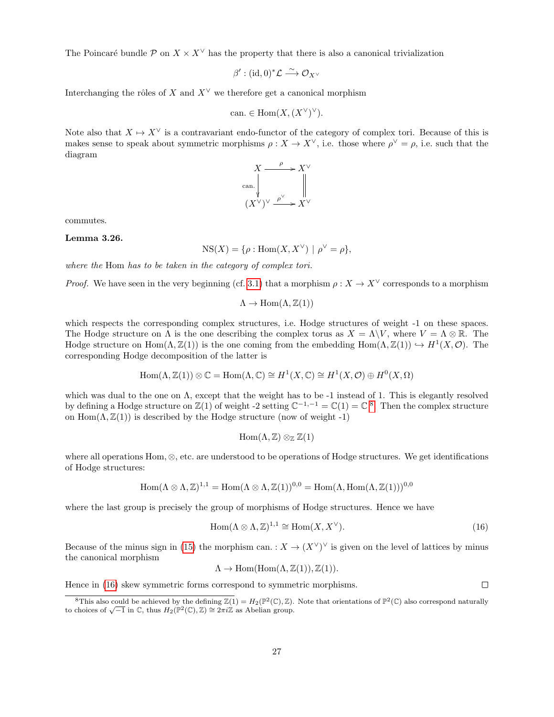The Poincaré bundle P on  $X \times X^{\vee}$  has the property that there is also a canonical trivialization

$$
\beta':(\mathrm{id},0)^*\mathcal{L}\stackrel{\sim}{\longrightarrow}\mathcal{O}_{X^\vee}
$$

Interchanging the rôles of X and  $X^{\vee}$  we therefore get a canonical morphism

can. 
$$
\in \text{Hom}(X, (X^{\vee})^{\vee}).
$$

Note also that  $X \mapsto X^{\vee}$  is a contravariant endo-functor of the category of complex tori. Because of this is makes sense to speak about symmetric morphisms  $\rho: X \to X^{\vee}$ , i.e. those where  $\rho^{\vee} = \rho$ , i.e. such that the diagram



commutes.

### Lemma 3.26.

$$
NS(X) = \{ \rho : \text{Hom}(X, X^{\vee}) \mid \rho^{\vee} = \rho \},
$$

where the Hom has to be taken in the category of complex tori.

*Proof.* We have seen in the very beginning (cf. [3.1\)](#page-12-1) that a morphism  $\rho: X \to X^{\vee}$  corresponds to a morphism

$$
\Lambda \to \mathrm{Hom}(\Lambda,\mathbb{Z}(1))
$$

which respects the corresponding complex structures, i.e. Hodge structures of weight -1 on these spaces. The Hodge structure on  $\Lambda$  is the one describing the complex torus as  $X = \Lambda \backslash V$ , where  $V = \Lambda \otimes \mathbb{R}$ . The Hodge structure on Hom $(\Lambda, \mathbb{Z}(1))$  is the one coming from the embedding  $\text{Hom}(\Lambda, \mathbb{Z}(1)) \hookrightarrow H^1(X, \mathcal{O})$ . The corresponding Hodge decomposition of the latter is

$$
Hom(\Lambda, \mathbb{Z}(1)) \otimes \mathbb{C} = Hom(\Lambda, \mathbb{C}) \cong H^1(X, \mathbb{C}) \cong H^1(X, \mathcal{O}) \oplus H^0(X, \Omega)
$$

which was dual to the one on Λ, except that the weight has to be -1 instead of 1. This is elegantly resolved by defining a Hodge structure on  $\mathbb{Z}(1)$  of weight -2 setting  $\mathbb{C}^{-1,-1} = \mathbb{C}(1) = \mathbb{C}^{8}$  $\mathbb{C}^{-1,-1} = \mathbb{C}(1) = \mathbb{C}^{8}$  $\mathbb{C}^{-1,-1} = \mathbb{C}(1) = \mathbb{C}^{8}$ . Then the complex structure on  $\text{Hom}(\Lambda, \mathbb{Z}(1))$  is described by the Hodge structure (now of weight -1)

$$
\mathrm{Hom}(\Lambda,\mathbb{Z})\otimes_{\mathbb{Z}}\mathbb{Z}(1)
$$

where all operations Hom, ⊗, etc. are understood to be operations of Hodge structures. We get identifications of Hodge structures:

$$
\operatorname{Hom}(\Lambda \otimes \Lambda, \mathbb{Z})^{1,1} = \operatorname{Hom}(\Lambda \otimes \Lambda, \mathbb{Z}(1))^{0,0} = \operatorname{Hom}(\Lambda, \operatorname{Hom}(\Lambda, \mathbb{Z}(1)))^{0,0}
$$

where the last group is precisely the group of morphisms of Hodge structures. Hence we have

<span id="page-26-1"></span>
$$
Hom(\Lambda \otimes \Lambda, \mathbb{Z})^{1,1} \cong Hom(X, X^{\vee}).
$$
\n(16)

Because of the minus sign in [\(15\)](#page-25-1) the morphism can. :  $X \to (X^{\vee})^{\vee}$  is given on the level of lattices by minus the canonical morphism

$$
\Lambda \to \text{Hom}(\text{Hom}(\Lambda, \mathbb{Z}(1)), \mathbb{Z}(1)).
$$

Hence in [\(16\)](#page-26-1) skew symmetric forms correspond to symmetric morphisms.

 $\Box$ 

<span id="page-26-0"></span><sup>&</sup>lt;sup>8</sup>This also could be achieved by the defining  $\mathbb{Z}(1) = H_2(\mathbb{P}^2(\mathbb{C}), \mathbb{Z})$ . Note that orientations of  $\mathbb{P}^2(\mathbb{C})$  also correspond naturally This also could be achieved by the defining  $\mathbb{Z}(1) = H_2(\mathbb{F}^{-1}(\mathbb{C}), \mathbb{Z})$ .<br>to choices of  $\sqrt{-1}$  in  $\mathbb{C}$ , thus  $H_2(\mathbb{P}^2(\mathbb{C}), \mathbb{Z}) \cong 2\pi i \mathbb{Z}$  as Abelian group.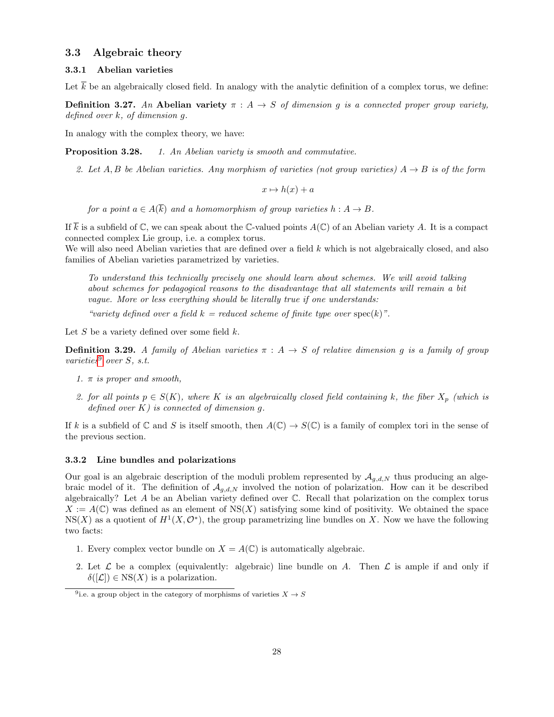### <span id="page-27-1"></span>3.3 Algebraic theory

### <span id="page-27-2"></span>3.3.1 Abelian varieties

Let  $\overline{k}$  be an algebraically closed field. In analogy with the analytic definition of a complex torus, we define:

**Definition 3.27.** An Abelian variety  $\pi : A \rightarrow S$  of dimension g is a connected proper group variety, defined over k, of dimension g.

In analogy with the complex theory, we have:

**Proposition 3.28.** 1. An Abelian variety is smooth and commutative.

2. Let A, B be Abelian varieties. Any morphism of varieties (not group varieties)  $A \rightarrow B$  is of the form

 $x \mapsto h(x) + a$ 

for a point  $a \in A(\overline{k})$  and a homomorphism of group varieties  $h : A \to B$ .

If  $\overline{k}$  is a subfield of  $\mathbb{C}$ , we can speak about the  $\mathbb{C}$ -valued points  $A(\mathbb{C})$  of an Abelian variety A. It is a compact connected complex Lie group, i.e. a complex torus.

We will also need Abelian varieties that are defined over a field k which is not algebraically closed, and also families of Abelian varieties parametrized by varieties.

To understand this technically precisely one should learn about schemes. We will avoid talking about schemes for pedagogical reasons to the disadvantage that all statements will remain a bit vague. More or less everything should be literally true if one understands:

"variety defined over a field  $k =$  reduced scheme of finite type over spec $(k)$ ".

Let S be a variety defined over some field  $k$ .

**Definition 3.29.** A family of Abelian varieties  $\pi$  : A  $\rightarrow$  S of relative dimension q is a family of group varieties<sup>[9](#page-27-0)</sup> over  $S$ , s.t.

- 1.  $\pi$  is proper and smooth,
- 2. for all points  $p \in S(K)$ , where K is an algebraically closed field containing k, the fiber  $X_p$  (which is defined over  $K$ ) is connected of dimension g.

If k is a subfield of  $\mathbb C$  and S is itself smooth, then  $A(\mathbb C) \to S(\mathbb C)$  is a family of complex tori in the sense of the previous section.

#### <span id="page-27-3"></span>3.3.2 Line bundles and polarizations

Our goal is an algebraic description of the moduli problem represented by  $A_{q,d,N}$  thus producing an algebraic model of it. The definition of  $\mathcal{A}_{q,d,N}$  involved the notion of polarization. How can it be described algebraically? Let A be an Abelian variety defined over C. Recall that polarization on the complex torus  $X := A(\mathbb{C})$  was defined as an element of NS(X) satisfying some kind of positivity. We obtained the space  $NS(X)$  as a quotient of  $H^1(X, \mathcal{O}^*)$ , the group parametrizing line bundles on X. Now we have the following two facts:

- 1. Every complex vector bundle on  $X = A(\mathbb{C})$  is automatically algebraic.
- 2. Let  $\mathcal L$  be a complex (equivalently: algebraic) line bundle on A. Then  $\mathcal L$  is ample if and only if  $\delta(|\mathcal{L}|) \in \text{NS}(X)$  is a polarization.

<span id="page-27-0"></span><sup>&</sup>lt;sup>9</sup>i.e. a group object in the category of morphisms of varieties  $X \to S$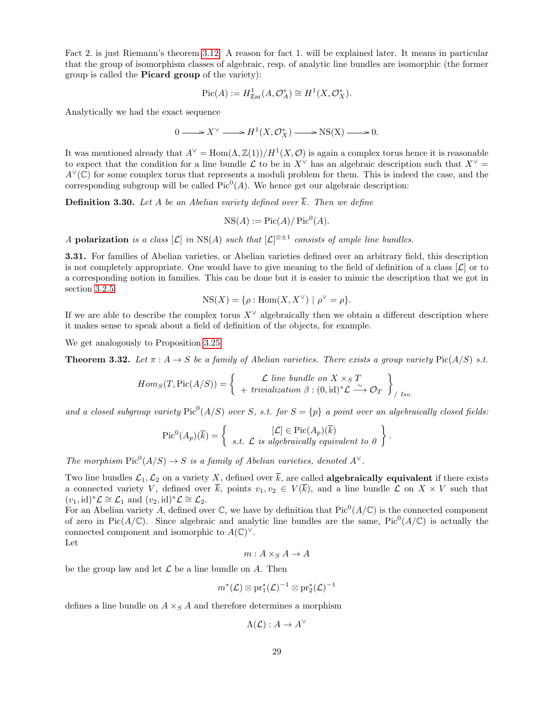Fact 2. is just Riemann's theorem [3.12.](#page-19-0) A reason for fact 1. will be explained later. It means in particular that the group of isomorphism classes of algebraic, resp. of analytic line bundles are isomorphic (the former group is called the Picard group of the variety):

$$
Pic(A) := H^1_{\text{Zar}}(A, \mathcal{O}_A^*) \cong H^1(X, \mathcal{O}_X^*).
$$

Analytically we had the exact sequence

$$
0 \longrightarrow X^{\vee} \longrightarrow H^{1}(X, \mathcal{O}_{X}^{*}) \longrightarrow NS(X) \longrightarrow 0.
$$

It was mentioned already that  $A^{\vee} = \text{Hom}(\Lambda, \mathbb{Z}(1))/H^1(X, \mathcal{O})$  is again a complex torus hence it is reasonable to expect that the condition for a line bundle L to be in  $X^{\vee}$  has an algebraic description such that  $X^{\vee}$  =  $A<sup>∨</sup>(**C**)$  for some complex torus that represents a moduli problem for them. This is indeed the case, and the corresponding subgroup will be called  $Pic^0(A)$ . We hence get our algebraic description:

**Definition 3.30.** Let A be an Abelian variety defined over  $\overline{k}$ . Then we define

$$
NS(A) := Pic(A)/ Pic^0(A).
$$

A polarization is a class  $[\mathcal{L}]$  in NS(A) such that  $[\mathcal{L}]^{\otimes \pm 1}$  consists of ample line bundles.

3.31. For families of Abelian varieties, or Abelian varieties defined over an arbitrary field, this description is not completely appropriate. One would have to give meaning to the field of definition of a class  $[\mathcal{L}]$  or to a corresponding notion in families. This can be done but it is easier to mimic the description that we got in section [3.2.5:](#page-25-2)

$$
NS(X) = \{ \rho : \text{Hom}(X, X^{\vee}) \mid \rho^{\vee} = \rho \}.
$$

If we are able to describe the complex torus  $X^{\vee}$  algebraically then we obtain a different description where it makes sense to speak about a field of definition of the objects, for example.

We get analogously to Proposition [3.25:](#page-25-3)

**Theorem 3.32.** Let  $\pi : A \to S$  be a family of Abelian varieties. There exists a group variety Pic( $A/S$ ) s.t.

$$
Hom_S(T, \text{Pic}(A/S)) = \left\{ \begin{array}{c} \mathcal{L} \text{ line bundle on } X \times_S T \\ + \text{ trivialization } \beta : (0, \text{id})^* \mathcal{L} \xrightarrow{\sim} \mathcal{O}_T \end{array} \right\}_{/Iso.}
$$

and a closed subgroup variety  $Pic^0(A/S)$  over S, s.t. for  $S = \{p\}$  a point over an algebraically closed fields:

$$
\mathrm{Pic}^0(A_p)(\overline{k}) = \left\{ \begin{array}{c} [\mathcal{L}] \in \mathrm{Pic}(A_p)(\overline{k}) \\ s.t. \ \mathcal{L} \ \text{is algebraically equivalent to } 0 \end{array} \right\}.
$$

The morphism  $Pic^0(A/S) \to S$  is a family of Abelian varieties, denoted  $A^{\vee}$ .

Two line bundles  $\mathcal{L}_1,\mathcal{L}_2$  on a variety X, defined over  $\overline{k}$ , are called **algebraically equivalent** if there exists a connected variety V, defined over  $\overline{k}$ , points  $v_1, v_2 \in V(\overline{k})$ , and a line bundle  $\mathcal L$  on  $X \times V$  such that  $(v_1, id)^* \mathcal{L} \cong \mathcal{L}_1$  and  $(v_2, id)^* \mathcal{L} \cong \mathcal{L}_2$ .

For an Abelian variety A, defined over  $\mathbb C$ , we have by definition that  $Pic^0(A/\mathbb C)$  is the connected component of zero in Pic $(A/\mathbb{C})$ . Since algebraic and analytic line bundles are the same, Pic<sup>0</sup> $(A/\mathbb{C})$  is actually the connected component and isomorphic to  $A(\mathbb{C})^{\vee}$ . Let

$$
m:A\times_S A\to A
$$

be the group law and let  $\mathcal L$  be a line bundle on  $A$ . Then

$$
m^*(\mathcal L)\otimes\operatorname{pr}_1^*(\mathcal L)^{-1}\otimes\operatorname{pr}_2^*(\mathcal L)^{-1}
$$

defines a line bundle on  $A \times_S A$  and therefore determines a morphism

$$
\Lambda(\mathcal{L}): A \to A^{\vee}
$$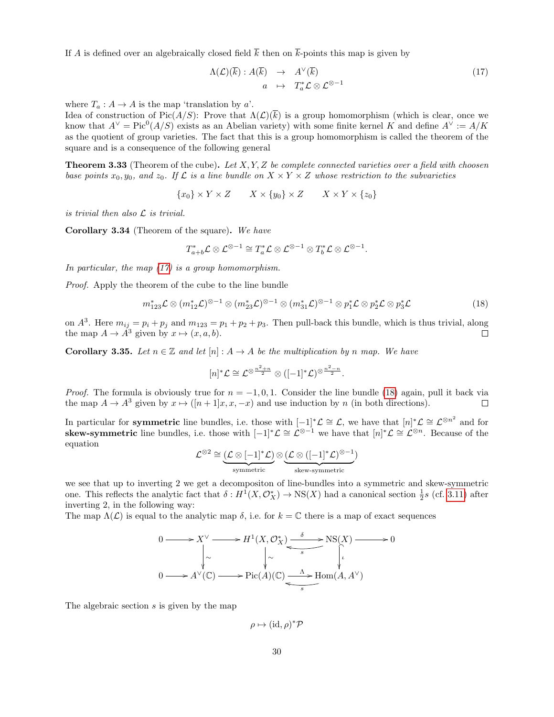If A is defined over an algebraically closed field  $\overline{k}$  then on  $\overline{k}$ -points this map is given by

<span id="page-29-0"></span>
$$
\Lambda(\mathcal{L})(\overline{k}) : A(\overline{k}) \rightarrow A^{\vee}(\overline{k})
$$
  
\n
$$
a \rightarrow T_a^* \mathcal{L} \otimes \mathcal{L}^{\otimes -1}
$$
\n(17)

where  $T_a: A \to A$  is the map 'translation by a'.

Idea of construction of Pic $(A/S)$ : Prove that  $\Lambda(\mathcal{L})(\overline{k})$  is a group homomorphism (which is clear, once we know that  $A^{\vee} = Pic^{0}(A/S)$  exists as an Abelian variety) with some finite kernel K and define  $A^{\vee} := A/K$ as the quotient of group varieties. The fact that this is a group homomorphism is called the theorem of the square and is a consequence of the following general

**Theorem 3.33** (Theorem of the cube). Let  $X, Y, Z$  be complete connected varieties over a field with choosen base points  $x_0, y_0$ , and  $z_0$ . If  $\mathcal{L}$  is a line bundle on  $X \times Y \times Z$  whose restriction to the subvarieties

$$
\{x_0\} \times Y \times Z \qquad X \times \{y_0\} \times Z \qquad X \times Y \times \{z_0\}
$$

is trivial then also  $\mathcal L$  is trivial.

Corollary 3.34 (Theorem of the square). We have

$$
T_{a+b}^* \mathcal{L} \otimes \mathcal{L}^{\otimes -1} \cong T_a^* \mathcal{L} \otimes \mathcal{L}^{\otimes -1} \otimes T_b^* \mathcal{L} \otimes \mathcal{L}^{\otimes -1}.
$$

In particular, the map  $(17)$  is a group homomorphism.

Proof. Apply the theorem of the cube to the line bundle

<span id="page-29-1"></span>
$$
m_{123}^*\mathcal{L}\otimes (m_{12}^*\mathcal{L})^{\otimes -1}\otimes (m_{23}^*\mathcal{L})^{\otimes -1}\otimes (m_{31}^*\mathcal{L})^{\otimes -1}\otimes p_1^*\mathcal{L}\otimes p_2^*\mathcal{L}\otimes p_3^*\mathcal{L}
$$
\n(18)

on  $A^3$ . Here  $m_{ij} = p_i + p_j$  and  $m_{123} = p_1 + p_2 + p_3$ . Then pull-back this bundle, which is thus trivial, along the map  $A \to \overline{A}^3$  given by  $x \mapsto (x, a, b)$ . П

<span id="page-29-2"></span>**Corollary 3.35.** Let  $n \in \mathbb{Z}$  and let  $[n]: A \rightarrow A$  be the multiplication by n map. We have

$$
[n]^*\mathcal{L}\cong \mathcal{L}^{\otimes \frac{n^2+n}{2}}\otimes([-1]^*\mathcal{L})^{\otimes \frac{n^2-n}{2}}.
$$

*Proof.* The formula is obviously true for  $n = -1, 0, 1$ . Consider the line bundle [\(18\)](#page-29-1) again, pull it back via the map  $A \to A^3$  given by  $x \mapsto (n+1)x, x, -x$  and use induction by n (in both directions).  $\Box$ 

In particular for **symmetric** line bundles, i.e. those with  $[-1]^*\mathcal{L} \cong \mathcal{L}$ , we have that  $[n]^*\mathcal{L} \cong \mathcal{L}^{\otimes n^2}$  and for skew-symmetric line bundles, i.e. those with  $[-1]^*\mathcal{L} \cong \mathcal{L}^{\otimes -1}$  we have that  $[n]^*\mathcal{L} \cong \mathcal{L}^{\otimes n}$ . Because of the equation

$$
\mathcal{L}^{\otimes 2} \cong \underbrace{(\mathcal{L} \otimes [-1]^*\mathcal{L})}_{\mathrm{symmetric}} \otimes \underbrace{(\mathcal{L} \otimes ([-1]^*\mathcal{L})^{\otimes -1})}_{\mathrm{skew-symmetric}}
$$

we see that up to inverting 2 we get a decompositon of line-bundles into a symmetric and skew-symmetric one. This reflects the analytic fact that  $\delta: H^1(X, \mathcal{O}_X^*) \to NS(X)$  had a canonical section  $\frac{1}{2}s$  (cf. [3.11\)](#page-18-1) after inverting 2, in the following way:

The map  $\Lambda(\mathcal{L})$  is equal to the analytic map  $\delta$ , i.e. for  $k = \mathbb{C}$  there is a map of exact sequences

$$
0 \longrightarrow X^{\vee} \longrightarrow H^{1}(X, \mathcal{O}_{X}^{*}) \xrightarrow{\delta} \text{NS}(X) \longrightarrow 0
$$
  
\n
$$
\downarrow \sim \qquad \qquad \downarrow \sim \qquad \qquad \downarrow \sim \qquad \qquad \downarrow \qquad \downarrow
$$
  
\n
$$
0 \longrightarrow A^{\vee}(\mathbb{C}) \longrightarrow \text{Pic}(A)(\mathbb{C}) \xrightarrow{\Lambda} \text{Hom}(A, A^{\vee})
$$

The algebraic section s is given by the map

$$
\rho \mapsto (\mathrm{id}, \rho)^* \mathcal{P}
$$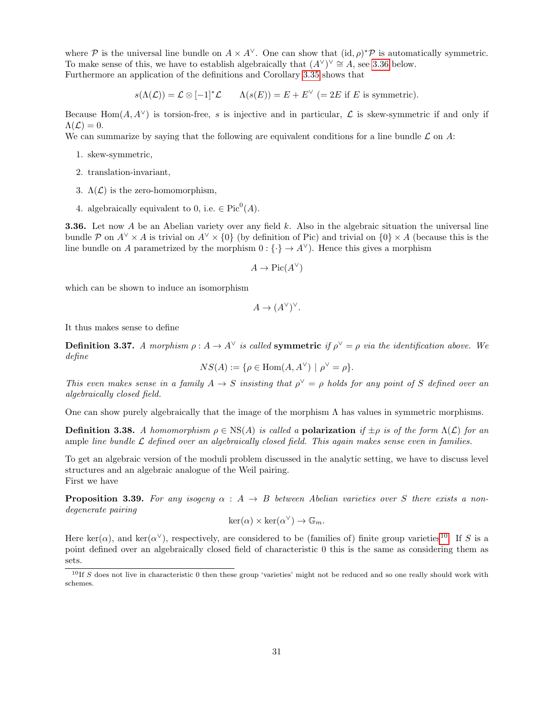where P is the universal line bundle on  $A \times A^{\vee}$ . One can show that  $(id, \rho)^*$ P is automatically symmetric. To make sense of this, we have to establish algebraically that  $(A^{\vee})^{\vee} \cong A$ , see [3.36](#page-30-0) below. Furthermore an application of the definitions and Corollary [3.35](#page-29-2) shows that

$$
s(\Lambda(\mathcal{L})) = \mathcal{L} \otimes [-1]^* \mathcal{L} \qquad \Lambda(s(E)) = E + E^{\vee} = 2E \text{ if } E \text{ is symmetric}.
$$

Because Hom(A, A<sup> $\vee$ </sup>) is torsion-free, s is injective and in particular, L is skew-symmetric if and only if  $\Lambda(\mathcal{L})=0.$ 

We can summarize by saying that the following are equivalent conditions for a line bundle  $\mathcal L$  on A:

- 1. skew-symmetric,
- 2. translation-invariant,
- 3.  $\Lambda(\mathcal{L})$  is the zero-homomorphism,
- 4. algebraically equivalent to 0, i.e.  $\in Pic^0(A)$ .

<span id="page-30-0"></span>**3.36.** Let now A be an Abelian variety over any field k. Also in the algebraic situation the universal line bundle P on  $A^{\vee} \times A$  is trivial on  $A^{\vee} \times \{0\}$  (by definition of Pic) and trivial on  $\{0\} \times A$  (because this is the line bundle on A parametrized by the morphism  $0: {\{\cdot\}} \to A^{\vee}$ . Hence this gives a morphism

$$
A \to \text{Pic}(A^{\vee})
$$

which can be shown to induce an isomorphism

$$
A \to (A^{\vee})^{\vee}.
$$

It thus makes sense to define

**Definition 3.37.** A morphism  $\rho : A \to A^{\vee}$  is called **symmetric** if  $\rho^{\vee} = \rho$  via the identification above. We define

$$
NS(A) := \{ \rho \in \text{Hom}(A, A^{\vee}) \mid \rho^{\vee} = \rho \}.
$$

This even makes sense in a family  $A \to S$  insisting that  $\rho^{\vee} = \rho$  holds for any point of S defined over an algebraically closed field.

One can show purely algebraically that the image of the morphism  $\Lambda$  has values in symmetric morphisms.

**Definition 3.38.** A homomorphism  $\rho \in \text{NS}(A)$  is called a **polarization** if  $\pm \rho$  is of the form  $\Lambda(\mathcal{L})$  for an ample line bundle  $\mathcal L$  defined over an algebraically closed field. This again makes sense even in families.

To get an algebraic version of the moduli problem discussed in the analytic setting, we have to discuss level structures and an algebraic analogue of the Weil pairing. First we have

**Proposition 3.39.** For any isogeny  $\alpha : A \rightarrow B$  between Abelian varieties over S there exists a nondegenerate pairing

$$
\ker(\alpha) \times \ker(\alpha^{\vee}) \to \mathbb{G}_m.
$$

Here ker( $\alpha$ ), and ker( $\alpha^{\vee}$ ), respectively, are considered to be (families of) finite group varieties<sup>[10](#page-30-1)</sup>. If S is a point defined over an algebraically closed field of characteristic 0 this is the same as considering them as sets.

<span id="page-30-1"></span><sup>&</sup>lt;sup>10</sup>If S does not live in characteristic 0 then these group 'varieties' might not be reduced and so one really should work with schemes.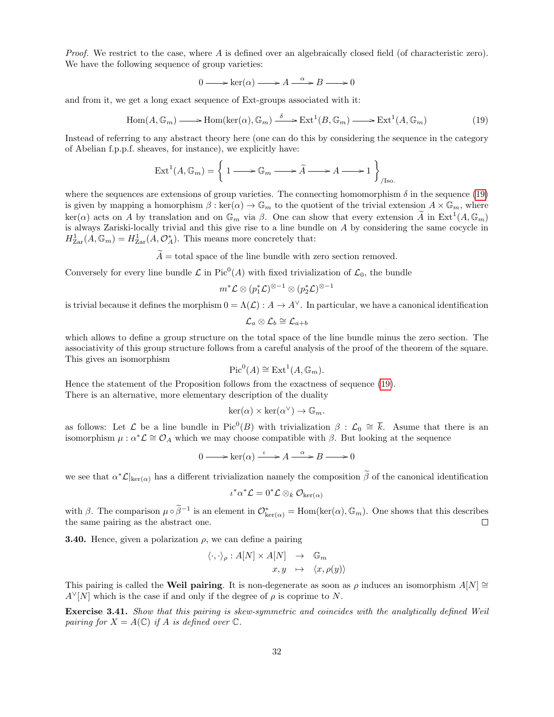Proof. We restrict to the case, where A is defined over an algebraically closed field (of characteristic zero). We have the following sequence of group varieties:

$$
0 \longrightarrow \ker(\alpha) \longrightarrow A \stackrel{\alpha}{\longrightarrow} B \longrightarrow 0
$$

and from it, we get a long exact sequence of Ext-groups associated with it:

<span id="page-31-0"></span>
$$
\text{Hom}(A, \mathbb{G}_m) \longrightarrow \text{Hom}(\text{ker}(\alpha), \mathbb{G}_m) \xrightarrow{\delta} \text{Ext}^1(B, \mathbb{G}_m) \longrightarrow \text{Ext}^1(A, \mathbb{G}_m)
$$
(19)

Instead of referring to any abstract theory here (one can do this by considering the sequence in the category of Abelian f.p.p.f. sheaves, for instance), we explicitly have:

$$
\operatorname{Ext}^1(A, \mathbb{G}_m) = \left\{ 1 \longrightarrow \mathbb{G}_m \longrightarrow \widetilde{A} \longrightarrow A \longrightarrow 1 \right\}_{/\text{Iso.}}
$$

where the sequences are extensions of group varieties. The connecting homomorphism  $\delta$  in the sequence [\(19\)](#page-31-0) is given by mapping a homorphism  $\beta : \text{ker}(\alpha) \to \mathbb{G}_m$  to the quotient of the trivial extension  $A \times \mathbb{G}_m$ , where  $\ker(\alpha)$  acts on A by translation and on  $\mathbb{G}_m$  via  $\beta$ . One can show that every extension  $\widetilde{A}$  in  $\mathrm{Ext}^1(A,\mathbb{G}_m)$ is always Zariski-locally trivial and this give rise to a line bundle on A by considering the same cocycle in  $H_{\text{Zar}}^1(A,\mathbb{G}_m) = H_{\text{Zar}}^1(A,\mathcal{O}_A^*)$ . This means more concretely that:

 $\widetilde{A}$  = total space of the line bundle with zero section removed.

Conversely for every line bundle  $\mathcal L$  in Pic<sup>0</sup>(A) with fixed trivialization of  $\mathcal L_0$ , the bundle

$$
m^*{\mathcal L}\otimes (p_1^*{\mathcal L})^{\otimes -1}\otimes (p_2^*{\mathcal L})^{\otimes -1}
$$

is trivial because it defines the morphism  $0 = \Lambda(\mathcal{L}) : A \to A^{\vee}$ . In particular, we have a canonical identification

$$
\mathcal{L}_a\otimes\mathcal{L}_b\cong\mathcal{L}_{a+b}
$$

which allows to define a group structure on the total space of the line bundle minus the zero section. The associativity of this group structure follows from a careful analysis of the proof of the theorem of the square. This gives an isomorphism

$$
Pic^0(A) \cong Ext^1(A, \mathbb{G}_m).
$$

Hence the statement of the Proposition follows from the exactness of sequence [\(19\)](#page-31-0). There is an alternative, more elementary description of the duality

$$
\ker(\alpha) \times \ker(\alpha^{\vee}) \to \mathbb{G}_m.
$$

as follows: Let  $\mathcal L$  be a line bundle in Pic<sup>0</sup>(B) with trivialization  $\beta : \mathcal L_0 \cong \overline{k}$ . Asume that there is an isomorphism  $\mu : \alpha^* \mathcal{L} \cong \mathcal{O}_A$  which we may choose compatible with  $\beta$ . But looking at the sequence

$$
0 \longrightarrow \ker(\alpha) \xrightarrow{\iota} A \xrightarrow{\alpha} B \longrightarrow 0
$$

we see that  $\alpha^* \mathcal{L}|_{\text{ker}(\alpha)}$  has a different trivialization namely the composition  $\tilde{\beta}$  of the canonical identification

$$
\iota^*\alpha^*\mathcal{L} = 0^*\mathcal{L} \otimes_k \mathcal{O}_{\ker(\alpha)}
$$

with β. The comparison  $\mu \circ \tilde{\beta}^{-1}$  is an element in  $\mathcal{O}_{\ker(\alpha)}^* = \text{Hom}(\ker(\alpha), \mathbb{G}_m)$ . One shows that this describes the same pairing as the abstract one.

**3.40.** Hence, given a polarization  $\rho$ , we can define a pairing

$$
\langle \cdot, \cdot \rangle_{\rho} : A[N] \times A[N] \rightarrow \mathbb{G}_m
$$
  

$$
x, y \mapsto \langle x, \rho(y) \rangle
$$

This pairing is called the Weil pairing. It is non-degenerate as soon as  $\rho$  induces an isomorphism  $A[N] \cong$  $A^{\vee}[N]$  which is the case if and only if the degree of  $\rho$  is coprime to N.

Exercise 3.41. Show that this pairing is skew-symmetric and coincides with the analytically defined Weil pairing for  $X = A(\mathbb{C})$  if A is defined over  $\mathbb{C}$ .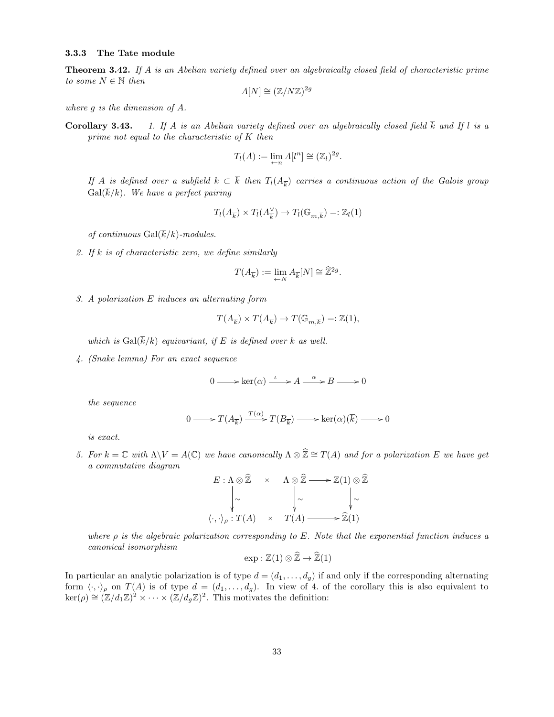### <span id="page-32-1"></span>3.3.3 The Tate module

<span id="page-32-0"></span>Theorem 3.42. If A is an Abelian variety defined over an algebraically closed field of characteristic prime to some  $N \in \mathbb{N}$  then

$$
A[N] \cong (\mathbb{Z}/N\mathbb{Z})^{2g}
$$

where g is the dimension of A.

**Corollary 3.43.** 1. If A is an Abelian variety defined over an algebraically closed field  $\overline{k}$  and If l is a prime not equal to the characteristic of K then

$$
T_l(A) := \lim_{\leftarrow n} A[l^n] \cong (\mathbb{Z}_l)^{2g}.
$$

If A is defined over a subfield  $k \subset k$  then  $T_l(A_{\overline{k}})$  carries a continuous action of the Galois group  $Gal(\overline{k}/k)$ . We have a perfect pairing

$$
T_l(A_{\overline{k}}) \times T_l(A^\vee_{\overline{k}}) \to T_l(\mathbb{G}_{m,\overline{k}}) =: \mathbb{Z}_l(1)
$$

of continuous  $Gal(\overline{k}/k)$ -modules.

2. If k is of characteristic zero, we define similarly

$$
T(A_{\overline{k}}):=\lim_{\leftarrow N}A_{\overline{k}}[N]\cong \widehat{\mathbb{Z}}^{2g}.
$$

3. A polarization E induces an alternating form

$$
T(A_{\overline{k}}) \times T(A_{\overline{k}}) \to T(\mathbb{G}_{m,\overline{k}})=:\mathbb{Z}(1),
$$

which is  $Gal(\overline{k}/k)$  equivariant, if E is defined over k as well.

4. (Snake lemma) For an exact sequence

$$
0 \longrightarrow \ker(\alpha) \xrightarrow{\iota} A \xrightarrow{\alpha} B \longrightarrow 0
$$

the sequence

$$
0 \longrightarrow T(A_{\overline{k}}) \xrightarrow{T(\alpha)} T(B_{\overline{k}}) \longrightarrow \ker(\alpha)(\overline{k}) \longrightarrow 0
$$

is exact.

5. For  $k = \mathbb{C}$  with  $\Lambda \backslash V = A(\mathbb{C})$  we have canonically  $\Lambda \otimes \widehat{\mathbb{Z}} \cong T(A)$  and for a polarization E we have get a commutative diagram

$$
E: \Lambda \otimes \widehat{\mathbb{Z}} \times \Lambda \otimes \widehat{\mathbb{Z}} \longrightarrow \mathbb{Z}(1) \otimes \widehat{\mathbb{Z}}
$$
  
\n
$$
\downarrow \sim \qquad \qquad \downarrow \sim \qquad \qquad \downarrow \sim
$$
  
\n
$$
\langle \cdot, \cdot \rangle_{\rho}: T(A) \times T(A) \longrightarrow \widehat{\mathbb{Z}}(1)
$$

where  $\rho$  is the algebraic polarization corresponding to E. Note that the exponential function induces a canonical isomorphism

$$
\exp: \mathbb{Z}(1) \otimes \widehat{\mathbb{Z}} \to \widehat{\mathbb{Z}}(1)
$$

In particular an analytic polarization is of type  $d = (d_1, \ldots, d_g)$  if and only if the corresponding alternating form  $\langle \cdot, \cdot \rangle_{\rho}$  on  $T(A)$  is of type  $d = (d_1, \ldots, d_g)$ . In view of 4. of the corollary this is also equivalent to  $\ker(\rho) \cong (\mathbb{Z}/d_1\mathbb{Z})^2 \times \cdots \times (\mathbb{Z}/d_g\mathbb{Z})^2$ . This motivates the definition: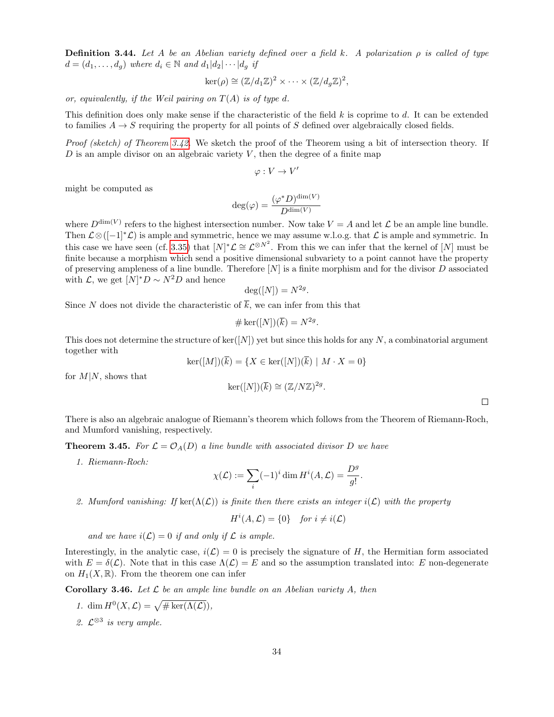**Definition 3.44.** Let A be an Abelian variety defined over a field k. A polarization  $\rho$  is called of type  $d = (d_1, \ldots, d_q)$  where  $d_i \in \mathbb{N}$  and  $d_1 | d_2 | \cdots | d_q$  if

$$
\ker(\rho) \cong (\mathbb{Z}/d_1\mathbb{Z})^2 \times \cdots \times (\mathbb{Z}/d_g\mathbb{Z})^2,
$$

or, equivalently, if the Weil pairing on  $T(A)$  is of type d.

This definition does only make sense if the characteristic of the field  $k$  is coprime to  $d$ . It can be extended to families  $A \rightarrow S$  requiring the property for all points of S defined over algebraically closed fields.

Proof (sketch) of Theorem [3.42.](#page-32-0) We sketch the proof of the Theorem using a bit of intersection theory. If  $D$  is an ample divisor on an algebraic variety  $V$ , then the degree of a finite map

$$
\varphi: V \to V'
$$

might be computed as

$$
\deg(\varphi) = \frac{(\varphi^* D)^{\dim(V)}}{D^{\dim(V)}}
$$

where  $D^{\dim(V)}$  refers to the highest intersection number. Now take  $V = A$  and let  $\mathcal L$  be an ample line bundle. Then  $\mathcal{L}\otimes([-1]^*\mathcal{L})$  is ample and symmetric, hence we may assume w.l.o.g. that  $\mathcal{L}$  is ample and symmetric. In this case we have seen (cf. [3.35\)](#page-29-2) that  $[N]^* \mathcal{L} \cong \mathcal{L}^{\otimes N^2}$ . From this we can infer that the kernel of  $[N]$  must be finite because a morphism which send a positive dimensional subvariety to a point cannot have the property of preserving ampleness of a line bundle. Therefore  $[N]$  is a finite morphism and for the divisor  $D$  associated with  $\mathcal{L}$ , we get  $[N]^*D \sim N^2D$  and hence

$$
\deg([N]) = N^{2g}.
$$

Since N does not divide the characteristic of  $\overline{k}$ , we can infer from this that

$$
\#\ker([N])(\overline{k}) = N^{2g}.
$$

This does not determine the structure of ker([N]) yet but since this holds for any N, a combinatorial argument together with

$$
\ker([M])(k) = \{ X \in \ker([N])(k) \mid M \cdot X = 0 \}
$$

$$
\ker([N])(\overline{k}) \cong (\mathbb{Z}/N\mathbb{Z})^{2g}.
$$

for  $M|N$ , shows that

There is also an algebraic analogue of Riemann's theorem which follows from the Theorem of Riemann-Roch, and Mumford vanishing, respectively.

**Theorem 3.45.** For  $\mathcal{L} = \mathcal{O}_A(D)$  a line bundle with associated divisor D we have

1. Riemann-Roch:

$$
\chi(\mathcal{L}) := \sum_{i} (-1)^i \dim H^i(A, \mathcal{L}) = \frac{D^g}{g!}
$$

.

2. Mumford vanishing: If  $\text{ker}(\Lambda(\mathcal{L}))$  is finite then there exists an integer  $i(\mathcal{L})$  with the property

$$
H^i(A, \mathcal{L}) = \{0\} \quad \text{for } i \neq i(\mathcal{L})
$$

and we have  $i(\mathcal{L}) = 0$  if and only if  $\mathcal L$  is ample.

Interestingly, in the analytic case,  $i(\mathcal{L}) = 0$  is precisely the signature of H, the Hermitian form associated with  $E = \delta(\mathcal{L})$ . Note that in this case  $\Lambda(\mathcal{L}) = E$  and so the assumption translated into: E non-degenerate on  $H_1(X,\mathbb{R})$ . From the theorem one can infer

<span id="page-33-0"></span>**Corollary 3.46.** Let  $\mathcal{L}$  be an ample line bundle on an Abelian variety A, then

- 1. dim  $H^0(X, \mathcal{L}) = \sqrt{\# \text{ker}(\Lambda(\mathcal{L}))},$
- 2.  $\mathcal{L}^{\otimes 3}$  is very ample.

 $\Box$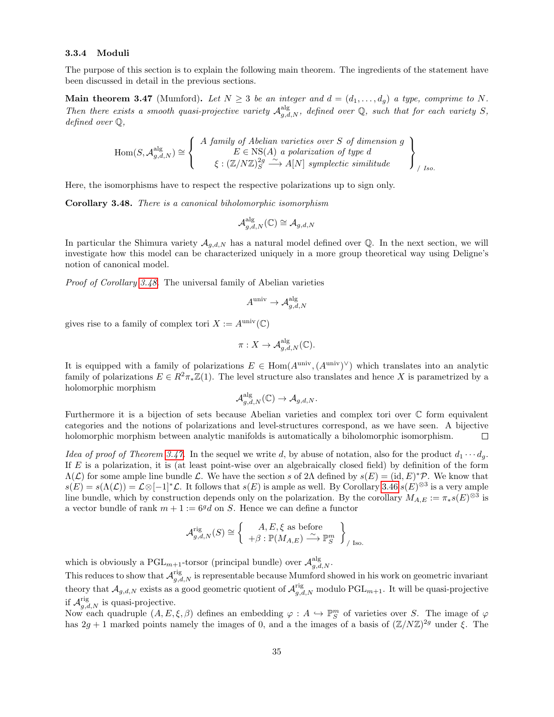### <span id="page-34-2"></span>3.3.4 Moduli

The purpose of this section is to explain the following main theorem. The ingredients of the statement have been discussed in detail in the previous sections.

<span id="page-34-1"></span>Main theorem 3.47 (Mumford). Let  $N \geq 3$  be an integer and  $d = (d_1, \ldots, d_g)$  a type, comprime to N. Then there exists a smooth quasi-projective variety  $A_{g,d,N}^{\text{alg}}$ , defined over Q, such that for each variety S, defined over Q,

$$
\text{Hom}(S, \mathcal{A}_{g,d,N}^{\text{alg}}) \cong \left\{ \begin{array}{c} A \text{ family of Abelian varieties over } S \text{ of dimension } g \\ E \in \text{NS}(A) \text{ a polarization of type } d \\ \xi : (\mathbb{Z}/N\mathbb{Z})_S^{2g} \xrightarrow{\sim} A[N] \text{ symplectic similitude} \end{array} \right\}_{/Iso.}
$$

Here, the isomorphisms have to respect the respective polarizations up to sign only.

<span id="page-34-0"></span>Corollary 3.48. There is a canonical biholomorphic isomorphism

$$
\mathcal A_{g,d,N}^{\operatorname{alg}}(\mathbb{C})\cong \mathcal A_{g,d,N}
$$

In particular the Shimura variety  $A_{g,d,N}$  has a natural model defined over Q. In the next section, we will investigate how this model can be characterized uniquely in a more group theoretical way using Deligne's notion of canonical model.

Proof of Corollary [3.48.](#page-34-0) The universal family of Abelian varieties

$$
A^{\text{univ}} \to \mathcal{A}_{g,d,N}^{\text{alg}}
$$

gives rise to a family of complex tori  $X := A^{\text{univ}}(\mathbb{C})$ 

$$
\pi: X \to \mathcal{A}_{g,d,N}^{\mathrm{alg}}(\mathbb{C}).
$$

It is equipped with a family of polarizations  $E \in \text{Hom}(A^{\text{univ}}, (A^{\text{univ}})^{\vee})$  which translates into an analytic family of polarizations  $E \in R^2 \pi_* \mathbb{Z}(1)$ . The level structure also translates and hence X is parametrized by a holomorphic morphism

$$
\mathcal{A}_{g,d,N}^{\mathrm{alg}}(\mathbb{C}) \to \mathcal{A}_{g,d,N}.
$$

Furthermore it is a bijection of sets because Abelian varieties and complex tori over C form equivalent categories and the notions of polarizations and level-structures correspond, as we have seen. A bijective holomorphic morphism between analytic manifolds is automatically a biholomorphic isomorphism.  $\Box$ 

Idea of proof of Theorem [3.47.](#page-34-1) In the sequel we write d, by abuse of notation, also for the product  $d_1 \cdots d_q$ . If  $E$  is a polarization, it is (at least point-wise over an algebraically closed field) by definition of the form  $\Lambda(\mathcal{L})$  for some ample line bundle  $\mathcal{L}$ . We have the section s of 2 $\Lambda$  defined by  $s(E) = (\text{id}, E)^* \mathcal{P}$ . We know that  $s(E) = s(\Lambda(\mathcal{L})) = \mathcal{L} \otimes [-1]^* \mathcal{L}$ . It follows that  $s(E)$  is ample as well. By Corollary [3.46](#page-33-0)  $s(E)^{\otimes 3}$  is a very ample line bundle, which by construction depends only on the polarization. By the corollary  $M_{A,E} := \pi_{*} s(E)^{\otimes 3}$  is a vector bundle of rank  $m + 1 := 6<sup>g</sup>d$  on S. Hence we can define a functor

$$
\mathcal{A}_{g,d,N}^{\text{rig}}(S) \cong \left\{ \begin{array}{c} A, E, \xi \text{ as before} \\ +\beta : \mathbb{P}(M_{A,E}) \stackrel{\sim}{\longrightarrow} \mathbb{P}_{S}^{m} \end{array} \right\}_{/ \text{ Iso.}}
$$

which is obviously a PGL<sub>m+1</sub>-torsor (principal bundle) over  $\mathcal{A}_{g,d,N}^{\text{alg}}$ .

This reduces to show that  $\mathcal{A}_{g,d,N}^{\text{rig}}$  is representable because Mumford showed in his work on geometric invariant theory that  $\mathcal{A}_{g,d,N}$  exists as a good geometric quotient of  $\mathcal{A}_{g,d,N}^{rig}$  modulo  $\mathrm{PGL}_{m+1}$ . It will be quasi-projective if  $\mathcal{A}_{g,d,N}^{\text{rig}}$  is quasi-projective.

Now each quadruple  $(A, E, \xi, \beta)$  defines an embedding  $\varphi : A \hookrightarrow \mathbb{P}_{S}^{m}$  of varieties over S. The image of  $\varphi$ has  $2g + 1$  marked points namely the images of 0, and a the images of a basis of  $(\mathbb{Z}/N\mathbb{Z})^{2g}$  under  $\xi$ . The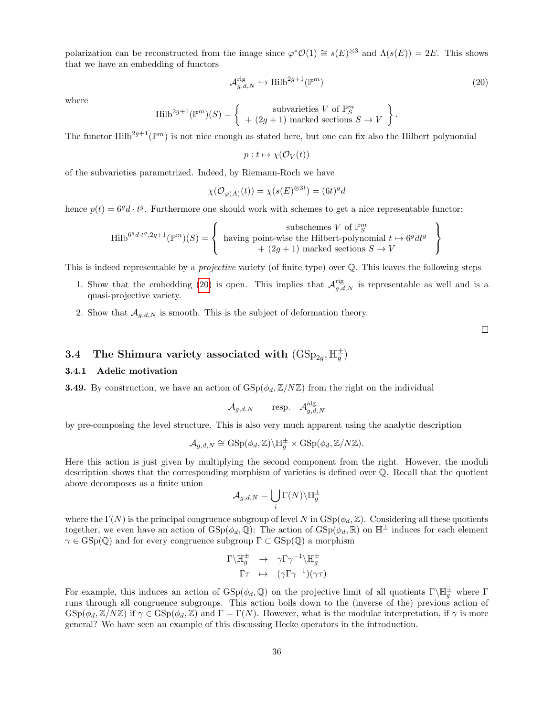polarization can be reconstructed from the image since  $\varphi^* \mathcal{O}(1) \cong s(E)^{\otimes 3}$  and  $\Lambda(s(E)) = 2E$ . This shows that we have an embedding of functors

<span id="page-35-0"></span>
$$
\mathcal{A}_{g,d,N}^{\text{rig}} \hookrightarrow \text{Hilb}^{2g+1}(\mathbb{P}^m) \tag{20}
$$

.

where

$$
\text{Hilb}^{2g+1}(\mathbb{P}^m)(S) = \left\{ \begin{array}{c} \text{subvarieties } V \text{ of } \mathbb{P}^m_S \\ + (2g+1) \text{ marked sections } S \to V \end{array} \right\}
$$

The functor Hilb<sup>2g+1</sup>( $\mathbb{P}^m$ ) is not nice enough as stated here, but one can fix also the Hilbert polynomial

$$
p: t \mapsto \chi(\mathcal{O}_V(t))
$$

of the subvarieties parametrized. Indeed, by Riemann-Roch we have

$$
\chi(\mathcal{O}_{\varphi(A)}(t)) = \chi(s(E)^{\otimes 3t}) = (6t)^{g}d
$$

hence  $p(t) = 6<sup>g</sup> d \cdot t<sup>g</sup>$ . Furthermore one should work with schemes to get a nice representable functor:

$$
\text{Hilb}^{6^gd \cdot t^g, 2g+1}(\mathbb{P}^m)(S) = \left\{ \begin{array}{c} \text{subschemes } V \text{ of } \mathbb{P}^m_S \\ \text{having point-wise the Hilbert-polynomial } t \mapsto 6^gdt^g \\ + (2g+1) \text{ marked sections } S \to V \end{array} \right\}
$$

This is indeed representable by a *projective* variety (of finite type) over Q. This leaves the following steps

- 1. Show that the embedding [\(20\)](#page-35-0) is open. This implies that  $\mathcal{A}_{g,d,N}^{\text{rig}}$  is representable as well and is a quasi-projective variety.
- 2. Show that  $A_{q,d,N}$  is smooth. This is the subject of deformation theory.

 $\Box$ 

# <span id="page-35-1"></span>3.4 The Shimura variety associated with  $(\text{GSp}_{2g}, \mathbb{H}_g^{\pm})$

### <span id="page-35-2"></span>3.4.1 Adelic motivation

**3.49.** By construction, we have an action of  $GSp(\phi_d, \mathbb{Z}/N\mathbb{Z})$  from the right on the individual

$$
\mathcal{A}_{g,d,N} \qquad \text{resp.} \quad \mathcal{A}_{g,d,N}^{\text{alg}}
$$

by pre-composing the level structure. This is also very much apparent using the analytic description

$$
\mathcal{A}_{g,d,N} \cong \operatorname{GSp}(\phi_d, \mathbb{Z}) \backslash \mathbb{H}_g^{\pm} \times \operatorname{GSp}(\phi_d, \mathbb{Z}/N\mathbb{Z}).
$$

Here this action is just given by multiplying the second component from the right. However, the moduli description shows that the corresponding morphism of varieties is defined over Q. Recall that the quotient above decomposes as a finite union

$$
\mathcal{A}_{g,d,N} = \bigcup_i \Gamma(N) \backslash \mathbb{H}_g^\pm
$$

where the  $\Gamma(N)$  is the principal congruence subgroup of level N in GSp( $\phi_d$ , Z). Considering all these quotients together, we even have an action of  $GSp(\phi_d, \mathbb{Q})$ : The action of  $GSp(\phi_d, \mathbb{R})$  on  $\mathbb{H}^{\pm}$  induces for each element  $\gamma \in \text{GSp}(\mathbb{Q})$  and for every congruence subgroup  $\Gamma \subset \text{GSp}(\mathbb{Q})$  a morphism

$$
\Gamma \backslash \mathbb{H}_g^{\pm} \rightarrow \gamma \Gamma \gamma^{-1} \backslash \mathbb{H}_g^{\pm}
$$

$$
\Gamma \tau \rightarrow (\gamma \Gamma \gamma^{-1})(\gamma \tau)
$$

For example, this induces an action of  $GSp(\phi_d, \mathbb{Q})$  on the projective limit of all quotients  $\Gamma\backslash \mathbb{H}_g^{\pm}$  where  $\Gamma$ runs through all congruence subgroups. This action boils down to the (inverse of the) previous action of  $\text{GSp}(\phi_d, \mathbb{Z}/N\mathbb{Z})$  if  $\gamma \in \text{GSp}(\phi_d, \mathbb{Z})$  and  $\Gamma = \Gamma(N)$ . However, what is the modular interpretation, if  $\gamma$  is more general? We have seen an example of this discussing Hecke operators in the introduction.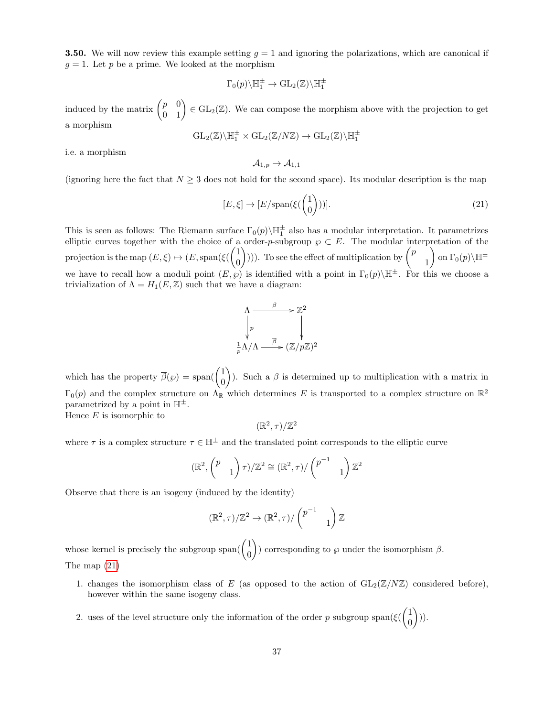**3.50.** We will now review this example setting  $g = 1$  and ignoring the polarizations, which are canonical if  $g = 1$ . Let p be a prime. We looked at the morphism

$$
\Gamma_0(p)\backslash \mathbb{H}_1^\pm \to \mathrm{GL}_2(\mathbb{Z})\backslash \mathbb{H}_1^\pm
$$

induced by the matrix  $\begin{pmatrix} p & 0 \\ 0 & 1 \end{pmatrix} \in GL_2(\mathbb{Z})$ . We can compose the morphism above with the projection to get a morphism

$$
\operatorname{GL}_2(\mathbb{Z})\backslash \mathbb{H}_1^\pm\times \operatorname{GL}_2(\mathbb{Z}/N\mathbb{Z})\to \operatorname{GL}_2(\mathbb{Z})\backslash \mathbb{H}_1^\pm
$$

i.e. a morphism

$$
\mathcal{A}_{1,p}\to \mathcal{A}_{1,1}
$$

(ignoring here the fact that  $N \geq 3$  does not hold for the second space). Its modular description is the map

<span id="page-36-0"></span>
$$
[E,\xi] \to [E/\text{span}(\xi(\binom{1}{0}))].\tag{21}
$$

This is seen as follows: The Riemann surface  $\Gamma_0(p)\backslash \mathbb{H}_1^{\pm}$  also has a modular interpretation. It parametrizes elliptic curves together with the choice of a order-p-subgroup  $\wp \subset E$ . The modular interpretation of the projection is the map  $(E, \xi) \mapsto (E, \text{span}(\xi)) \begin{pmatrix} 1 \\ 0 \end{pmatrix}$  $\boldsymbol{0}$ (i)). To see the effect of multiplication by  $\binom{p}{p}$ 1  $\Big)$  on  $\Gamma_0(p)\backslash\mathbb{H}^\pm$ we have to recall how a moduli point  $(E, \wp)$  is identified with a point in  $\Gamma_0(p)\backslash\mathbb{H}^{\pm}$ . For this we choose a trivialization of  $\Lambda = H_1(E, \mathbb{Z})$  such that we have a diagram:



which has the property  $\overline{\beta}(\wp) = \text{span}(\begin{pmatrix} 1 \\ 0 \end{pmatrix})$ 0 ). Such a  $\beta$  is determined up to multiplication with a matrix in  $\Gamma_0(p)$  and the complex structure on  $\Lambda_{\mathbb{R}}$  which determines E is transported to a complex structure on  $\mathbb{R}^2$ parametrized by a point in  $\mathbb{H}^{\pm}$ . Hence  $E$  is isomorphic to

 $(\mathbb{R}^2, \tau)/\mathbb{Z}^2$ 

where  $\tau$  is a complex structure  $\tau \in \mathbb{H}^{\pm}$  and the translated point corresponds to the elliptic curve

$$
(\mathbb{R}^2, \begin{pmatrix} p \\ & 1 \end{pmatrix} \tau)/\mathbb{Z}^2 \cong (\mathbb{R}^2, \tau) / \begin{pmatrix} p^{-1} \\ & 1 \end{pmatrix} \mathbb{Z}^2
$$

Observe that there is an isogeny (induced by the identity)

$$
(\mathbb{R}^2,\tau)/\mathbb{Z}^2 \to (\mathbb{R}^2,\tau)/\begin{pmatrix} p^{-1} & \\ & 1 \end{pmatrix}\mathbb{Z}
$$

whose kernel is precisely the subgroup span( $\begin{pmatrix} 1 \\ 0 \end{pmatrix}$ 0 ) corresponding to  $\wp$  under the isomorphism  $\beta$ . The map [\(21\)](#page-36-0)

- 1. changes the isomorphism class of E (as opposed to the action of  $GL_2(\mathbb{Z}/N\mathbb{Z})$  considered before), however within the same isogeny class.
- 2. uses of the level structure only the information of the order p subgroup span( $\xi$ ( $\begin{pmatrix} 1 \\ 0 \end{pmatrix}$ 0  $))$ .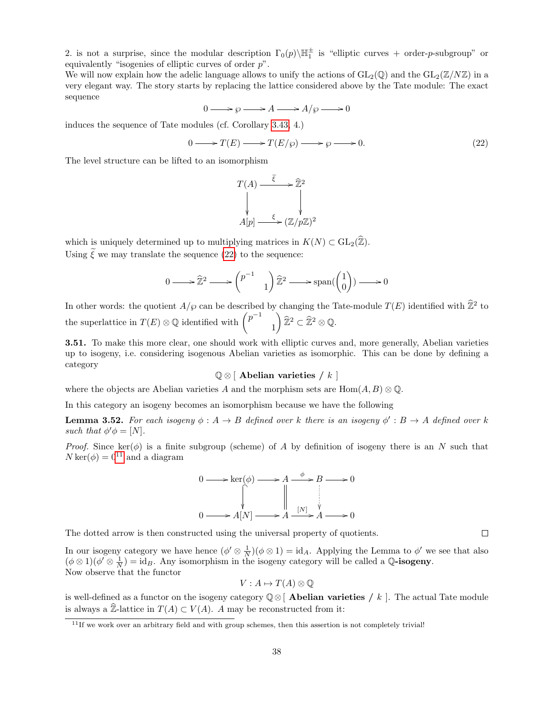2. is not a surprise, since the modular description  $\Gamma_0(p) \backslash \mathbb{H}_1^{\pm}$  is "elliptic curves + order-p-subgroup" or equivalently "isogenies of elliptic curves of order  $p$ ".

We will now explain how the adelic language allows to unify the actions of  $GL_2(\mathbb{Q})$  and the  $GL_2(\mathbb{Z}/N\mathbb{Z})$  in a very elegant way. The story starts by replacing the lattice considered above by the Tate module: The exact sequence

$$
0 \longrightarrow \wp \longrightarrow A \longrightarrow A/\wp \longrightarrow 0
$$

induces the sequence of Tate modules (cf. Corollary [3.43,](#page-0-2) 4.)

<span id="page-37-0"></span>
$$
0 \longrightarrow T(E) \longrightarrow T(E/\wp) \longrightarrow \wp \longrightarrow 0. \tag{22}
$$

The level structure can be lifted to an isomorphism

$$
T(A) \xrightarrow{\xi} \widehat{\mathbb{Z}}^2
$$
  
\n
$$
\downarrow \qquad \qquad \downarrow
$$
  
\n
$$
A[p] \xrightarrow{\xi} (\mathbb{Z}/p\mathbb{Z})^2
$$

which is uniquely determined up to multiplying matrices in  $K(N) \subset GL_2(\mathbb{Z})$ . Using  $\tilde{\xi}$  we may translate the sequence [\(22\)](#page-37-0) to the sequence:

$$
0 \longrightarrow \widehat{\mathbb{Z}}^2 \longrightarrow {\begin{pmatrix} p^{-1} \\ & 1 \end{pmatrix}} \widehat{\mathbb{Z}}^2 \longrightarrow \text{span}({\begin{pmatrix} 1 \\ 0 \end{pmatrix}}) \longrightarrow 0
$$

In other words: the quotient  $A/\wp$  can be described by changing the Tate-module  $T(E)$  identified with  $\hat{\mathbb{Z}}^2$  to the superlattice in  $T(E) \otimes \mathbb{Q}$  identified with  $\binom{p^{-1}}{p}$ 1  $\Big) \, \widehat{\mathbb{Z}}^2 \subset \widehat{\mathbb{Z}}^2 \otimes \mathbb{Q}.$ 

3.51. To make this more clear, one should work with elliptic curves and, more generally, Abelian varieties up to isogeny, i.e. considering isogenous Abelian varieties as isomorphic. This can be done by defining a category

 $\mathbb{Q} \otimes [$  Abelian varieties / k  $]$ 

where the objects are Abelian varieties A and the morphism sets are  $\text{Hom}(A, B) \otimes \mathbb{Q}$ .

In this category an isogeny becomes an isomorphism because we have the following

<span id="page-37-2"></span>**Lemma 3.52.** For each isogeny  $\phi: A \to B$  defined over k there is an isogeny  $\phi': B \to A$  defined over k such that  $\phi' \phi = [N]$ .

*Proof.* Since ker( $\phi$ ) is a finite subgroup (scheme) of A by definition of isogeny there is an N such that  $N \text{ker}(\phi) = 0^{11}$  $N \text{ker}(\phi) = 0^{11}$  $N \text{ker}(\phi) = 0^{11}$  and a diagram



The dotted arrow is then constructed using the universal property of quotients.

In our isogeny category we have hence  $(\phi' \otimes \frac{1}{N})(\phi \otimes 1) = id_A$ . Applying the Lemma to  $\phi'$  we see that also  $(\phi \otimes 1)(\phi' \otimes \frac{1}{N}) = id_B$ . Any isomorphism in the isogeny category will be called a Q-isogeny. Now observe that the functor

$$
V: A \mapsto T(A) \otimes \mathbb{Q}
$$

is well-defined as a functor on the isogeny category  $\mathbb{Q}\otimes$  **Abelian varieties** / k ]. The actual Tate module is always a  $\widehat{\mathbb{Z}}$ -lattice in  $T(A) \subset V(A)$ . A may be reconstructed from it:



<span id="page-37-1"></span> $11$ If we work over an arbitrary field and with group schemes, then this assertion is not completely trivial!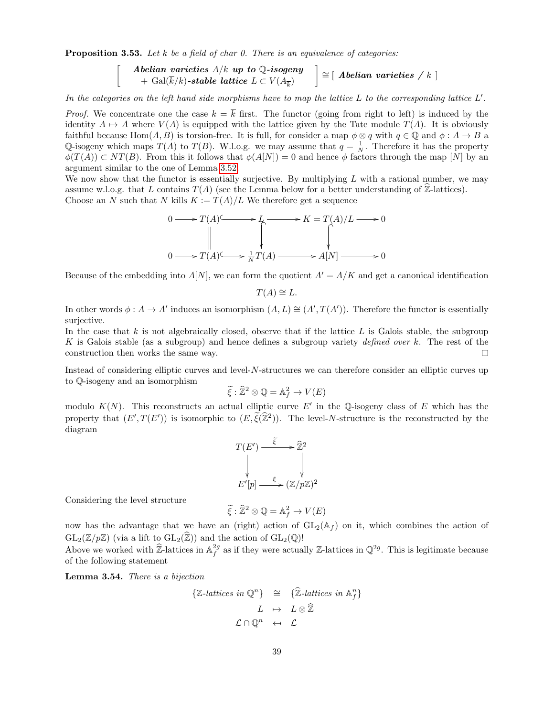<span id="page-38-0"></span>**Proposition 3.53.** Let  $k$  be a field of char 0. There is an equivalence of categories:

 $\begin{bmatrix} \end{bmatrix}$  Abelian varieties  $A/k$  up to Q-isogeny  $+$  Gal(k/k)-stable lattice  $L \subset V(A_{\overline{k}})$  $\Big] \cong [ \ A \textit{belian varieties} \ / \ k \ ]$ 

In the categories on the left hand side morphisms have to map the lattice  $L$  to the corresponding lattice  $L'$ .

*Proof.* We concentrate one the case  $k = \overline{k}$  first. The functor (going from right to left) is induced by the identity  $A \mapsto A$  where  $V(A)$  is equipped with the lattice given by the Tate module  $T(A)$ . It is obviously faithful because  $\text{Hom}(A, B)$  is torsion-free. It is full, for consider a map  $\phi \otimes q$  with  $q \in \mathbb{Q}$  and  $\phi : A \to B$  a Q-isogeny which maps  $T(A)$  to  $T(B)$ . W.l.o.g. we may assume that  $q = \frac{1}{N}$ . Therefore it has the property  $\phi(T(A)) \subset NT(B)$ . From this it follows that  $\phi(A[N]) = 0$  and hence  $\phi$  factors through the map [N] by an argument similar to the one of Lemma [3.52.](#page-37-2)

We now show that the functor is essentially surjective. By multiplying  $L$  with a rational number, we may assume w.l.o.g. that L contains  $T(A)$  (see the Lemma below for a better understanding of  $\mathbb{Z}$ -lattices). Choose an N such that N kills  $K := T(A)/L$  We therefore get a sequence



Because of the embedding into  $A[N]$ , we can form the quotient  $A'=A/K$  and get a canonical identification

$$
T(A) \cong L.
$$

In other words  $\phi: A \to A'$  induces an isomorphism  $(A, L) \cong (A', T(A'))$ . Therefore the functor is essentially surjective.

In the case that k is not algebraically closed, observe that if the lattice  $L$  is Galois stable, the subgroup K is Galois stable (as a subgroup) and hence defines a subgroup variety defined over  $k$ . The rest of the construction then works the same way.  $\Box$ 

Instead of considering elliptic curves and level-N-structures we can therefore consider an elliptic curves up to Q-isogeny and an isomorphism

$$
\widetilde{\xi} : \widehat{\mathbb{Z}}^2 \otimes \mathbb{Q} = \mathbb{A}_f^2 \to V(E)
$$

modulo  $K(N)$ . This reconstructs an actual elliptic curve E' in the Q-isogeny class of E which has the property that  $(E', T(E'))$  is isomorphic to  $(E, \tilde{\xi}(\hat{\mathbb{Z}}^2))$ . The level-N-structure is the reconstructed by the diagram

$$
T(E') \xrightarrow{\tilde{\xi}} \hat{\mathbb{Z}}^2
$$
  
\n
$$
\downarrow \qquad \qquad \downarrow
$$
  
\n
$$
E'[p] \xrightarrow{\xi} (\mathbb{Z}/p\mathbb{Z})^2
$$

Considering the level structure

$$
\widetilde{\xi} : \widehat{\mathbb{Z}}^2 \otimes \mathbb{Q} = \mathbb{A}_f^2 \to V(E)
$$

now has the advantage that we have an (right) action of  $GL_2(\mathbb{A}_f)$  on it, which combines the action of  $GL_2(\mathbb{Z}/p\mathbb{Z})$  (via a lift to  $GL_2(\widehat{\mathbb{Z}})$ ) and the action of  $GL_2(\mathbb{Q})!$ 

Above we worked with  $\hat{\mathbb{Z}}$ -lattices in  $\mathbb{A}_f^{2g}$  as if they were actually  $\mathbb{Z}$ -lattices in  $\mathbb{Q}^{2g}$ . This is legitimate because of the following statement

<span id="page-38-1"></span>Lemma 3.54. There is a bijection

$$
\{\mathbb{Z}\text{-lattices in }\mathbb{Q}^n\} \cong \{\widehat{\mathbb{Z}}\text{-lattices in }\mathbb{A}_f^n\}
$$

$$
L \mapsto L \otimes \widehat{\mathbb{Z}}
$$

$$
\mathcal{L} \cap \mathbb{Q}^n \leftarrow \mathcal{L}
$$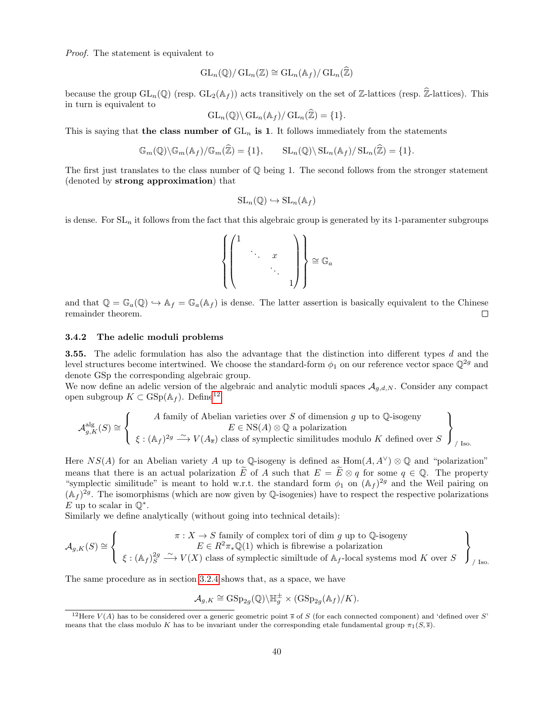Proof. The statement is equivalent to

$$
\operatorname{GL}_n(\mathbb{Q})/\operatorname{GL}_n(\mathbb{Z})\cong \operatorname{GL}_n(\mathbb{A}_f)/\operatorname{GL}_n(\widehat{\mathbb{Z}})
$$

because the group  $GL_n(\mathbb{Q})$  (resp.  $GL_2(\mathbb{A}_f)$ ) acts transitively on the set of Z-lattices (resp.  $\widehat{\mathbb{Z}}$ -lattices). This in turn is equivalent to

$$
\operatorname{GL}_n(\mathbb{Q})\backslash \operatorname{GL}_n(\mathbb{A}_f)/\operatorname{GL}_n(\widehat{\mathbb{Z}})=\{1\}.
$$

This is saying that the class number of  $GL_n$  is 1. It follows immediately from the statements

$$
\mathbb{G}_m(\mathbb{Q})\backslash \mathbb{G}_m(\mathbb{A}_f)/\mathbb{G}_m(\widehat{\mathbb{Z}})=\{1\}, \qquad \mathrm{SL}_n(\mathbb{Q})\backslash \mathrm{SL}_n(\mathbb{A}_f)/\mathrm{SL}_n(\widehat{\mathbb{Z}})=\{1\}.
$$

The first just translates to the class number of  $\mathbb{Q}$  being 1. The second follows from the stronger statement (denoted by strong approximation) that

$$
SL_n(\mathbb{Q}) \hookrightarrow SL_n(\mathbb{A}_f)
$$

is dense. For  $SL_n$  it follows from the fact that this algebraic group is generated by its 1-paramenter subgroups

$$
\left\{\begin{pmatrix}1&&&\\&\ddots&x&\\&&\ddots&\\&&&1\end{pmatrix}\right\}\simeq \mathbb{G}_a
$$

and that  $\mathbb{Q} = \mathbb{G}_a(\mathbb{Q}) \hookrightarrow \mathbb{A}_f = \mathbb{G}_a(\mathbb{A}_f)$  is dense. The latter assertion is basically equivalent to the Chinese remainder theorem.  $\Box$ 

### <span id="page-39-1"></span>3.4.2 The adelic moduli problems

3.55. The adelic formulation has also the advantage that the distinction into different types d and the level structures become intertwined. We choose the standard-form  $\phi_1$  on our reference vector space  $\mathbb{Q}^{2g}$  and denote GSp the corresponding algebraic group.

We now define an adelic version of the algebraic and analytic moduli spaces  $A_{q,d,N}$ . Consider any compact open subgroup  $K \subset \text{GSp}(\mathbb{A}_f)$ . Define<sup>[12](#page-39-0)</sup>

$$
\mathcal{A}_{g,K}^{\text{alg}}(S) \cong \left\{ \begin{array}{c} A \text{ family of Abelian varieties over } S \text{ of dimension } g \text{ up to } \mathbb{Q}\text{-isogeny} \\ E \in \text{NS}(A) \otimes \mathbb{Q} \text{ a polarization} \\ \xi : (\mathbb{A}_f)^{2g} \xrightarrow{\sim} V(A_{\overline{s}}) \text{ class of symplectic similitudes modulo } K \text{ defined over } S \end{array} \right\}_{/ \text{ Iso.}}
$$

Here  $NS(A)$  for an Abelian variety A up to Q-isogeny is defined as  $Hom(A, A^{\vee}) \otimes \mathbb{Q}$  and "polarization" means that there is an actual polarization  $\tilde{E}$  of A such that  $E = \tilde{E} \otimes q$  for some  $q \in \mathbb{Q}$ . The property "symplectic similitude" is meant to hold w.r.t. the standard form  $\phi_1$  on  $(\mathbb{A}_f)^{2g}$  and the Weil pairing on  $(\mathbb{A}_f)^{2g}$ . The isomorphisms (which are now given by Q-isogenies) have to respect the respective polarizations E up to scalar in  $\mathbb{Q}^*$ .

Similarly we define analytically (without going into technical details):

$$
\mathcal{A}_{g,K}(S) \cong \left\{ \begin{array}{c} \pi: X \to S \text{ family of complex tori of dim } g \text{ up to } \mathbb{Q}\text{-isogeny} \\ E \in R^2 \pi_* \mathbb{Q}(1) \text{ which is fibrewise a polarization} \\ \xi: (\mathbb{A}_f)_S^{2g} \xrightarrow{\sim} V(X) \text{ class of symplectic similtude of } \mathbb{A}_f\text{-local systems mod } K \text{ over } S \end{array} \right\}_{/ \text{Iso.}}
$$

The same procedure as in section [3.2.4](#page-19-2) shows that, as a space, we have

$$
\mathcal{A}_{g,K} \cong \mathrm{GSp}_{2g}(\mathbb{Q}) \backslash \mathbb{H}_g^{\pm} \times (\mathrm{GSp}_{2g}(\mathbb{A}_f)/K).
$$

<span id="page-39-0"></span><sup>&</sup>lt;sup>12</sup>Here  $V(A)$  has to be considered over a generic geometric point  $\overline{s}$  of S (for each connected component) and 'defined over S' means that the class modulo K has to be invariant under the corresponding etale fundamental group  $\pi_1(S,\overline{s})$ .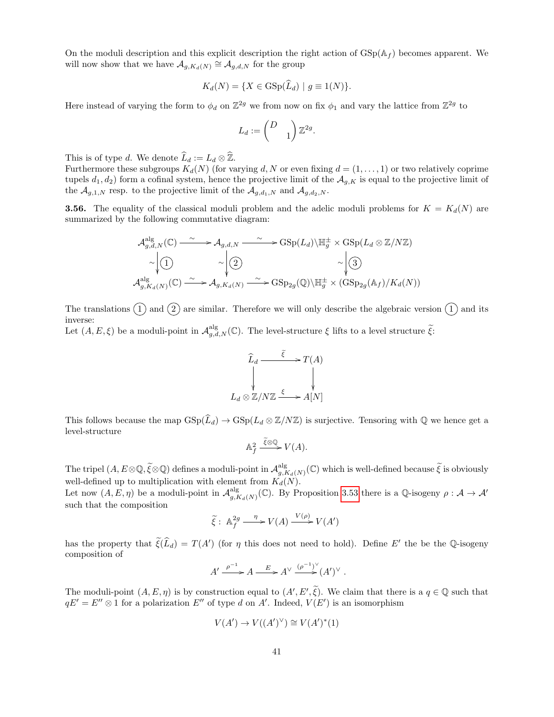On the moduli description and this explicit description the right action of  $GSp(A_f)$  becomes apparent. We will now show that we have  $\mathcal{A}_{g,K_d(N)} \cong \mathcal{A}_{g,d,N}$  for the group

$$
K_d(N) = \{ X \in \text{GSp}(\tilde{L}_d) \mid g \equiv 1(N) \}.
$$

Here instead of varying the form to  $\phi_d$  on  $\mathbb{Z}^{2g}$  we from now on fix  $\phi_1$  and vary the lattice from  $\mathbb{Z}^{2g}$  to

$$
L_d:=\begin{pmatrix} D&\\&1\end{pmatrix}\mathbb{Z}^{2g}
$$

.

This is of type d. We denote  $\widehat{L}_d := L_d \otimes \widehat{\mathbb{Z}}$ .

Furthermore these subgroups  $K_d(N)$  (for varying d, N or even fixing  $d = (1, \ldots, 1)$  or two relatively coprime tupels  $d_1, d_2$  form a cofinal system, hence the projective limit of the  $\mathcal{A}_{q,K}$  is equal to the projective limit of the  $\mathcal{A}_{g,1,N}$  resp. to the projective limit of the  $\mathcal{A}_{g,d_1,N}$  and  $\mathcal{A}_{g,d_2,N}$ .

**3.56.** The equality of the classical moduli problem and the adelic moduli problems for  $K = K_d(N)$  are summarized by the following commutative diagram:

$$
\mathcal{A}_{g,d,N}^{\text{alg}}(\mathbb{C}) \xrightarrow{\sim} \mathcal{A}_{g,d,N} \xrightarrow{\sim} \text{GSp}(L_d) \backslash \mathbb{H}_g^{\pm} \times \text{GSp}(L_d \otimes \mathbb{Z}/N\mathbb{Z})
$$
\n
$$
\sim \left| \begin{array}{cc} \text{(1)} & \sim \\ \text{(2)} & \sim \\ \text{(3)} & \text{(4)} & \\ \text{(5)} & \text{(5)} & \text{(6)} & \\ \text{(6)} & \text{(7)} & \text{(8)} & \\ \text{(8)} & \text{(9)} & \text{(9)} & \\ \text{(9)} & \text{(10)} & \text{(11)} & \\ \text{(11)} & \text{(12)} & \text{(13)} & \\ \text{(14)} & \text{(15)} & \text{(16)} & \\ \text{(16)} & \text{(17)} & \text{(18)} & \\ \text{(18)} & \text{(19)} & \text{(19)} & \\ \text{(19)} & \text{(19)} & \text{(19)} & \text{(19)} & \\ \text{(19)} & \text{(19)} & \text{(19)} & \text{(19)} & \\ \text{(19)} & \text{(19)} & \text{(19)} & \text{(19)} & \\ \text{(19)} & \text{(19)} & \text{(19)} & \text{(19)} & \\ \text{(19)} & \text{(19)} & \text{(19)} & \text{(19)} & \\ \text{(19)} & \text{(19)} & \text{(19)} & \text{(19)} & \\ \text{(19)} & \text{(19)} & \text{(19)} & \text{(19)} & \\ \text{(19)} & \text{(19)} & \text{(19)} & \text{(19)} & \\ \text{(19)} & \text{(19)} & \text{(19)} & \text{(19)} & \\ \text{(19)} & \text{(19)} & \text{(19)} & \text{(19)} & \\ \text{(19)} & \text{(19)} & \text{(19)} & \text{(19)} & \\ \text{(19)} & \text{(19)} & \text{(19)} & \text{(19)} & \\ \text{(19)} & \text{(19)} & \text{(19)} & \text{(19)} & \\ \text{(19)} & \text{(19)} & \text{(19)} & \text{(19)} & \\ \text{(19)} & \text{(19)} & \text{(19)} & \text{(19)} & \\ \text{(19)} & \text{(19)} &
$$

The translations  $(1)$  and  $(2)$  are similar. Therefore we will only describe the algebraic version  $(1)$  and its inverse:

Let  $(A, E, \xi)$  be a moduli-point in  $\mathcal{A}_{g,d,N}^{\text{alg}}(\mathbb{C})$ . The level-structure  $\xi$  lifts to a level structure  $\tilde{\xi}$ .



This follows because the map  $GSp(\tilde{L}_d) \to GSp(L_d \otimes \mathbb{Z}/N\mathbb{Z})$  is surjective. Tensoring with Q we hence get a level-structure

$$
\mathbb{A}_f^2 \xrightarrow{\tilde{\xi} \otimes \mathbb{Q}} V(A).
$$

The tripel  $(A, E \otimes \mathbb{Q}, \widetilde{\xi} \otimes \mathbb{Q})$  defines a moduli-point in  $\mathcal{A}^{\text{alg}}_{g,F}$  $\sup_{g,K_d(N)}^{\text{alg}}(\mathbb{C})$  which is well-defined because  $\widetilde{\xi}$  is obviously well-defined up to multiplication with element from  $K_d(N)$ .

Let now  $(A, E, \eta)$  be a moduli-point in  $\mathcal{A}_{\alpha}^{\text{alg}}$  $\mathcal{A}_{g,K_d(N)}^{\text{alg}}(\mathbb{C})$ . By Proposition [3.53](#page-38-0) there is a Q-isogeny  $\rho: \mathcal{A} \to \mathcal{A}'$ such that the composition

$$
\widetilde{\xi} : \mathbb{A}_f^{2g} \xrightarrow{\eta} V(A) \xrightarrow{V(\rho)} V(A')
$$

has the property that  $\tilde{\xi}(\hat{L}_d) = T(A')$  (for  $\eta$  this does not need to hold). Define E' the be the Q-isogeny composition of

$$
A' \xrightarrow{\rho^{-1}} A \xrightarrow{E} A^{\vee} \xrightarrow{(\rho^{-1})^{\vee}} (A')^{\vee}.
$$

The moduli-point  $(A, E, \eta)$  is by construction equal to  $(A', E', \tilde{\xi})$ . We claim that there is a  $q \in \mathbb{Q}$  such that  $qE' = E'' \otimes 1$  for a polarization  $E''$  of type d on A'. Indeed,  $V(E')$  is an isomorphism

$$
V(A') \to V((A')^{\vee}) \cong V(A')^*(1)
$$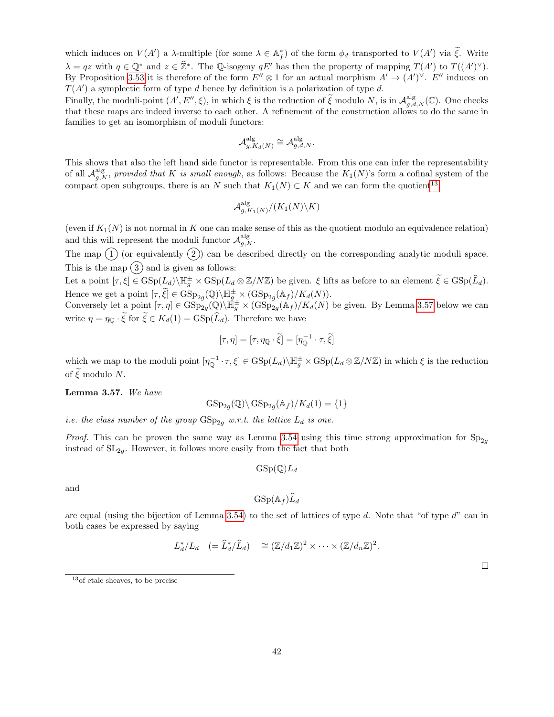which induces on  $V(A')$  a  $\lambda$ -multiple (for some  $\lambda \in \mathbb{A}_{f}^{*}$ ) of the form  $\phi_d$  transported to  $V(A')$  via  $\tilde{\xi}$ . Write  $\lambda = qz$  with  $q \in \mathbb{Q}^*$  and  $z \in \hat{\mathbb{Z}}^*$ . The Q-isogeny  $qE'$  has then the property of mapping  $T(A')$  to  $T((A')^{\vee})$ . By Proposition [3.53](#page-38-0) it is therefore of the form  $E'' \otimes 1$  for an actual morphism  $A' \to (A')^{\vee}$ .  $E''$  induces on  $T(A')$  a symplectic form of type d hence by definition is a polarization of type d.

Finally, the moduli-point  $(A', E'', \xi)$ , in which  $\xi$  is the reduction of  $\widetilde{\xi}$  modulo N, is in  $\mathcal{A}_{g,d,N}^{\text{alg}}(\mathbb{C})$ . One checks that these maps are indeed inverse to each other. A refinement of the construction allows to do the same in families to get an isomorphism of moduli functors:

$$
\mathcal{A}_{g,K_d(N)}^{\mathrm{alg}} \cong \mathcal{A}_{g,d,N}^{\mathrm{alg}}.
$$

This shows that also the left hand side functor is representable. From this one can infer the representability of all  $\mathcal{A}_{g,K}^{\text{alg}}$ , provided that K is small enough, as follows: Because the  $K_1(N)$ 's form a cofinal system of the compact open subgroups, there is an N such that  $K_1(N) \subset K$  and we can form the quotient<sup>[13](#page-41-0)</sup>

$$
\mathcal{A}_{g,K_1(N)}^{\mathrm{alg}}/(K_1(N)\backslash K)
$$

(even if  $K_1(N)$  is not normal in K one can make sense of this as the quotient modulo an equivalence relation) and this will represent the moduli functor  $\mathcal{A}_{g,K}^{\text{alg}}$ .

The map  $(1)$  (or equivalently  $(2)$ ) can be described directly on the corresponding analytic moduli space. This is the map  $(3)$  and is given as follows:

Let a point  $[\tau, \xi] \in \text{GSp}(L_d) \setminus \mathbb{H}^{\pm}_g \times \text{GSp}(L_d \otimes \mathbb{Z}/N\mathbb{Z})$  be given.  $\xi$  lifts as before to an element  $\widetilde{\xi} \in \text{GSp}(\widehat{L}_d)$ . Hence we get a point  $[\tau, \tilde{\xi}] \in \text{GSp}_{2g}(\mathbb{Q})\backslash \mathbb{H}^{\pm}_{g} \times (\text{GSp}_{2g}(\mathbb{A}_f)/K_d(N))$ .

Conversely let a point  $[\tau, \eta] \in \text{GSp}_{2g}^{\mathcal{I}}(\mathbb{Q}) \backslash \mathbb{H}^{\pm}_{g} \times (\text{GSp}_{2g}(\mathbb{A}_f)/K_d(N))$  be given. By Lemma [3.57](#page-41-1) below we can write  $\eta = \eta_{\mathbb{Q}} \cdot \tilde{\xi}$  for  $\tilde{\xi} \in K_d(1) = \text{GSp}(\tilde{L}_d)$ . Therefore we have

$$
[\tau, \eta] = [\tau, \eta_{\mathbb{Q}} \cdot \tilde{\xi}] = [\eta_{\mathbb{Q}}^{-1} \cdot \tau, \tilde{\xi}]
$$

which we map to the moduli point  $[\eta_{\mathbb{Q}}^{-1} \cdot \tau, \xi] \in \text{GSp}(L_d) \setminus \mathbb{H}^{\pm}_g \times \text{GSp}(L_d \otimes \mathbb{Z}/N\mathbb{Z})$  in which  $\xi$  is the reduction of  $\widetilde{\xi}$  modulo N.

<span id="page-41-1"></span>Lemma 3.57. We have

$$
GSp_{2g}(\mathbb{Q})\backslash GSp_{2g}(\mathbb{A}_f)/K_d(1) = \{1\}
$$

i.e. the class number of the group  $GSp_{2g}$  w.r.t. the lattice  $L_d$  is one.

*Proof.* This can be proven the same way as Lemma [3.54](#page-38-1) using this time strong approximation for  $Sp_{2q}$ instead of  $SL_{2q}$ . However, it follows more easily from the fact that both

$$
\mathrm{GSp}(\mathbb{Q})L_d
$$

and

$$
\mathrm{GSp}(\mathbb{A}_f)\widehat{L}_d
$$

are equal (using the bijection of Lemma [3.54\)](#page-38-1) to the set of lattices of type  $d$ . Note that "of type  $d$ " can in both cases be expressed by saying

$$
L_d^*/L_d \quad (=\widehat{L}_d^*/\widehat{L}_d) \quad \cong (\mathbb{Z}/d_1\mathbb{Z})^2 \times \cdots \times (\mathbb{Z}/d_n\mathbb{Z})^2.
$$

<span id="page-41-0"></span><sup>13</sup>of etale sheaves, to be precise

 $\Box$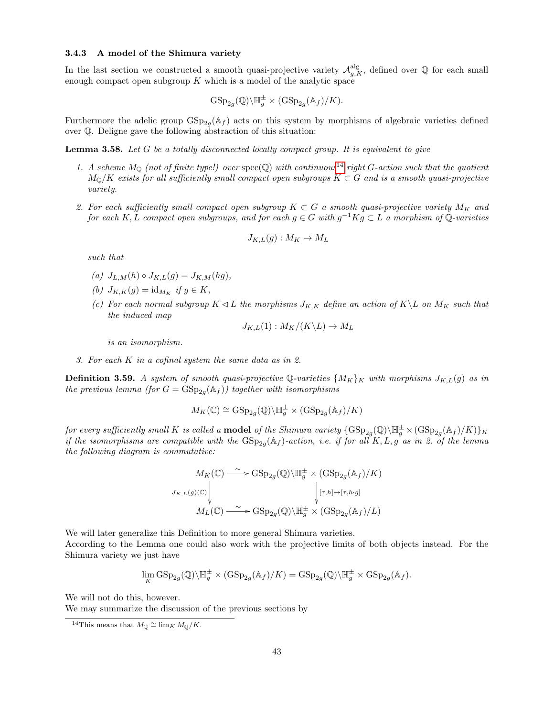### <span id="page-42-2"></span>3.4.3 A model of the Shimura variety

In the last section we constructed a smooth quasi-projective variety  $\mathcal{A}_{g,K}^{\text{alg}}$ , defined over Q for each small enough compact open subgroup  $K$  which is a model of the analytic space

$$
\mathrm{GSp}_{2g}(\mathbb{Q})\backslash \mathbb{H}_g^{\pm} \times (\mathrm{GSp}_{2g}(\mathbb{A}_f)/K).
$$

Furthermore the adelic group  $GSp_{2g}(\mathbb{A}_f)$  acts on this system by morphisms of algebraic varieties defined over Q. Deligne gave the following abstraction of this situation:

**Lemma 3.58.** Let  $G$  be a totally disconnected locally compact group. It is equivalent to give

- 1. A scheme  $M_{\mathbb{Q}}$  (not of finite type!) over  $\text{spec}(\mathbb{Q})$  with continuous<sup>[14](#page-42-0)</sup> right G-action such that the quotient  $M_{\mathbb{Q}}/K$  exists for all sufficiently small compact open subgroups  $K \subset G$  and is a smooth quasi-projective variety.
- 2. For each sufficiently small compact open subgroup  $K \subset G$  a smooth quasi-projective variety  $M_K$  and for each K, L compact open subgroups, and for each  $g \in G$  with  $g^{-1}Kg \subset L$  a morphism of Q-varieties

$$
J_{K,L}(g): M_K \to M_L
$$

such that

- (a)  $J_{L,M}(h) \circ J_{K,L}(g) = J_{K,M}(hg),$
- (b)  $J_{K,K}(g) = id_{M_K}$  if  $g \in K$ ,
- (c) For each normal subgroup  $K \triangleleft L$  the morphisms  $J_{K,K}$  define an action of  $K \setminus L$  on  $M_K$  such that the induced map

$$
J_{K,L}(1): M_K/(K\backslash L) \to M_L
$$

is an isomorphism.

3. For each K in a cofinal system the same data as in 2.

<span id="page-42-1"></span>**Definition 3.59.** A system of smooth quasi-projective Q-varieties  $\{M_K\}_K$  with morphisms  $J_{K,L}(g)$  as in the previous lemma (for  $G = \text{GSp}_{2g}(\mathbb{A}_f)$ ) together with isomorphisms

$$
M_K(\mathbb{C}) \cong \mathrm{GSp}_{2g}(\mathbb{Q}) \backslash \mathbb{H}_g^{\pm} \times (\mathrm{GSp}_{2g}(\mathbb{A}_f)/K)
$$

for every sufficiently small K is called a **model** of the Shimura variety  $\{GSp_{2g}(\mathbb{Q})\backslash\mathbb{H}_g^\pm\times (GSp_{2g}(\mathbb{A}_f)/K)\}_K$ if the isomorphisms are compatible with the  $GSp_{2g}(\mathbb{A}_f)$ -action, i.e. if for all K, L, g as in 2. of the lemma the following diagram is commutative:

$$
M_K(\mathbb{C}) \xrightarrow{\sim} \mathrm{GSp}_{2g}(\mathbb{Q}) \backslash \mathbb{H}_g^{\pm} \times (\mathrm{GSp}_{2g}(\mathbb{A}_f)/K)
$$
  

$$
J_{K,L}(g)(\mathbb{C}) \downarrow \qquad \qquad \downarrow [\tau, h] \mapsto [\tau, h \cdot g]
$$
  

$$
M_L(\mathbb{C}) \xrightarrow{\sim} \mathrm{GSp}_{2g}(\mathbb{Q}) \backslash \mathbb{H}_g^{\pm} \times (\mathrm{GSp}_{2g}(\mathbb{A}_f)/L)
$$

We will later generalize this Definition to more general Shimura varieties. According to the Lemma one could also work with the projective limits of both objects instead. For the Shimura variety we just have

$$
\lim_{K} \mathrm{GSp}_{2g}(\mathbb{Q}) \backslash \mathbb{H}_g^{\pm} \times (\mathrm{GSp}_{2g}(\mathbb{A}_f)/K) = \mathrm{GSp}_{2g}(\mathbb{Q}) \backslash \mathbb{H}_g^{\pm} \times \mathrm{GSp}_{2g}(\mathbb{A}_f).
$$

We will not do this, however.

We may summarize the discussion of the previous sections by

<span id="page-42-0"></span><sup>&</sup>lt;sup>14</sup>This means that  $M_{\mathbb{Q}} \cong \lim_{K} M_{\mathbb{Q}}/K$ .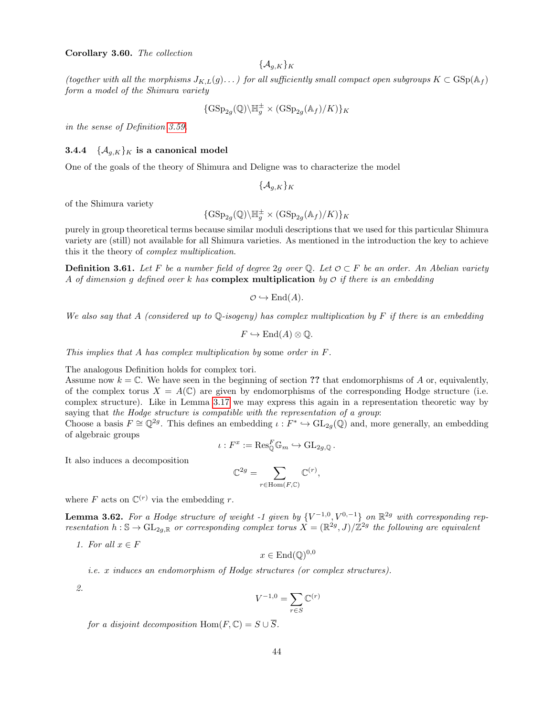### <span id="page-43-1"></span>Corollary 3.60. The collection

$$
\{\mathcal{A}_{g,K}\}_K
$$

(together with all the morphisms  $J_{K,L}(g)$ ...) for all sufficiently small compact open subgroups  $K \subset \text{GSp}(\mathbb{A}_f)$ form a model of the Shimura variety

$$
{\{\operatorname{GSp}_{2g}(\mathbb{Q}) \backslash \mathbb{H}_g^{\pm} \times (\operatorname{GSp}_{2g}(\mathbb{A}_f)/K)\}_K}
$$

in the sense of Definition [3.59.](#page-42-1)

### <span id="page-43-2"></span>**3.4.4**  $\{A_{q,K}\}_K$  is a canonical model

One of the goals of the theory of Shimura and Deligne was to characterize the model

 $\{\mathcal{A}_{q,K}\}_K$ 

of the Shimura variety

$$
\{\operatorname{GSp}_{2g}(\mathbb{Q})\backslash \mathbb{H}_g^{\pm} \times (\operatorname{GSp}_{2g}(\mathbb{A}_f)/K)\}_K
$$

purely in group theoretical terms because similar moduli descriptions that we used for this particular Shimura variety are (still) not available for all Shimura varieties. As mentioned in the introduction the key to achieve this it the theory of complex multiplication.

**Definition 3.61.** Let F be a number field of degree 2g over Q. Let  $\mathcal{O} \subset F$  be an order. An Abelian variety A of dimension g defined over k has complex multiplication by  $\mathcal O$  if there is an embedding

$$
\mathcal{O} \hookrightarrow \mathrm{End}(A).
$$

We also say that A (considered up to  $\mathbb{Q}$ -isogeny) has complex multiplication by F if there is an embedding

$$
F \hookrightarrow \mathrm{End}(A) \otimes \mathbb{Q}.
$$

This implies that A has complex multiplication by some order in F.

The analogous Definition holds for complex tori.

Assume now  $k = \mathbb{C}$ . We have seen in the beginning of section ?? that endomorphisms of A or, equivalently, of the complex torus  $X = A(\mathbb{C})$  are given by endomorphisms of the corresponding Hodge structure (i.e. complex structure). Like in Lemma [3.17](#page-21-0) we may express this again in a representation theoretic way by saying that the Hodge structure is compatible with the representation of a group:

Choose a basis  $F \cong \mathbb{Q}^{2g}$ . This defines an embedding  $\iota : F^* \hookrightarrow GL_{2g}(\mathbb{Q})$  and, more generally, an embedding of algebraic groups

$$
\iota: F^x := \text{Res}_{\mathbb{Q}}^F \mathbb{G}_m \hookrightarrow \text{GL}_{2g,\mathbb{Q}}.
$$

It also induces a decomposition

$$
\mathbb{C}^{2g} = \sum_{r \in \text{Hom}(F, \mathbb{C})} \mathbb{C}^{(r)},
$$

where F acts on  $\mathbb{C}^{(r)}$  via the embedding r.

<span id="page-43-0"></span>**Lemma 3.62.** For a Hodge structure of weight -1 given by  $\{V^{-1,0}, V^{0,-1}\}\$  on  $\mathbb{R}^{2g}$  with corresponding representation  $h: \mathbb{S} \to GL_{2g,\mathbb{R}}$  or corresponding complex torus  $X = (\mathbb{R}^{2g}, J)/\mathbb{Z}^{2g}$  the following are equivalent

1. For all  $x \in F$ 

$$
x \in \text{End}(\mathbb{Q})^{0,0}
$$

i.e. x induces an endomorphism of Hodge structures (or complex structures).

2.

$$
V^{-1,0} = \sum_{r \in S} \mathbb{C}^{(r)}
$$

for a disjoint decomposition Hom $(F, \mathbb{C}) = S \cup \overline{S}$ .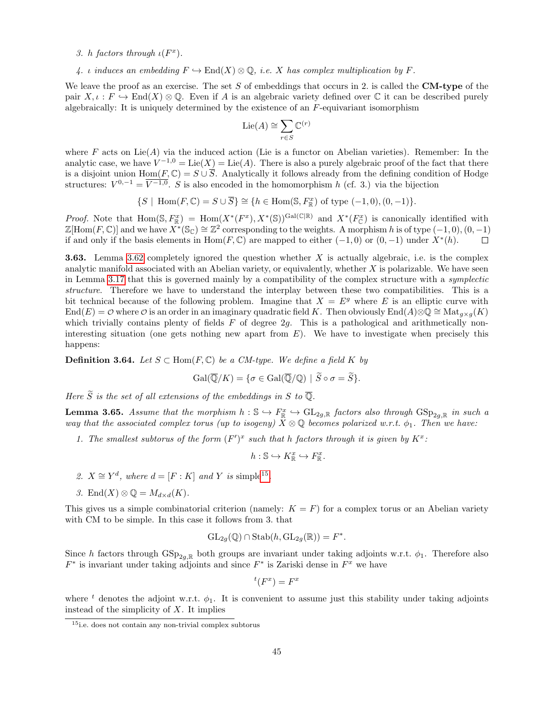### 3. h factors through  $\iota(F^x)$ .

4. *i* induces an embedding  $F \hookrightarrow \text{End}(X) \otimes \mathbb{Q}$ , *i.e.* X has complex multiplication by F.

We leave the proof as an exercise. The set S of embeddings that occurs in 2. is called the **CM-type** of the pair  $X, \iota : F \hookrightarrow \text{End}(X) \otimes \mathbb{Q}$ . Even if A is an algebraic variety defined over C it can be described purely algebraically: It is uniquely determined by the existence of an  $F$ -equivariant isomorphism

$$
\mathrm{Lie}(A) \cong \sum_{r \in S} \mathbb{C}^{(r)}
$$

where F acts on  $Lie(A)$  via the induced action (Lie is a functor on Abelian varieties). Remember: In the analytic case, we have  $V^{-1,0} = \text{Lie}(X) = \text{Lie}(A)$ . There is also a purely algebraic proof of the fact that there is a disjoint union  $\text{Hom}(F,\mathbb{C}) = S \cup \overline{S}$ . Analytically it follows already from the defining condition of Hodge structures:  $V^{0,-1} = \overline{V^{-1,0}}$ . S is also encoded in the homomorphism h (cf. 3.) via the bijection

$$
\{S \mid \operatorname{Hom}(F, \mathbb{C}) = S \cup \overline{S} \} \cong \{h \in \operatorname{Hom}(\mathbb{S}, F_{\mathbb{R}}^{x}) \text{ of type } (-1,0), (0,-1) \}.
$$

*Proof.* Note that  $\text{Hom}(\mathbb{S}, F_{\mathbb{R}}^x) = \text{Hom}(X^*(F^x), X^*(\mathbb{S}))^{\text{Gal}(\mathbb{C}|\mathbb{R})}$  and  $X^*(F_{\mathbb{C}}^x)$  is canonically identified with  $\mathbb{Z}[\text{Hom}(F,\mathbb{C})]$  and we have  $\overline{X^*}(\mathbb{S}_{\mathbb{C}}) \cong \mathbb{Z}^2$  corresponding to the weights. A morphism h is of type  $(-1,0), (0,-1)$ if and only if the basis elements in  $Hom(F, \mathbb{C})$  are mapped to either  $(-1, 0)$  or  $(0, -1)$  under  $X^*(h)$ .  $\Box$ 

<span id="page-44-1"></span>**3.63.** Lemma [3.62](#page-43-0) completely ignored the question whether X is actually algebraic, i.e. is the complex analytic manifold associated with an Abelian variety, or equivalently, whether  $X$  is polarizable. We have seen in Lemma [3.17](#page-21-0) that this is governed mainly by a compatibility of the complex structure with a *symplectic* structure. Therefore we have to understand the interplay between these two compatibilities. This is a bit technical because of the following problem. Imagine that  $X = E<sup>g</sup>$  where E is an elliptic curve with  $\text{End}(E) = \mathcal{O}$  where  $\mathcal{O}$  is an order in an imaginary quadratic field K. Then obviously End $(A) \otimes \mathbb{Q} \cong \text{Mat}_{q \times q}(K)$ which trivially contains plenty of fields  $F$  of degree  $2g$ . This is a pathological and arithmetically noninteresting situation (one gets nothing new apart from  $E$ ). We have to investigate when precisely this happens:

**Definition 3.64.** Let  $S \subset \text{Hom}(F, \mathbb{C})$  be a CM-type. We define a field K by

$$
\operatorname{Gal}(\overline{\mathbb{Q}}/K) = \{ \sigma \in \operatorname{Gal}(\overline{\mathbb{Q}}/\mathbb{Q}) \mid \widetilde{S} \circ \sigma = \widetilde{S} \}.
$$

Here  $\widetilde{S}$  is the set of all extensions of the embeddings in S to  $\overline{\mathbb{Q}}$ .

**Lemma 3.65.** Assume that the morphism  $h: \mathbb{S} \hookrightarrow F_{\mathbb{R}}^x \hookrightarrow GL_{2g,\mathbb{R}}$  factors also through  $GSp_{2g,\mathbb{R}}$  in such a way that the associated complex torus (up to isogeny)  $\hat{X} \otimes \mathbb{Q}$  becomes polarized w.r.t.  $\phi_1$ . Then we have:

1. The smallest subtorus of the form  $(F')^x$  such that h factors through it is given by  $K^x$ :

$$
h: \mathbb{S} \hookrightarrow K^x_{\mathbb{R}} \hookrightarrow F^x_{\mathbb{R}}.
$$

- 2.  $X \cong Y^d$ , where  $d = [F : K]$  and Y is simple<sup>[15](#page-44-0)</sup>.
- 3. End $(X) \otimes \mathbb{Q} = M_{d \times d}(K)$ .

This gives us a simple combinatorial criterion (namely:  $K = F$ ) for a complex torus or an Abelian variety with CM to be simple. In this case it follows from 3. that

$$
\mathrm{GL}_{2g}(\mathbb{Q}) \cap \mathrm{Stab}(h, \mathrm{GL}_{2g}(\mathbb{R})) = F^*.
$$

Since h factors through  $GSp_{2q,\mathbb{R}}$  both groups are invariant under taking adjoints w.r.t.  $\phi_1$ . Therefore also  $F^*$  is invariant under taking adjoints and since  $F^*$  is Zariski dense in  $F^x$  we have

$$
{}^t(F^x) = F^x
$$

where <sup>t</sup> denotes the adjoint w.r.t.  $\phi_1$ . It is convenient to assume just this stability under taking adjoints instead of the simplicity of  $X$ . It implies

<span id="page-44-0"></span><sup>15</sup>i.e. does not contain any non-trivial complex subtorus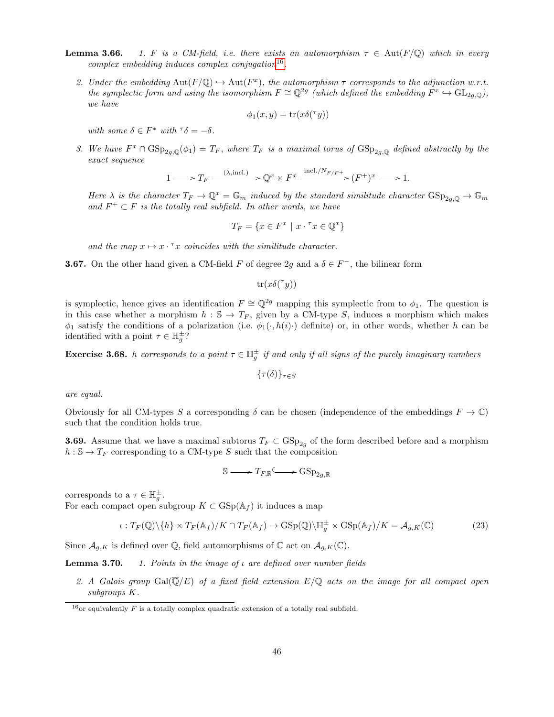- **Lemma 3.66.** 1. F is a CM-field, i.e. there exists an automorphism  $\tau \in \text{Aut}(F/\mathbb{Q})$  which in every  $complex \ embedding \ induces \ complex \ conjugation^{16}$  $complex \ embedding \ induces \ complex \ conjugation^{16}$  $complex \ embedding \ induces \ complex \ conjugation^{16}$ .
	- 2. Under the embedding  $Aut(F/\mathbb{Q}) \hookrightarrow Aut(F^x)$ , the automorphism  $\tau$  corresponds to the adjunction w.r.t. the symplectic form and using the isomorphism  $F \cong \mathbb{Q}^{2g}$  (which defined the embedding  $F^x \hookrightarrow GL_{2g,\mathbb{Q}}$ ), we have

$$
\phi_1(x, y) = \text{tr}(x\delta(\tau y))
$$

with some  $\delta \in F^*$  with  $\delta = -\delta$ .

3. We have  $F^x \cap \text{GSp}_{2g,\mathbb{Q}}(\phi_1) = T_F$ , where  $T_F$  is a maximal torus of  $\text{GSp}_{2g,\mathbb{Q}}$  defined abstractly by the exact sequence

$$
1 \longrightarrow T_F \xrightarrow{\quad (\lambda, \text{incl.})} \mathbb{Q}^x \times F^x \xrightarrow{\text{incl.}/N_{F/F^+}} (F^+)^x \longrightarrow 1.
$$

Here  $\lambda$  is the character  $T_F \to \mathbb{Q}^x = \mathbb{G}_m$  induced by the standard similitude character  $GSp_{2a,0} \to \mathbb{G}_m$ and  $F^+ \subset F$  is the totally real subfield. In other words, we have

$$
T_F = \{ x \in F^x \mid x \cdot \tau x \in \mathbb{Q}^x \}
$$

and the map  $x \mapsto x \cdot^{\tau} x$  coincides with the similitude character.

**3.67.** On the other hand given a CM-field F of degree 2g and a  $\delta \in F^-$ , the bilinear form

 $\mathrm{tr}(x\delta({}^{\tau}y))$ 

is symplectic, hence gives an identification  $F \cong \mathbb{Q}^{2g}$  mapping this symplectic from to  $\phi_1$ . The question is in this case whether a morphism  $h : \mathcal{S} \to T_F$ , given by a CM-type S, induces a morphism which makes  $\phi_1$  satisfy the conditions of a polarization (i.e.  $\phi_1(\cdot, h(i) \cdot)$  definite) or, in other words, whether h can be identified with a point  $\tau \in \mathbb{H}^{\pm}_g$ ?

**Exercise 3.68.** h corresponds to a point  $\tau \in \mathbb{H}^{\pm}_{g}$  if and only if all signs of the purely imaginary numbers

 $\{\tau(\delta)\}_{\tau \in S}$ 

are equal.

Obviously for all CM-types S a corresponding  $\delta$  can be chosen (independence of the embeddings  $F \to \mathbb{C}$ ) such that the condition holds true.

**3.69.** Assume that we have a maximal subtorus  $T_F \subset \text{GSp}_{2q}$  of the form described before and a morphism  $h : \mathbb{S} \to T_F$  corresponding to a CM-type S such that the composition

$$
\mathbb{S} \longrightarrow T_{F,\mathbb{R}} \longrightarrow \mathrm{GSp}_{2g,\mathbb{R}}
$$

corresponds to a  $\tau \in \mathbb{H}_g^{\pm}$ .

For each compact open subgroup  $K \subset \text{GSp}(\mathbb{A}_f)$  it induces a map

<span id="page-45-1"></span>
$$
\iota: T_F(\mathbb{Q})\backslash\{h\} \times T_F(\mathbb{A}_f)/K \cap T_F(\mathbb{A}_f) \to \mathrm{GSp}(\mathbb{Q})\backslash \mathbb{H}_g^{\pm} \times \mathrm{GSp}(\mathbb{A}_f)/K = \mathcal{A}_{g,K}(\mathbb{C})
$$
\n(23)

Since  $\mathcal{A}_{g,K}$  is defined over Q, field automorphisms of C act on  $\mathcal{A}_{g,K}(\mathbb{C})$ .

**Lemma 3.70.** 1. Points in the image of  $\iota$  are defined over number fields

2. A Galois group  $Gal(\overline{\mathbb{Q}}/E)$  of a fixed field extension  $E/\mathbb{Q}$  acts on the image for all compact open subgroups K.

<span id="page-45-0"></span><sup>&</sup>lt;sup>16</sup>or equivalently  $F$  is a totally complex quadratic extension of a totally real subfield.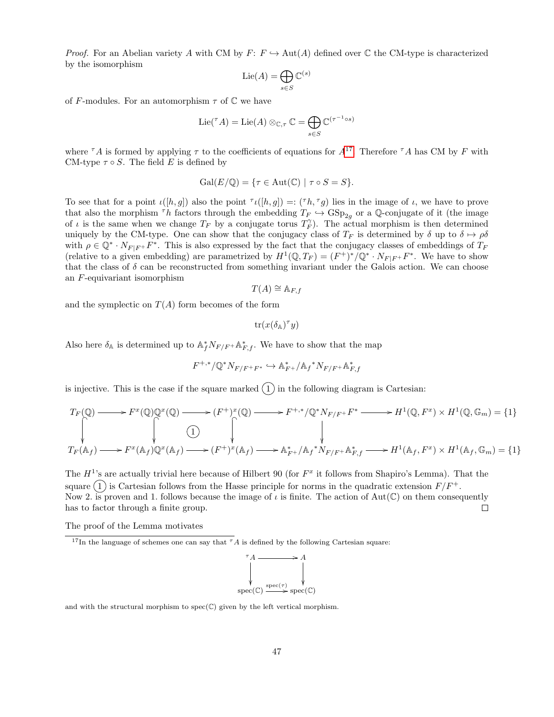*Proof.* For an Abelian variety A with CM by  $F: F \hookrightarrow \text{Aut}(A)$  defined over C the CM-type is characterized by the isomorphism

$$
\mathrm{Lie}(A)=\bigoplus_{s\in S}\mathbb{C}^{(s)}
$$

of F-modules. For an automorphism  $\tau$  of  $\mathbb C$  we have

$$
\operatorname{Lie}(\ulcorner A)=\operatorname{Lie}(A)\otimes_{\mathbb C,\tau}\mathbb C=\bigoplus_{s\in S}\mathbb C^{(\tau^{-1}\circ s)}
$$

where  ${}^{\tau}A$  is formed by applying  $\tau$  to the coefficients of equations for  $A^{17}$  $A^{17}$  $A^{17}$ . Therefore  ${}^{\tau}A$  has CM by F with CM-type  $\tau \circ S$ . The field E is defined by

$$
Gal(E/\mathbb{Q}) = \{ \tau \in Aut(\mathbb{C}) \mid \tau \circ S = S \}.
$$

To see that for a point  $\iota([h,g])$  also the point  $\tau(\lfloor h,g\rfloor) =: (\tau h, \tau g)$  lies in the image of  $\iota$ , we have to prove that also the morphism <sup>T</sup>h factors through the embedding  $T_F \hookrightarrow \text{GSp}_{2q}$  or a Q-conjugate of it (the image of  $\iota$  is the same when we change  $T_F$  by a conjugate torus  $T_F^{\gamma}$ . The actual morphism is then determined uniquely by the CM-type. One can show that the conjugacy class of  $T_F$  is determined by  $\delta$  up to  $\delta \mapsto \rho \delta$ with  $\rho \in \mathbb{Q}^* \cdot N_{F|F^+}F^*$ . This is also expressed by the fact that the conjugacy classes of embeddings of  $T_F$ (relative to a given embedding) are parametrized by  $H^1(\mathbb{Q}, T_F) = (F^+)^*/\mathbb{Q}^* \cdot N_{F|F^+}F^*$ . We have to show that the class of  $\delta$  can be reconstructed from something invariant under the Galois action. We can choose an F-equivariant isomorphism

$$
T(A) \cong \mathbb{A}_{F,f}
$$

and the symplectic on  $T(A)$  form becomes of the form

$$
\operatorname{tr}(x(\delta_{\mathbb{A}})^{\tau}y)
$$

Also here  $\delta_{\mathbb{A}}$  is determined up to  $\mathbb{A}_{f}^{*}N_{F/F} + \mathbb{A}_{F,f}^{*}$ . We have to show that the map

$$
F^{+,*}/\mathbb{Q}^*N_{F/F^+F^*} \hookrightarrow \mathbb{A}^*_{F^+}/\mathbb{A}_f{}^*N_{F/F^+}\mathbb{A}^*_{F,f}
$$

is injective. This is the case if the square marked  $(1)$  in the following diagram is Cartesian:

$$
T_F(\mathbb{Q}) \longrightarrow F^x(\mathbb{Q})\mathbb{Q}^x(\mathbb{Q}) \longrightarrow (F^+)^x(\mathbb{Q}) \longrightarrow F^{+,*}/\mathbb{Q}^*N_{F/F^+}F^* \longrightarrow H^1(\mathbb{Q}, F^x) \times H^1(\mathbb{Q}, \mathbb{G}_m) = \{1\}
$$
  
\n
$$
\downarrow
$$
  
\n
$$
T_F(\mathbb{A}_f) \longrightarrow F^x(\mathbb{A}_f)\mathbb{Q}^x(\mathbb{A}_f) \longrightarrow (F^+)^x(\mathbb{A}_f) \longrightarrow \mathbb{A}_{F^+}^*/\mathbb{A}_f^*N_{F/F^+}\mathbb{A}_{F,f}^* \longrightarrow H^1(\mathbb{A}_f, F^x) \times H^1(\mathbb{A}_f, \mathbb{G}_m) = \{1\}
$$

The  $H^1$ 's are actually trivial here because of Hilbert 90 (for  $F^x$  it follows from Shapiro's Lemma). That the square  $(1)$  is Cartesian follows from the Hasse principle for norms in the quadratic extension  $F/F^+$ . Now 2. is proven and 1. follows because the image of  $\iota$  is finite. The action of Aut( $\mathbb{C}$ ) on them consequently has to factor through a finite group.  $\Box$ 

The proof of the Lemma motivates

<span id="page-46-0"></span><sup>&</sup>lt;sup>17</sup>In the language of schemes one can say that  ${}^{\tau}A$  is defined by the following Cartesian square:



and with the structural morphism to  $spec(\mathbb{C})$  given by the left vertical morphism.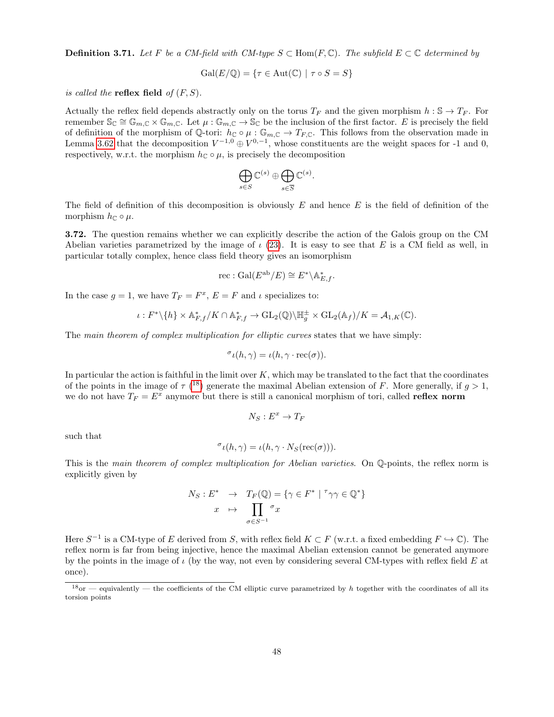**Definition 3.71.** Let F be a CM-field with CM-type  $S \subset Hom(F, \mathbb{C})$ . The subfield  $E \subset \mathbb{C}$  determined by

$$
\operatorname{Gal}(E/\mathbb{Q}) = \{ \tau \in \operatorname{Aut}(\mathbb{C}) \mid \tau \circ S = S \}
$$

is called the **reflex field** of  $(F, S)$ .

Actually the reflex field depends abstractly only on the torus  $T_F$  and the given morphism  $h : \mathbb{S} \to T_F$ . For remember  $\mathbb{S}_{\mathbb{C}} \cong \mathbb{G}_{m,\mathbb{C}} \times \mathbb{G}_{m,\mathbb{C}}$ . Let  $\mu : \mathbb{G}_{m,\mathbb{C}} \to \mathbb{S}_{\mathbb{C}}$  be the inclusion of the first factor. E is precisely the field of definition of the morphism of Q-tori:  $h_{\mathbb{C}} \circ \mu : \mathbb{G}_{m,\mathbb{C}} \to T_{F,\mathbb{C}}$ . This follows from the observation made in Lemma [3.62](#page-43-0) that the decomposition  $V^{-1,0} \oplus V^{0,-1}$ , whose constituents are the weight spaces for -1 and 0, respectively, w.r.t. the morphism  $h_{\mathbb{C}} \circ \mu$ , is precisely the decomposition

$$
\bigoplus_{s\in S}\mathbb{C}^{(s)}\oplus\bigoplus_{s\in \overline{S}}\mathbb{C}^{(s)}
$$

.

The field of definition of this decomposition is obviously  $E$  and hence  $E$  is the field of definition of the morphism  $h_{\mathbb{C}} \circ \mu$ .

3.72. The question remains whether we can explicitly describe the action of the Galois group on the CM Abelian varieties parametrized by the image of  $\iota$  [\(23\)](#page-45-1). It is easy to see that E is a CM field as well, in particular totally complex, hence class field theory gives an isomorphism

$$
\mathrm{rec} : \mathrm{Gal}(E^\mathrm{ab}/E) \cong E^* \backslash \mathbb{A}_{E,f}^*.
$$

In the case  $g = 1$ , we have  $T_F = F^x$ ,  $E = F$  and  $\iota$  specializes to:

$$
\iota: F^* \backslash \{h\} \times \mathbb{A}_{F,f}^* / K \cap \mathbb{A}_{F,f}^* \to \mathrm{GL}_2(\mathbb{Q}) \backslash \mathbb{H}_g^{\pm} \times \mathrm{GL}_2(\mathbb{A}_f) / K = \mathcal{A}_{1,K}(\mathbb{C}).
$$

The main theorem of complex multiplication for elliptic curves states that we have simply:

$$
\sigma_{\ell}(h, \gamma) = \ell(h, \gamma \cdot \text{rec}(\sigma)).
$$

In particular the action is faithful in the limit over  $K$ , which may be translated to the fact that the coordinates of the points in the image of  $\tau$  (<sup>[18](#page-47-0)</sup>) generate the maximal Abelian extension of F. More generally, if  $g > 1$ , we do not have  $T_F = E^x$  anymore but there is still a canonical morphism of tori, called **reflex norm** 

$$
N_S:E^x\to T_F
$$

such that

$$
\sigma_{\iota}(h,\gamma) = \iota(h,\gamma \cdot N_S(\text{rec}(\sigma))).
$$

This is the main theorem of complex multiplication for Abelian varieties. On Q-points, the reflex norm is explicitly given by

$$
N_S: E^* \rightarrow T_F(\mathbb{Q}) = \{ \gamma \in F^* \mid {}^{\tau} \gamma \gamma \in \mathbb{Q}^* \}
$$

$$
x \mapsto \prod_{\sigma \in S^{-1}} {}^{\sigma} x
$$

Here  $S^{-1}$  is a CM-type of E derived from S, with reflex field  $K \subset F$  (w.r.t. a fixed embedding  $F \hookrightarrow \mathbb{C}$ ). The reflex norm is far from being injective, hence the maximal Abelian extension cannot be generated anymore by the points in the image of  $\iota$  (by the way, not even by considering several CM-types with reflex field E at once).

<span id="page-47-0"></span> $18$ or — equivalently — the coefficients of the CM elliptic curve parametrized by h together with the coordinates of all its torsion points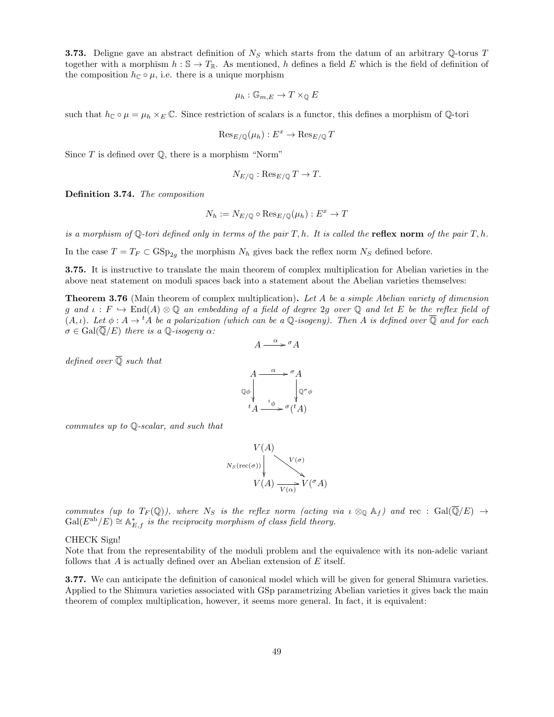<span id="page-48-0"></span>**3.73.** Deligne gave an abstract definition of  $N<sub>S</sub>$  which starts from the datum of an arbitrary Q-torus T together with a morphism  $h : \mathbb{S} \to T_{\mathbb{R}}$ . As mentioned, h defines a field E which is the field of definition of the composition  $h_{\mathbb{C}} \circ \mu$ , i.e. there is a unique morphism

$$
\mu_h : \mathbb{G}_{m,E} \to T \times_{\mathbb{Q}} E
$$

such that  $h_{\mathbb{C}} \circ \mu = \mu_h \times_E \mathbb{C}$ . Since restriction of scalars is a functor, this defines a morphism of Q-tori

$$
\mathrm{Res}_{E/\mathbb{Q}}(\mu_h) : E^x \to \mathrm{Res}_{E/\mathbb{Q}} T
$$

Since  $T$  is defined over  $\mathbb Q$ , there is a morphism "Norm"

$$
N_{E/\mathbb{Q}} : \text{Res}_{E/\mathbb{Q}} T \to T.
$$

<span id="page-48-1"></span>Definition 3.74. The composition

$$
N_h := N_{E/\mathbb{Q}} \circ \operatorname{Res}_{E/\mathbb{Q}}(\mu_h) : E^x \to T
$$

is a morphism of Q-tori defined only in terms of the pair T, h. It is called the **reflex norm** of the pair T, h.

In the case  $T = T_F \subset \text{GSp}_{2g}$  the morphism  $N_h$  gives back the reflex norm  $N_S$  defined before.

3.75. It is instructive to translate the main theorem of complex multiplication for Abelian varieties in the above neat statement on moduli spaces back into a statement about the Abelian varieties themselves:

**Theorem 3.76** (Main theorem of complex multiplication). Let A be a simple Abelian variety of dimension g and  $\iota : F \hookrightarrow \text{End}(A) \otimes \mathbb{Q}$  an embedding of a field of degree 2g over  $\mathbb{Q}$  and let E be the reflex field of  $(A, \iota)$ . Let  $\phi : A \to {}^t A$  be a polarization (which can be a Q-isogeny). Then A is defined over  $\overline{Q}$  and for each  $\sigma \in \text{Gal}(\overline{\mathbb{Q}}/E)$  there is a  $\mathbb{Q}$ -isogeny  $\alpha$ :

$$
A \xrightarrow{\alpha} {}^{\sigma}A
$$

defined over  $\overline{Q}$  such that



commutes up to Q-scalar, and such that



commutes (up to  $T_F(\mathbb{Q})$ ), where  $N_S$  is the reflex norm (acting via  $\iota \otimes_{\mathbb{Q}} \mathbb{A}_f$ ) and rec :  $Gal(\mathbb{Q}/E) \to$  $Gal(E^{ab}/E) \cong \mathbb{A}_{E,f}^*$  is the reciprocity morphism of class field theory.

### CHECK Sign!

Note that from the representability of the moduli problem and the equivalence with its non-adelic variant follows that  $A$  is actually defined over an Abelian extension of  $E$  itself.

3.77. We can anticipate the definition of canonical model which will be given for general Shimura varieties. Applied to the Shimura varieties associated with GSp parametrizing Abelian varieties it gives back the main theorem of complex multiplication, however, it seems more general. In fact, it is equivalent: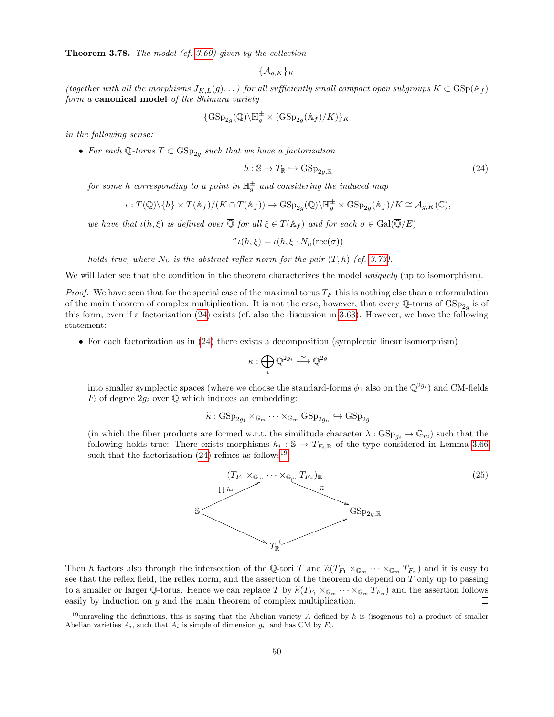<span id="page-49-2"></span>Theorem 3.78. The model (cf. [3.60\)](#page-43-1) given by the collection

$$
\{\mathcal{A}_{g,K}\}_K
$$

(together with all the morphisms  $J_{K,L}(g)$ ...) for all sufficiently small compact open subgroups  $K \subset \text{GSp}(\mathbb{A}_f)$ form a canonical model of the Shimura variety

$$
\{\operatorname{GSp}_{2g}(\mathbb{Q})\backslash \mathbb{H}_g^{\pm} \times (\operatorname{GSp}_{2g}(\mathbb{A}_f)/K)\}_K
$$

in the following sense:

• For each  $\mathbb{Q}$ -torus  $T \subset \mathrm{GSp}_{2g}$  such that we have a factorization

<span id="page-49-0"></span>
$$
h: \mathbb{S} \to T_{\mathbb{R}} \hookrightarrow \mathrm{GSp}_{2g,\mathbb{R}} \tag{24}
$$

for some h corresponding to a point in  $\mathbb{H}^{\pm}_g$  and considering the induced map

$$
\iota: T(\mathbb{Q})\backslash\{h\}\times T(\mathbb{A}_{f})/(K\cap T(\mathbb{A}_{f}))\rightarrow \mathrm{GSp}_{2g}(\mathbb{Q})\backslash\mathbb{H}_{g}^{\pm}\times \mathrm{GSp}_{2g}(\mathbb{A}_{f})/K\cong \mathcal{A}_{g,K}(\mathbb{C}),
$$

we have that  $\iota(h,\xi)$  is defined over  $\overline{\mathbb{Q}}$  for all  $\xi \in T(\mathbb{A}_f)$  and for each  $\sigma \in \text{Gal}(\overline{\mathbb{Q}}/E)$ 

$$
\sigma_{\ell}(h,\xi) = \iota(h,\xi \cdot N_h(\text{rec}(\sigma)))
$$

holds true, where  $N_h$  is the abstract reflex norm for the pair  $(T, h)$  (cf. [3.73\)](#page-48-0).

We will later see that the condition in the theorem characterizes the model *uniquely* (up to isomorphism).

*Proof.* We have seen that for the special case of the maximal torus  $T_F$  this is nothing else than a reformulation of the main theorem of complex multiplication. It is not the case, however, that every Q-torus of  $GSp_{2g}$  is of this form, even if a factorization [\(24\)](#page-49-0) exists (cf. also the discussion in [3.63\)](#page-44-1). However, we have the following statement:

• For each factorization as in  $(24)$  there exists a decomposition (symplectic linear isomorphism)

$$
\kappa: \bigoplus_i \mathbb{Q}^{2g_i} \stackrel{\sim}{\longrightarrow} \mathbb{Q}^{2g}
$$

into smaller symplectic spaces (where we choose the standard-forms  $\phi_1$  also on the  $\mathbb{Q}^{2g_i}$ ) and CM-fields  $F_i$  of degree  $2g_i$  over  $\mathbb Q$  which induces an embedding:

$$
\widetilde{\kappa}: \mathrm{GSp}_{2g_1} \times_{\mathbb{G}_m} \cdots \times_{\mathbb{G}_m} \mathrm{GSp}_{2g_n} \hookrightarrow \mathrm{GSp}_{2g}
$$

(in which the fiber products are formed w.r.t. the similitude character  $\lambda : GSp_{q_i} \to \mathbb{G}_m$ ) such that the following holds true: There exists morphisms  $h_i : \mathbb{S} \to T_{F_i,\mathbb{R}}$  of the type considered in Lemma [3.66](#page-0-2) such that the factorization  $(24)$  refines as follows<sup>[19](#page-49-1)</sup>:



Then h factors also through the intersection of the Q-tori T and  $\tilde{\kappa}(T_{F_1} \times_{\mathbb{G}_m} \cdots \times_{\mathbb{G}_m} T_{F_n})$  and it is easy to see that the reflex field, the reflex norm, and the assertion of the theorem do depend on T only up to passing to a smaller or larger Q-torus. Hence we can replace T by  $\tilde{\kappa}(T_{F_1} \times_{\mathbb{G}_m} \cdots \times_{\mathbb{G}_m} T_{F_n})$  and the assertion follows easily by induction on g and the main theorem of complex multiplication.  $\Box$ 

<span id="page-49-1"></span><sup>&</sup>lt;sup>19</sup>unraveling the definitions, this is saying that the Abelian variety A defined by h is (isogenous to) a product of smaller Abelian varieties  $A_i$ , such that  $A_i$  is simple of dimension  $g_i$ , and has CM by  $F_i$ .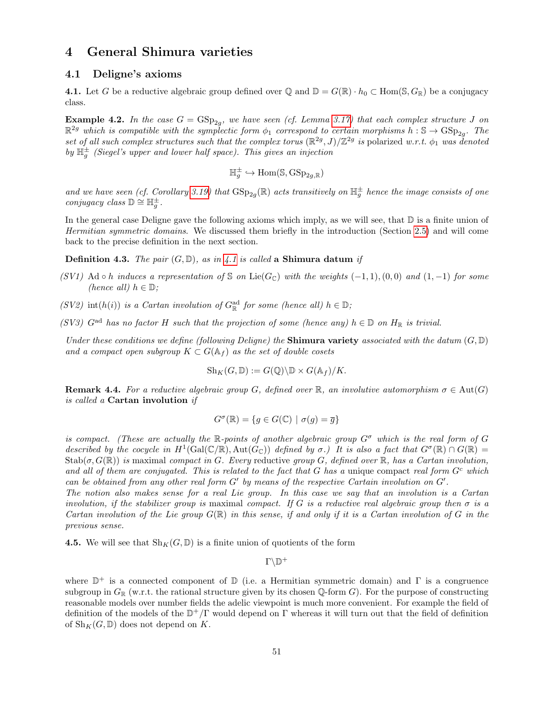# <span id="page-50-3"></span>4 General Shimura varieties

# <span id="page-50-4"></span>4.1 Deligne's axioms

<span id="page-50-0"></span>4.1. Let G be a reductive algebraic group defined over Q and  $\mathbb{D} = G(\mathbb{R}) \cdot h_0 \subset \text{Hom}(\mathbb{S}, G_{\mathbb{R}})$  be a conjugacy class.

**Example 4.2.** In the case  $G = GSp_{2g}$ , we have seen (cf. Lemma [3.17\)](#page-21-0) that each complex structure J on  $\mathbb{R}^{2g}$  which is compatible with the symplectic form  $\phi_1$  correspond to certain morphisms  $h : \mathbb{S} \to \text{GSp}_{2g}$ . The set of all such complex structures such that the complex torus  $(\mathbb{R}^{2g}, J)/\mathbb{Z}^{2g}$  is polarized w.r.t.  $\phi_1$  was denoted by  $\mathbb{H}_g^{\pm}$  (Siegel's upper and lower half space). This gives an injection

$$
\mathbb{H}_g^{\pm} \hookrightarrow \text{Hom}(\mathbb{S}, \text{GSp}_{2g,\mathbb{R}})
$$

and we have seen (cf. Corollary [3.19\)](#page-22-1) that  $GSp_{2g}(\mathbb{R})$  acts transitively on  $\mathbb{H}^{\pm}_{g}$  hence the image consists of one conjugacy class  $\mathbb{D} \cong \mathbb{H}^{\pm}_g$ .

In the general case Deligne gave the following axioms which imply, as we will see, that  $\mathbb D$  is a finite union of Hermitian symmetric domains. We discussed them briefly in the introduction (Section [2.5\)](#page-6-2) and will come back to the precise definition in the next section.

<span id="page-50-1"></span>**Definition 4.3.** The pair  $(G, \mathbb{D})$ , as in [4.1](#page-50-0) is called a Shimura datum if

- (SV1) Ad ∘ h induces a representation of S on Lie( $G_{\mathbb{C}}$ ) with the weights (-1, 1),(0,0) and (1, -1) for some (hence all)  $h \in \mathbb{D}$ ;
- (SV2) int(h(i)) is a Cartan involution of  $G^{\text{ad}}_{\mathbb{R}}$  for some (hence all)  $h \in \mathbb{D}$ ;
- (SV3)  $G^{ad}$  has no factor H such that the projection of some (hence any)  $h \in \mathbb{D}$  on  $H_{\mathbb{R}}$  is trivial.

Under these conditions we define (following Deligne) the **Shimura variety** associated with the datum  $(G, \mathbb{D})$ and a compact open subgroup  $K \subset G(\mathbb{A}_f)$  as the set of double cosets

$$
Sh_K(G, \mathbb{D}) := G(\mathbb{Q}) \backslash \mathbb{D} \times G(\mathbb{A}_f)/K.
$$

**Remark 4.4.** For a reductive algebraic group G, defined over R, an involutive automorphism  $\sigma \in \text{Aut}(G)$ is called a Cartan involution if

$$
G^{\sigma}(\mathbb{R}) = \{ g \in G(\mathbb{C}) \mid \sigma(g) = \overline{g} \}
$$

is compact. (These are actually the R-points of another algebraic group  $G^{\sigma}$  which is the real form of G described by the cocycle in  $H^1(\text{Gal}(\mathbb{C}/\mathbb{R}), \text{Aut}(G_{\mathbb{C}}))$  defined by  $\sigma$ .) It is also a fact that  $G^{\sigma}(\mathbb{R}) \cap G(\mathbb{R}) =$  $\operatorname{Stab}(\sigma, G(\mathbb{R}))$  is maximal compact in G. Every reductive group G, defined over R, has a Cartan involution, and all of them are conjugated. This is related to the fact that G has a unique compact real form  $G<sup>c</sup>$  which can be obtained from any other real form  $G'$  by means of the respective Cartain involution on  $G'$ .

The notion also makes sense for a real Lie group. In this case we say that an involution is a Cartan involution, if the stabilizer group is maximal compact. If G is a reductive real algebraic group then  $\sigma$  is a Cartan involution of the Lie group  $G(\mathbb{R})$  in this sense, if and only if it is a Cartan involution of G in the previous sense.

<span id="page-50-2"></span>4.5. We will see that  $\text{Sh}_K(G,\mathbb{D})$  is a finite union of quotients of the form

 $\Gamma\backslash\mathbb{D}^+$ 

where  $\mathbb{D}^+$  is a connected component of  $\mathbb D$  (i.e. a Hermitian symmetric domain) and  $\Gamma$  is a congruence subgroup in  $G_{\mathbb{R}}$  (w.r.t. the rational structure given by its chosen Q-form G). For the purpose of constructing reasonable models over number fields the adelic viewpoint is much more convenient. For example the field of definition of the models of the  $\mathbb{D}^+/\Gamma$  would depend on  $\Gamma$  whereas it will turn out that the field of definition of  $\text{Sh}_K(G,\mathbb{D})$  does not depend on K.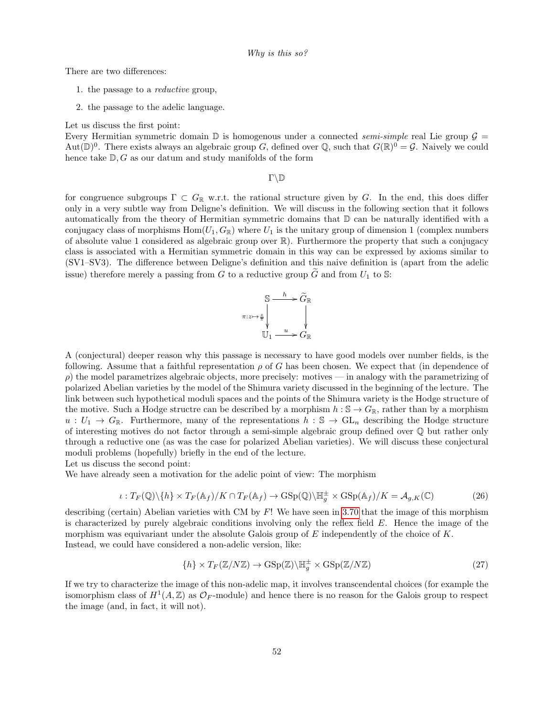Why is this so?

There are two differences:

- 1. the passage to a reductive group,
- 2. the passage to the adelic language.

Let us discuss the first point:

Every Hermitian symmetric domain  $\mathbb D$  is homogenous under a connected *semi-simple* real Lie group  $\mathcal G$  = Aut $(\mathbb{D})^0$ . There exists always an algebraic group G, defined over Q, such that  $G(\mathbb{R})^0 = \mathcal{G}$ . Naively we could hence take  $\mathbb{D}, G$  as our datum and study manifolds of the form

 $\Gamma\backslash\mathbb{D}$ 

for congruence subgroups  $\Gamma \subset G_{\mathbb{R}}$  w.r.t. the rational structure given by G. In the end, this does differ only in a very subtle way from Deligne's definition. We will discuss in the following section that it follows automatically from the theory of Hermitian symmetric domains that  $D$  can be naturally identified with a conjugacy class of morphisms  $Hom(U_1, G_{\mathbb{R}})$  where  $U_1$  is the unitary group of dimension 1 (complex numbers of absolute value 1 considered as algebraic group over  $\mathbb{R}$ ). Furthermore the property that such a conjugacy class is associated with a Hermitian symmetric domain in this way can be expressed by axioms similar to (SV1–SV3). The difference between Deligne's definition and this naive definition is (apart from the adelic issue) therefore merely a passing from G to a reductive group  $\tilde{G}$  and from  $U_1$  to S:



A (conjectural) deeper reason why this passage is necessary to have good models over number fields, is the following. Assume that a faithful representation  $\rho$  of G has been chosen. We expect that (in dependence of  $\rho$ ) the model parametrizes algebraic objects, more precisely: motives — in analogy with the parametrizing of polarized Abelian varieties by the model of the Shimura variety discussed in the beginning of the lecture. The link between such hypothetical moduli spaces and the points of the Shimura variety is the Hodge structure of the motive. Such a Hodge structre can be described by a morphism  $h : \mathbb{S} \to G_{\mathbb{R}}$ , rather than by a morphism  $u: U_1 \to G_{\mathbb{R}}$ . Furthermore, many of the representations  $h: \mathbb{S} \to GL_n$  describing the Hodge structure of interesting motives do not factor through a semi-simple algebraic group defined over Q but rather only through a reductive one (as was the case for polarized Abelian varieties). We will discuss these conjectural moduli problems (hopefully) briefly in the end of the lecture.

Let us discuss the second point:

We have already seen a motivation for the adelic point of view: The morphism

$$
\iota: T_F(\mathbb{Q}) \setminus \{h\} \times T_F(\mathbb{A}_f) / K \cap T_F(\mathbb{A}_f) \to \mathrm{GSp}(\mathbb{Q}) \setminus \mathbb{H}_g^{\pm} \times \mathrm{GSp}(\mathbb{A}_f) / K = \mathcal{A}_{g,K}(\mathbb{C})
$$
 (26)

describing (certain) Abelian varieties with CM by  $F!$  We have seen in [3.70](#page-0-2) that the image of this morphism is characterized by purely algebraic conditions involving only the reflex field  $E$ . Hence the image of the morphism was equivariant under the absolute Galois group of  $E$  independently of the choice of  $K$ . Instead, we could have considered a non-adelic version, like:

$$
\{h\} \times T_F(\mathbb{Z}/N\mathbb{Z}) \to \mathrm{GSp}(\mathbb{Z}) \backslash \mathbb{H}_g^{\pm} \times \mathrm{GSp}(\mathbb{Z}/N\mathbb{Z}) \tag{27}
$$

If we try to characterize the image of this non-adelic map, it involves transcendental choices (for example the isomorphism class of  $H^1(A, \mathbb{Z})$  as  $\mathcal{O}_F$ -module) and hence there is no reason for the Galois group to respect the image (and, in fact, it will not).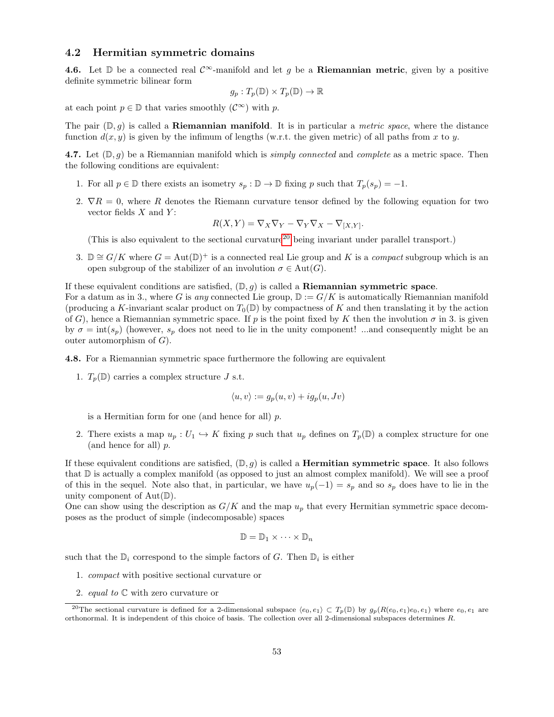### <span id="page-52-3"></span>4.2 Hermitian symmetric domains

4.6. Let D be a connected real  $\mathcal{C}^{\infty}$ -manifold and let g be a Riemannian metric, given by a positive definite symmetric bilinear form

$$
g_p: T_p(\mathbb{D}) \times T_p(\mathbb{D}) \to \mathbb{R}
$$

at each point  $p \in \mathbb{D}$  that varies smoothly  $(\mathcal{C}^{\infty})$  with p.

The pair  $(\mathbb{D}, q)$  is called a **Riemannian manifold**. It is in particular a *metric space*, where the distance function  $d(x, y)$  is given by the infimum of lengths (w.r.t. the given metric) of all paths from x to y.

<span id="page-52-1"></span>4.7. Let  $(\mathbb{D}, g)$  be a Riemannian manifold which is *simply connected* and *complete* as a metric space. Then the following conditions are equivalent:

- 1. For all  $p \in \mathbb{D}$  there exists an isometry  $s_p : \mathbb{D} \to \mathbb{D}$  fixing p such that  $T_p(s_p) = -1$ .
- 2.  $\nabla R = 0$ , where R denotes the Riemann curvature tensor defined by the following equation for two vector fields  $X$  and  $Y$ :

$$
R(X,Y) = \nabla_X \nabla_Y - \nabla_Y \nabla_X - \nabla_{[X,Y]}.
$$

(This is also equivalent to the sectional curvature[20](#page-52-0) being invariant under parallel transport.)

3. D  $\cong G/K$  where  $G = \text{Aut}(\mathbb{D})^+$  is a connected real Lie group and K is a *compact* subgroup which is an open subgroup of the stabilizer of an involution  $\sigma \in \text{Aut}(G)$ .

If these equivalent conditions are satisfied,  $(\mathbb{D}, q)$  is called a **Riemannian symmetric space**.

For a datum as in 3., where G is any connected Lie group,  $\mathbb{D} := G/K$  is automatically Riemannian manifold (producing a K-invariant scalar product on  $T_0(\mathbb{D})$  by compactness of K and then translating it by the action of G), hence a Riemannian symmetric space. If p is the point fixed by K then the involution  $\sigma$  in 3. is given by  $\sigma = \text{int}(s_p)$  (however,  $s_p$  does not need to lie in the unity component! ...and consequently might be an outer automorphism of  $G$ ).

<span id="page-52-2"></span>4.8. For a Riemannian symmetric space furthermore the following are equivalent

1.  $T_p(\mathbb{D})$  carries a complex structure J s.t.

$$
\langle u, v \rangle := g_p(u, v) + ig_p(u, Jv)
$$

is a Hermitian form for one (and hence for all)  $p$ .

2. There exists a map  $u_p: U_1 \hookrightarrow K$  fixing p such that  $u_p$  defines on  $T_p(\mathbb{D})$  a complex structure for one (and hence for all) p.

If these equivalent conditions are satisfied,  $(\mathbb{D}, g)$  is called a **Hermitian symmetric space**. It also follows that D is actually a complex manifold (as opposed to just an almost complex manifold). We will see a proof of this in the sequel. Note also that, in particular, we have  $u_p(-1) = s_p$  and so  $s_p$  does have to lie in the unity component of  $Aut(\mathbb{D})$ .

One can show using the description as  $G/K$  and the map  $u_p$  that every Hermitian symmetric space decomposes as the product of simple (indecomposable) spaces

$$
\mathbb{D} = \mathbb{D}_1 \times \cdots \times \mathbb{D}_n
$$

such that the  $\mathbb{D}_i$  correspond to the simple factors of G. Then  $\mathbb{D}_i$  is either

- 1. compact with positive sectional curvature or
- <span id="page-52-0"></span>2. equal to  $\mathbb C$  with zero curvature or

<sup>&</sup>lt;sup>20</sup>The sectional curvature is defined for a 2-dimensional subspace  $\langle e_0, e_1 \rangle \subset T_p(\mathbb{D})$  by  $g_p(R(e_0, e_1)e_0, e_1)$  where  $e_0, e_1$  are orthonormal. It is independent of this choice of basis. The collection over all 2-dimensional subspaces determines R.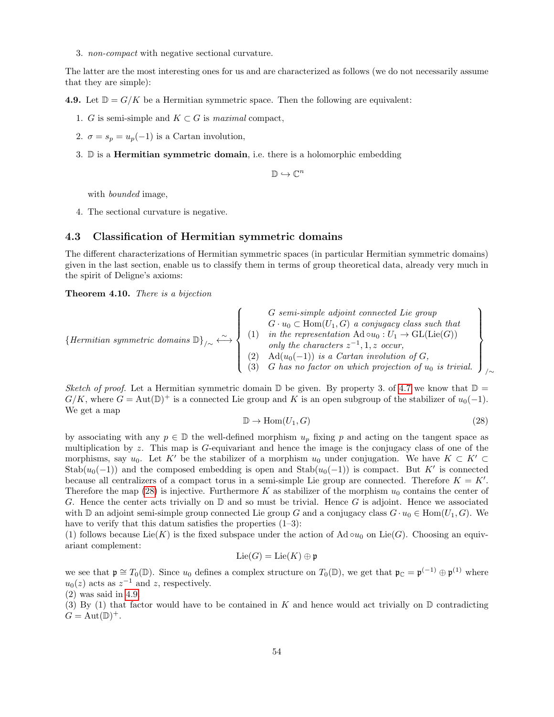3. non-compact with negative sectional curvature.

The latter are the most interesting ones for us and are characterized as follows (we do not necessarily assume that they are simple):

<span id="page-53-1"></span>4.9. Let  $\mathbb{D} = G/K$  be a Hermitian symmetric space. Then the following are equivalent:

- 1. G is semi-simple and  $K \subset G$  is maximal compact,
- 2.  $\sigma = s_p = u_p(-1)$  is a Cartan involution,
- 3.  $\mathbb D$  is a **Hermitian symmetric domain**, i.e. there is a holomorphic embedding

 $\mathbb{D} \hookrightarrow \mathbb{C}^n$ 

with bounded image,

4. The sectional curvature is negative.

# <span id="page-53-3"></span>4.3 Classification of Hermitian symmetric domains

The different characterizations of Hermitian symmetric spaces (in particular Hermitian symmetric domains) given in the last section, enable us to classify them in terms of group theoretical data, already very much in the spirit of Deligne's axioms:

<span id="page-53-2"></span>Theorem 4.10. There is a bijection

$$
\{Hermitian symmetric domains \mathbb{D}\}_{/\sim} \longleftrightarrow \left\{\begin{array}{c}G semi-simple adjoint connected Lie group \\ G \cdot u_0 \subset \text{Hom}(U_1, G) a conjugacy class such that \\ (1) \quad in the representation \mathbb{A}d \circ u_0 : U_1 \to \text{GL}(\text{Lie}(G)) \\ only the characters  $z^{-1}, 1, z \text{ occur},$   

$$
(2) \quad \text{Ad}(u_0(-1)) \text{ is a Cartan involution of } G, \\ (3) \quad G \text{ has no factor on which projection of } u_0 \text{ is trivial.}\end{array}\right\}_{/\sim}
$$
$$

Sketch of proof. Let a Hermitian symmetric domain  $\mathbb D$  be given. By property 3. of [4.7](#page-52-1) we know that  $\mathbb D$  =  $G/K$ , where  $G = \text{Aut}(\mathbb{D})^+$  is a connected Lie group and K is an open subgroup of the stabilizer of  $u_0(-1)$ . We get a map

<span id="page-53-0"></span>
$$
\mathbb{D} \to \text{Hom}(U_1, G) \tag{28}
$$

by associating with any  $p \in \mathbb{D}$  the well-defined morphism  $u_p$  fixing p and acting on the tangent space as multiplication by z. This map is G-equivariant and hence the image is the conjugacy class of one of the morphisms, say  $u_0$ . Let K' be the stabilizer of a morphism  $u_0$  under conjugation. We have  $K \subset K' \subset$  $\text{Stab}(u_0(-1))$  and the composed embedding is open and  $\text{Stab}(u_0(-1))$  is compact. But K' is connected because all centralizers of a compact torus in a semi-simple Lie group are connected. Therefore  $K = K'$ . Therefore the map [\(28\)](#page-53-0) is injective. Furthermore K as stabilizer of the morphism  $u_0$  contains the center of G. Hence the center acts trivially on  $\mathbb D$  and so must be trivial. Hence G is adjoint. Hence we associated with D an adjoint semi-simple group connected Lie group G and a conjugacy class  $G \cdot u_0 \in \text{Hom}(U_1, G)$ . We have to verify that this datum satisfies the properties  $(1-3)$ :

(1) follows because Lie(K) is the fixed subspace under the action of Ad  $\circ u_0$  on Lie(G). Choosing an equivariant complement:

$$
\mathrm{Lie}(G)=\mathrm{Lie}(K)\oplus\mathfrak{p}
$$

we see that  $\mathfrak{p} \cong T_0(\mathbb{D})$ . Since  $u_0$  defines a complex structure on  $T_0(\mathbb{D})$ , we get that  $\mathfrak{p}_{\mathbb{C}} = \mathfrak{p}^{(-1)} \oplus \mathfrak{p}^{(1)}$  where  $u_0(z)$  acts as  $z^{-1}$  and z, respectively.

(2) was said in [4.9.](#page-53-1)

(3) By (1) that factor would have to be contained in K and hence would act trivially on  $\mathbb D$  contradicting  $G = Aut(D)^+$ .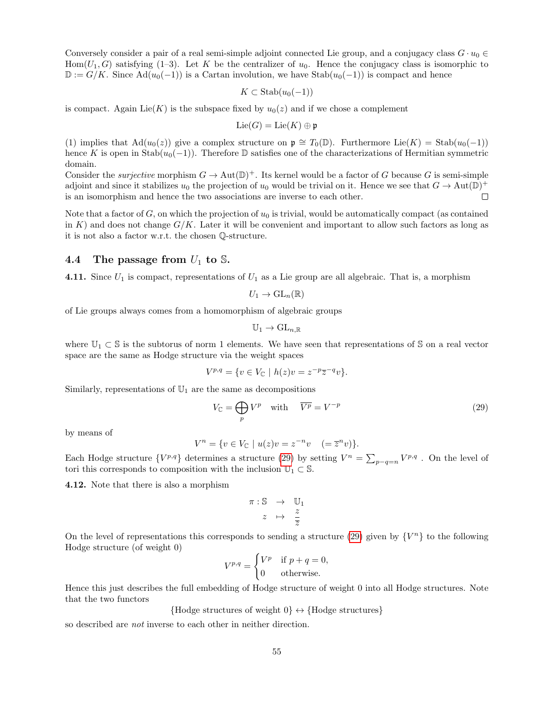Conversely consider a pair of a real semi-simple adjoint connected Lie group, and a conjugacy class  $G \cdot u_0 \in$ Hom $(U_1, G)$  satisfying (1–3). Let K be the centralizer of  $u_0$ . Hence the conjugacy class is isomorphic to  $\mathbb{D} := G/K$ . Since  $\text{Ad}(u_0(-1))$  is a Cartan involution, we have Stab $(u_0(-1))$  is compact and hence

$$
K \subset \mathrm{Stab}(u_0(-1))
$$

is compact. Again Lie(K) is the subspace fixed by  $u_0(z)$  and if we chose a complement

$$
\mathrm{Lie}(G)=\mathrm{Lie}(K)\oplus\mathfrak{p}
$$

(1) implies that  $\text{Ad}(u_0(z))$  give a complex structure on  $\mathfrak{p} \cong T_0(\mathbb{D})$ . Furthermore Lie $(K) = \text{Stab}(u_0(-1))$ hence K is open in Stab $(u_0(-1))$ . Therefore D satisfies one of the characterizations of Hermitian symmetric domain.

Consider the *surjective* morphism  $G \to \text{Aut}(\mathbb{D})^+$ . Its kernel would be a factor of G because G is semi-simple adjoint and since it stabilizes  $u_0$  the projection of  $u_0$  would be trivial on it. Hence we see that  $G \to Aut(\mathbb{D})^+$ is an isomorphism and hence the two associations are inverse to each other.  $\Box$ 

Note that a factor of  $G$ , on which the projection of  $u_0$  is trivial, would be automatically compact (as contained in K) and does not change  $G/K$ . Later it will be convenient and important to allow such factors as long as it is not also a factor w.r.t. the chosen Q-structure.

### <span id="page-54-1"></span>4.4 The passage from  $U_1$  to S.

4.11. Since  $U_1$  is compact, representations of  $U_1$  as a Lie group are all algebraic. That is, a morphism

$$
U_1\to\mathrm{GL}_n(\mathbb{R})
$$

of Lie groups always comes from a homomorphism of algebraic groups

$$
\mathbb{U}_1 \to \mathrm{GL}_{n,\mathbb{R}}
$$

where  $\mathbb{U}_1 \subset \mathbb{S}$  is the subtorus of norm 1 elements. We have seen that representations of S on a real vector space are the same as Hodge structure via the weight spaces

$$
V^{p,q} = \{ v \in V_{\mathbb{C}} \mid h(z)v = z^{-p}\overline{z}^{-q}v \}.
$$

Similarly, representations of  $\mathbb{U}_1$  are the same as decompositions

<span id="page-54-0"></span>
$$
V_{\mathbb{C}} = \bigoplus_{p} V^{p} \quad \text{with} \quad \overline{V^{p}} = V^{-p} \tag{29}
$$

by means of

$$
V^{n} = \{ v \in V_{\mathbb{C}} \mid u(z)v = z^{-n}v \quad (=\overline{z}^{n}v) \}.
$$

Each Hodge structure  $\{V^{p,q}\}\$  determines a structure [\(29\)](#page-54-0) by setting  $V^n = \sum_{p-q=n} V^{p,q}$ . On the level of tori this corresponds to composition with the inclusion  $\mathbb{U}_1 \subset \mathbb{S}$ .

4.12. Note that there is also a morphism

$$
\begin{array}{rcl} \pi : \mathbb{S} & \to & \mathbb{U}_1 \\ z & \mapsto & \frac{z}{\overline{z}} \end{array}
$$

On the level of representations this corresponds to sending a structure [\(29\)](#page-54-0) given by  $\{V^n\}$  to the following Hodge structure (of weight 0)

$$
V^{p,q} = \begin{cases} V^p & \text{if } p+q=0, \\ 0 & \text{otherwise.} \end{cases}
$$

Hence this just describes the full embedding of Hodge structure of weight 0 into all Hodge structures. Note that the two functors

{Hodge structures of weight  $0$ }  $\leftrightarrow$  {Hodge structures}

so described are not inverse to each other in neither direction.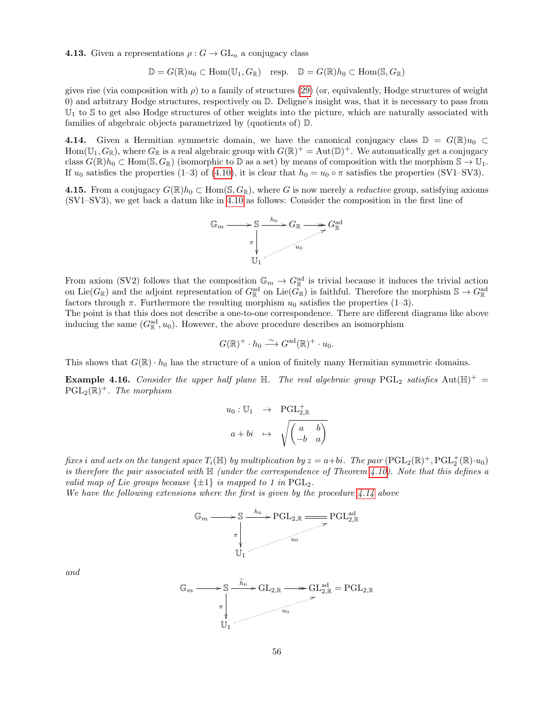**4.13.** Given a representations  $\rho: G \to \text{GL}_n$  a conjugacy class

$$
\mathbb{D} = G(\mathbb{R})u_0 \subset \text{Hom}(\mathbb{U}_1, G_{\mathbb{R}}) \quad \text{resp.} \quad \mathbb{D} = G(\mathbb{R})h_0 \subset \text{Hom}(\mathbb{S}, G_{\mathbb{R}})
$$

gives rise (via composition with  $\rho$ ) to a family of structures [\(29\)](#page-54-0) (or, equivalently, Hodge structures of weight 0) and arbitrary Hodge structures, respectively on D. Deligne's insight was, that it is necessary to pass from  $\mathbb{U}_1$  to S to get also Hodge structures of other weights into the picture, which are naturally associated with families of abgebraic objects parametrized by (quotients of) D.

<span id="page-55-0"></span>4.14. Given a Hermitian symmetric domain, we have the canonical conjugacy class  $\mathbb{D} = G(\mathbb{R})u_0 \subset$ Hom( $\mathbb{U}_1, G_{\mathbb{R}}$ ), where  $G_{\mathbb{R}}$  is a real algebraic group with  $G(\mathbb{R})^+ = \text{Aut}(\mathbb{D})^+$ . We automatically get a conjugacy class  $G(\mathbb{R})h_0 \subset \text{Hom}(\mathbb{S}, G_{\mathbb{R}})$  (isomorphic to  $\mathbb{D}$  as a set) by means of composition with the morphism  $\mathbb{S} \to \mathbb{U}_1$ . If  $u_0$  satisfies the properties (1–3) of [\(4.10\)](#page-53-2), it is clear that  $h_0 = u_0 \circ \pi$  satisfies the properties (SV1–SV3).

<span id="page-55-2"></span>4.15. From a conjugacy  $G(\mathbb{R})h_0 \subset \text{Hom}(\mathbb{S}, G_{\mathbb{R}})$ , where G is now merely a *reductive* group, satisfying axioms (SV1–SV3), we get back a datum like in [4.10](#page-53-2) as follows: Consider the composition in the first line of



From axiom (SV2) follows that the composition  $\mathbb{G}_m \to G_{\mathbb{R}}^{\text{ad}}$  is trivial because it induces the trivial action on Lie( $G_{\mathbb{R}}$ ) and the adjoint representation of  $G_{\mathbb{R}}^{\text{ad}}$  on Lie( $G_{\mathbb{R}}^{\circ}$ ) is faithful. Therefore the morphism  $\mathbb{S} \to G_{\mathbb{R}}^{\text{ad}}$ factors through  $\pi$ . Furthermore the resulting morphism  $u_0$  satisfies the properties (1–3).

The point is that this does not describe a one-to-one correspondence. There are different diagrams like above inducing the same  $(G_{\mathbb{R}}^{\text{ad}}, u_0)$ . However, the above procedure describes an isomorphism

$$
G(\mathbb{R})^+ \cdot h_0 \xrightarrow{\sim} G^{\text{ad}}(\mathbb{R})^+ \cdot u_0.
$$

This shows that  $G(\mathbb{R}) \cdot h_0$  has the structure of a union of finitely many Hermitian symmetric domains.

<span id="page-55-1"></span>**Example 4.16.** Consider the upper half plane  $\mathbb{H}$ . The real algebraic group PGL<sub>2</sub> satisfies  $Aut(\mathbb{H})^+$  =  $\mathrm{PGL}_2(\mathbb{R})^+$ . The morphism

$$
u_0: \mathbb{U}_1 \rightarrow \text{PGL}_{2,\mathbb{R}}^+
$$

$$
a+bi \rightarrow \sqrt{\begin{pmatrix} a & b \\ -b & a \end{pmatrix}}
$$

fixes i and acts on the tangent space  $T_i(\mathbb{H})$  by multiplication by  $z = a+bi$ . The pair  $(PGL_2(\mathbb{R})^+, PGL_2^+(\mathbb{R}) \cdot u_0)$ is therefore the pair associated with  $\mathbb H$  (under the correspondence of Theorem [4.10\)](#page-53-2). Note that this defines a valid map of Lie groups because  $\{\pm 1\}$  is mapped to 1 in PGL<sub>2</sub>.

We have the following extensions where the first is given by the procedure [4.14](#page-55-0) above





and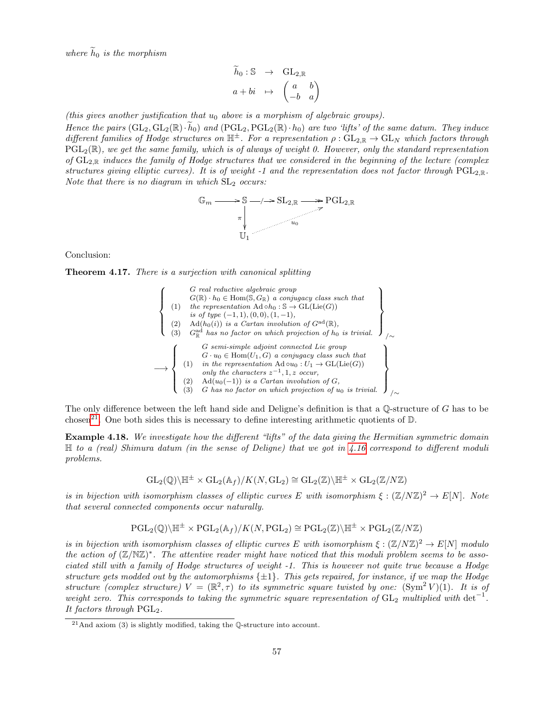where  $h_0$  is the morphism

$$
\begin{array}{rcl}\n\widetilde{h}_0: \mathbb{S} & \to & \mathrm{GL}_{2,\mathbb{R}} \\
a + bi & \mapsto & \begin{pmatrix} a & b \\ -b & a \end{pmatrix}\n\end{array}
$$

(this gives another justification that  $u_0$  above is a morphism of algebraic groups).

Hence the pairs  $(GL_2, GL_2(\mathbb{R})\cdot \tilde{h}_0)$  and  $(PGL_2, PGL_2(\mathbb{R})\cdot h_0)$  are two 'lifts' of the same datum. They induce different families of Hodge structures on  $\mathbb{H}^{\pm}$ . For a representation  $\rho: GL_{2,\mathbb{R}} \to GL_N$  which factors through  $PGL_2(\mathbb{R})$ , we get the same family, which is of always of weight 0. However, only the standard representation of  $GL_{2,\mathbb{R}}$  induces the family of Hodge structures that we considered in the beginning of the lecture (complex structures giving elliptic curves). It is of weight -1 and the representation does not factor through  $PGL_{2,\mathbb{R}}$ . Note that there is no diagram in which  $SL<sub>2</sub>$  occurs:



Conclusion:

Theorem 4.17. There is a surjection with canonical splitting

$$
\left\{\n\begin{array}{c}\nG \text{ real reductive algebraic group} \\
G(\mathbb{R}) \cdot h_0 \in \text{Hom}(\mathbb{S}, G_{\mathbb{R}}) \text{ a conjugacy class such that} \\
(1) \quad \text{the representation } \text{Ad} \circ h_0 : \mathbb{S} \to \text{GL}(\text{Lie}(G)) \\
\text{ is of type } (-1, 1), (0, 0), (1, -1), \\
(2) \quad \text{Ad}(h_0(i)) \text{ is a Cartan involution of } G^{\text{ad}}(\mathbb{R}), \\
(3) \quad G_{\mathbb{R}}^{\text{ad}} \text{ has no factor on which projection of } h_0 \text{ is trivial.} \\
\end{array}\n\right\}
$$
\n
$$
\longrightarrow\n\left\{\n\begin{array}{c}\nG \text{ semi-simple adjoint connected Lie group} \\
G \cdot u_0 \in \text{Hom}(U_1, G) \text{ a conjugacy class such that} \\
(1) \quad \text{in the representation } \text{Ad} \circ u_0 : U_1 \to \text{GL}(\text{Lie}(G)) \\
\text{only the characters } z^{-1}, 1, z \text{ occur,} \\
(2) \quad \text{Ad}(u_0(-1)) \text{ is a Cartan involution of } G, \\
(3) \quad G \text{ has no factor on which projection of } u_0 \text{ is trivial.}\n\end{array}\n\right\}
$$

The only difference between the left hand side and Deligne's definition is that a  $\mathbb Q$ -structure of G has to be chosen<sup>[21](#page-56-0)</sup>. One both sides this is necessary to define interesting arithmetic quotients of  $\mathbb{D}$ .

**Example 4.18.** We investigate how the different "lifts" of the data giving the Hermitian symmetric domain  $\mathbb H$  to a (real) Shimura datum (in the sense of Deligne) that we got in [4.16](#page-55-1) correspond to different moduli problems.

$$
\mathrm{GL}_2({\mathbb Q})\backslash{\mathbb H}^\pm\times\mathrm{GL}_2({\mathbb A}_f)/K(N,\mathrm{GL}_2)\cong\mathrm{GL}_2({\mathbb Z})\backslash{\mathbb H}^\pm\times\mathrm{GL}_2({\mathbb Z}/N{\mathbb Z})
$$

is in bijection with isomorphism classes of elliptic curves E with isomorphism  $\xi : (\mathbb{Z}/N\mathbb{Z})^2 \to E[N]$ . Note that several connected components occur naturally.

$$
\operatorname{PGL}_2(\mathbb{Q})\backslash \mathbb{H}^\pm\times \operatorname{PGL}_2(\mathbb{A}_f)/K(N,\operatorname{PGL}_2)\cong \operatorname{PGL}_2(\mathbb{Z})\backslash \mathbb{H}^\pm\times \operatorname{PGL}_2(\mathbb{Z}/N\mathbb{Z})
$$

is in bijection with isomorphism classes of elliptic curves E with isomorphism  $\xi : (\mathbb{Z}/N\mathbb{Z})^2 \to E[N]$  modulo the action of  $(\mathbb{Z}/N\mathbb{Z})^*$ . The attentive reader might have noticed that this moduli problem seems to be associated still with a family of Hodge structures of weight -1. This is however not quite true because a Hodge structure gets modded out by the automorphisms  $\{\pm 1\}$ . This gets repaired, for instance, if we map the Hodge structure (complex structure)  $V = (\mathbb{R}^2, \tau)$  to its symmetric square twisted by one:  $(\text{Sym}^2 V)(1)$ . It is of weight zero. This corresponds to taking the symmetric square representation of  $GL_2$  multiplied with det<sup>-1</sup>. It factors through  $PGL<sub>2</sub>$ .

<span id="page-56-0"></span> $^{21}$ And axiom (3) is slightly modified, taking the Q-structure into account.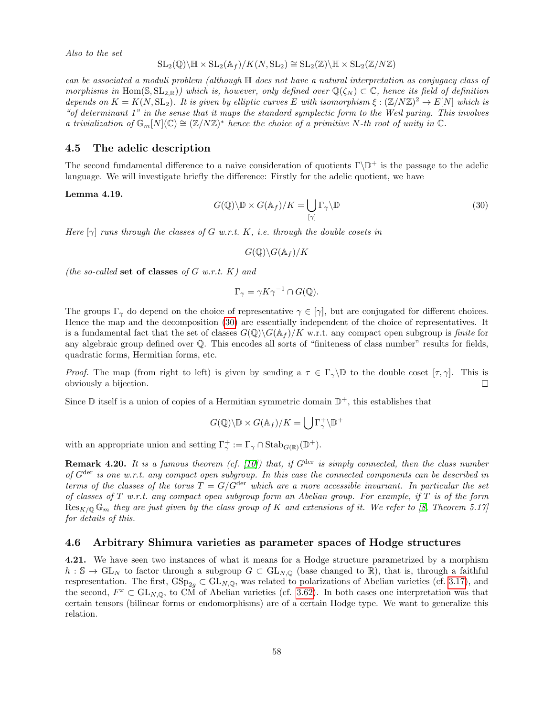Also to the set

$$
SL_2(\mathbb{Q})\backslash\mathbb{H}\times SL_2(\mathbb{A}_f)/K(N,SL_2)\cong SL_2(\mathbb{Z})\backslash\mathbb{H}\times SL_2(\mathbb{Z}/N\mathbb{Z})
$$

can be associated a moduli problem (although  $\mathbb H$  does not have a natural interpretation as conjugacy class of morphisms in Hom( $\mathcal{S}, SL_{2,\mathbb{R}}$ ) which is, however, only defined over  $\mathbb{Q}(\zeta_N) \subset \mathbb{C}$ , hence its field of definition depends on  $K = K(N, SL_2)$ . It is given by elliptic curves E with isomorphism  $\xi : (\mathbb{Z}/N\mathbb{Z})^2 \to E[N]$  which is "of determinant 1" in the sense that it maps the standard symplectic form to the Weil paring. This involves a trivialization of  $\mathbb{G}_m[N](\mathbb{C}) \cong (\mathbb{Z}/N\mathbb{Z})^*$  hence the choice of a primitive N-th root of unity in  $\mathbb{C}$ .

### <span id="page-57-1"></span>4.5 The adelic description

The second fundamental difference to a naive consideration of quotients  $\Gamma \backslash \mathbb{D}^+$  is the passage to the adelic language. We will investigate briefly the difference: Firstly for the adelic quotient, we have

### Lemma 4.19.

<span id="page-57-0"></span>
$$
G(\mathbb{Q})\backslash\mathbb{D}\times G(\mathbb{A}_f)/K=\bigcup_{[\gamma]}\Gamma_{\gamma}\backslash\mathbb{D}
$$
\n(30)

Here  $[\gamma]$  runs through the classes of G w.r.t. K, i.e. through the double cosets in

$$
G(\mathbb{Q})\backslash G(\mathbb{A}_f)/K
$$

(the so-called set of classes of G w.r.t.  $K$ ) and

$$
\Gamma_{\gamma} = \gamma K \gamma^{-1} \cap G(\mathbb{Q}).
$$

The groups  $\Gamma_{\gamma}$  do depend on the choice of representative  $\gamma \in [\gamma]$ , but are conjugated for different choices. Hence the map and the decomposition [\(30\)](#page-57-0) are essentially independent of the choice of representatives. It is a fundamental fact that the set of classes  $G(\mathbb{Q})\backslash G(\mathbb{A}_f)/K$  w.r.t. any compact open subgroup is finite for any algebraic group defined over Q. This encodes all sorts of "finiteness of class number" results for fields, quadratic forms, Hermitian forms, etc.

*Proof.* The map (from right to left) is given by sending a  $\tau \in \Gamma_{\gamma} \backslash \mathbb{D}$  to the double coset  $[\tau, \gamma]$ . This is obviously a bijection.  $\Box$ 

Since  $\mathbb D$  itself is a union of copies of a Hermitian symmetric domain  $\mathbb D^+$ , this establishes that

$$
G(\mathbb{Q})\backslash\mathbb{D}\times G(\mathbb{A}_f)/K=\bigcup\Gamma_{\gamma}^+\backslash\mathbb{D}^+
$$

with an appropriate union and setting  $\Gamma^+_\gamma := \Gamma_\gamma \cap \text{Stab}_{G(\mathbb{R})}(\mathbb{D}^+).$ 

**Remark 4.20.** It is a famous theorem (cf. [\[10\]](#page-70-2)) that, if  $G^{\text{der}}$  is simply connected, then the class number of  $G<sup>der</sup>$  is one w.r.t. any compact open subgroup. In this case the connected components can be described in terms of the classes of the torus  $T = G/G^{\text{der}}$  which are a more accessible invariant. In particular the set of classes of T w.r.t. any compact open subgroup form an Abelian group. For example, if T is of the form  $\text{Res}_{K/\mathbb{Q}}\mathbb{G}_m$  they are just given by the class group of K and extensions of it. We refer to [\[8,](#page-70-3) Theorem 5.17] for details of this.

### <span id="page-57-2"></span>4.6 Arbitrary Shimura varieties as parameter spaces of Hodge structures

4.21. We have seen two instances of what it means for a Hodge structure parametrized by a morphism  $h : \mathbb{S} \to GL_N$  to factor through a subgroup  $G \subset GL_{N,\mathbb{Q}}$  (base changed to  $\mathbb{R}$ ), that is, through a faithful respresentation. The first,  $GSp_{2q} \subset GL_{N,Q}$ , was related to polarizations of Abelian varieties (cf. [3.17\)](#page-21-0), and the second,  $F^x \text{ }\subset \text{GL}_{N,\mathbb{Q}}$ , to CM of Abelian varieties (cf. [3.62\)](#page-43-0). In both cases one interpretation was that certain tensors (bilinear forms or endomorphisms) are of a certain Hodge type. We want to generalize this relation.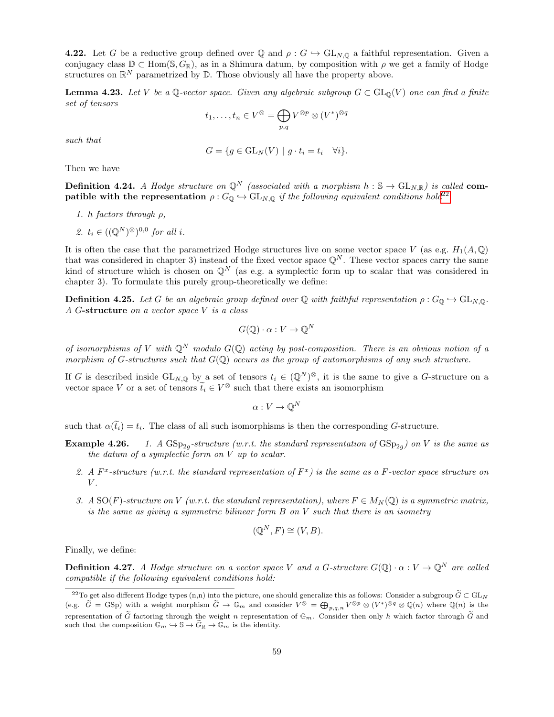**4.22.** Let G be a reductive group defined over Q and  $\rho$  :  $G \hookrightarrow GL_{N,Q}$  a faithful representation. Given a conjugacy class  $\mathbb{D} \subset \text{Hom}(\mathbb{S}, G_{\mathbb{R}})$ , as in a Shimura datum, by composition with  $\rho$  we get a family of Hodge structures on  $\mathbb{R}^N$  parametrized by  $\mathbb{D}$ . Those obviously all have the property above.

**Lemma 4.23.** Let V be a Q-vector space. Given any algebraic subgroup  $G \subset GL_0(V)$  one can find a finite set of tensors

$$
t_1,\ldots,t_n\in V^\otimes=\bigoplus_{p,q}V^{\otimes p}\otimes (V^*)^{\otimes q}
$$

such that

$$
G = \{ g \in GL_N(V) \mid g \cdot t_i = t_i \quad \forall i \}.
$$

Then we have

<span id="page-58-1"></span>**Definition 4.24.** A Hodge structure on  $\mathbb{Q}^N$  (associated with a morphism  $h : \mathbb{S} \to GL_{N,\mathbb{R}}$ ) is called com**patible with the representation**  $\rho: G_{\mathbb{Q}} \hookrightarrow GL_{N,\mathbb{Q}}$  if the following equivalent conditions hold<sup>[22](#page-58-0)</sup>

- 1. h factors through  $\rho$ ,
- 2.  $t_i \in ((\mathbb{Q}^N)^{\otimes})^{0,0}$  for all i.

It is often the case that the parametrized Hodge structures live on some vector space V (as e.g.  $H_1(A, \mathbb{Q})$ that was considered in chapter 3) instead of the fixed vector space  $\mathbb{Q}^N$ . These vector spaces carry the same kind of structure which is chosen on  $\mathbb{Q}^N$  (as e.g. a symplectic form up to scalar that was considered in chapter 3). To formulate this purely group-theoretically we define:

**Definition 4.25.** Let G be an algebraic group defined over Q with faithful representation  $\rho: G_{\mathbb{Q}} \hookrightarrow GL_{N,\mathbb{Q}}$ . A G-structure on a vector space V is a class

$$
G(\mathbb{Q}) \cdot \alpha : V \to \mathbb{Q}^N
$$

of isomorphisms of V with  $\mathbb{Q}^N$  modulo  $G(\mathbb{Q})$  acting by post-composition. There is an obvious notion of a morphism of G-structures such that  $G(\mathbb{Q})$  occurs as the group of automorphisms of any such structure.

If G is described inside  $GL_{N,Q}$  by a set of tensors  $t_i \in (\mathbb{Q}^N)^{\otimes}$ , it is the same to give a G-structure on a vector space V or a set of tensors  $\tilde{t}_i \in V^\otimes$  such that there exists an isomorphism

$$
\alpha: V \to \mathbb{Q}^N
$$

such that  $\alpha(t_i) = t_i$ . The class of all such isomorphisms is then the corresponding G-structure.

- Example 4.26. -structure (w.r.t. the standard representation of  $GSp_{2g}$ ) on V is the same as the datum of a symplectic form on V up to scalar.
	- 2. A  $F<sup>x</sup>$ -structure (w.r.t. the standard representation of  $F<sup>x</sup>$ ) is the same as a F-vector space structure on  $V$ .
	- 3. A SO(F)-structure on V (w.r.t. the standard representation), where  $F \in M_N(\mathbb{Q})$  is a symmetric matrix, is the same as giving a symmetric bilinear form  $B$  on  $V$  such that there is an isometry

$$
(\mathbb{Q}^N, F) \cong (V, B).
$$

Finally, we define:

**Definition 4.27.** A Hodge structure on a vector space V and a G-structure  $G(\mathbb{Q}) \cdot \alpha : V \to \mathbb{Q}^N$  are called compatible if the following equivalent conditions hold:

<span id="page-58-0"></span><sup>&</sup>lt;sup>22</sup>To get also different Hodge types (n,n) into the picture, one should generalize this as follows: Consider a subgroup  $\tilde{G} \subset GL_N$ (e.g.  $\widetilde{G} = GSp$ ) with a weight morphism  $\widetilde{G} \to \mathbb{G}_m$  and consider  $V^{\otimes} = \bigoplus_{p,q,n} V^{\otimes p} \otimes (V^*)^{\otimes q} \otimes \mathbb{Q}(n)$  where  $\mathbb{Q}(n)$  is the representation of  $\tilde{G}$  factoring through the weight n representation of  $\mathbb{G}_m$ . Consider then only h which factor through  $\tilde{G}$  and such that the composition  $\tilde{\mathbb{G}_m} \hookrightarrow \mathbb{S} \to \tilde{G}_{\mathbb{R}} \to \tilde{\mathbb{G}}_m$  is the identity.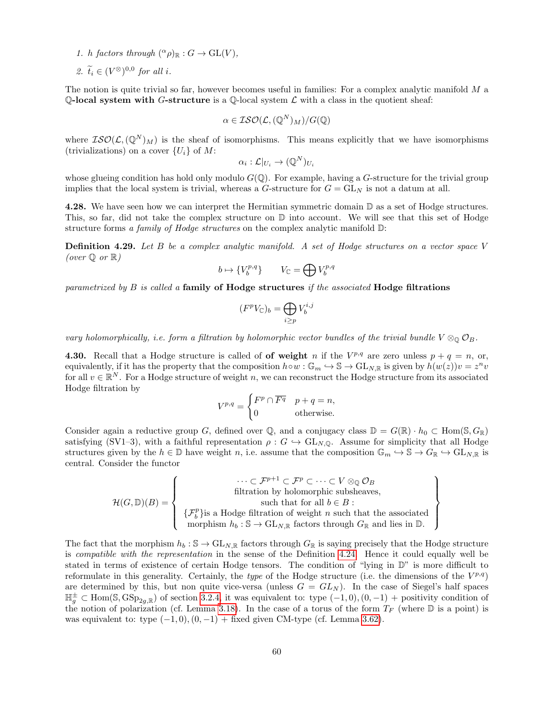- 1. h factors through  $({}^{\alpha}\rho)_{\mathbb{R}} : G \to GL(V)$ ,
- 2.  $\widetilde{t}_i \in (V^{\otimes})^{0,0}$  for all i.

The notion is quite trivial so far, however becomes useful in families: For a complex analytic manifold  $M$  a Q-local system with G-structure is a Q-local system  $\mathcal L$  with a class in the quotient sheaf:

$$
\alpha\in \mathcal{ISO}(\mathcal{L},(\mathbb{Q}^N)_M)/G(\mathbb{Q})
$$

where  $\mathcal{ISO}(\mathcal{L},(\mathbb{Q}^N)_M)$  is the sheaf of isomorphisms. This means explicitly that we have isomorphisms (trivializations) on a cover  $\{U_i\}$  of M:

$$
\alpha_i : \mathcal{L}|_{U_i} \to (\mathbb{Q}^N)_{U_i}
$$

whose glueing condition has hold only modulo  $G(\mathbb{Q})$ . For example, having a G-structure for the trivial group implies that the local system is trivial, whereas a  $G$ -structure for  $G = GL<sub>N</sub>$  is not a datum at all.

4.28. We have seen how we can interpret the Hermitian symmetric domain  $\mathbb D$  as a set of Hodge structures. This, so far, did not take the complex structure on  $\mathbb D$  into account. We will see that this set of Hodge structure forms a family of Hodge structures on the complex analytic manifold  $\mathbb{D}$ :

**Definition 4.29.** Let B be a complex analytic manifold. A set of Hodge structures on a vector space V (over  $\mathbb Q$  or  $\mathbb R$ )

$$
b\mapsto \{V^{p,q}_b\}\qquad V_{\mathbb C}=\bigoplus V^{p,q}_b
$$

parametrized by  $B$  is called a family of Hodge structures if the associated Hodge filtrations

$$
(F^p V_{\mathbb{C}})_b = \bigoplus_{i \ge p} V_b^{i,j}
$$

vary holomorphically, i.e. form a filtration by holomorphic vector bundles of the trivial bundle  $V \otimes_{\mathbb{Q}} \mathcal{O}_B$ .

**4.30.** Recall that a Hodge structure is called of **of weight** n if the  $V^{p,q}$  are zero unless  $p + q = n$ , or, equivalently, if it has the property that the composition  $h \circ w : \mathbb{G}_m \hookrightarrow \mathbb{S} \to GL_{N,\mathbb{R}}$  is given by  $h(w(z))v = z^n v$ for all  $v \in \mathbb{R}^N$ . For a Hodge structure of weight n, we can reconstruct the Hodge structure from its associated Hodge filtration by

$$
V^{p,q} = \begin{cases} F^p \cap \overline{F^q} & p+q=n, \\ 0 & \text{otherwise.} \end{cases}
$$

Consider again a reductive group G, defined over Q, and a conjugacy class  $\mathbb{D} = G(\mathbb{R}) \cdot h_0 \subset \text{Hom}(\mathbb{S}, G_{\mathbb{R}})$ satisfying (SV1–3), with a faithful representation  $\rho : G \hookrightarrow GL_{N,\mathbb{Q}}$ . Assume for simplicity that all Hodge structures given by the  $h \in \mathbb{D}$  have weight n, i.e. assume that the composition  $\mathbb{G}_m \hookrightarrow \mathbb{S} \to G_{\mathbb{R}} \hookrightarrow GL_{N,\mathbb{R}}$  is central. Consider the functor

$$
\mathcal{H}(G,\mathbb{D})(B) = \left\{ \begin{array}{c} \cdots \subset \mathcal{F}^{p+1} \subset \mathcal{F}^p \subset \cdots \subset V \otimes_{\mathbb{Q}} \mathcal{O}_B \\qquad \qquad \text{filtration by holomorphic subsheaves,} \\ \text{such that for all } b \in B : \\ \{ \mathcal{F}^p_b \} \text{is a Hodge filtration of weight } n \text{ such that the associated morphism } h_b: \mathbb{S} \to \text{GL}_{N,\mathbb{R}} \text{ factors through } G_{\mathbb{R}} \text{ and lies in } \mathbb{D}. \end{array} \right\}
$$

The fact that the morphism  $h_b : \mathbb{S} \to GL_{N,\mathbb{R}}$  factors through  $G_{\mathbb{R}}$  is saying precisely that the Hodge structure is compatible with the representation in the sense of the Definition [4.24.](#page-58-1) Hence it could equally well be stated in terms of existence of certain Hodge tensors. The condition of "lying in D" is more difficult to reformulate in this generality. Certainly, the type of the Hodge structure (i.e. the dimensions of the  $V^{p,q}$ ) are determined by this, but non quite vice-versa (unless  $G = GL_N$ ). In the case of Siegel's half spaces  $\mathbb{H}_g^{\pm} \subset \text{Hom}(\mathbb{S}, \text{GSp}_{2g,\mathbb{R}})$  of section [3.2.4,](#page-19-2) it was equivalent to: type  $(-1,0)$ ,  $(0,-1)$  + positivity condition of the notion of polarization (cf. Lemma [3.18\)](#page-21-1). In the case of a torus of the form  $T_F$  (where  $\mathbb D$  is a point) is was equivalent to: type  $(-1, 0), (0, -1)$  + fixed given CM-type (cf. Lemma [3.62\)](#page-43-0).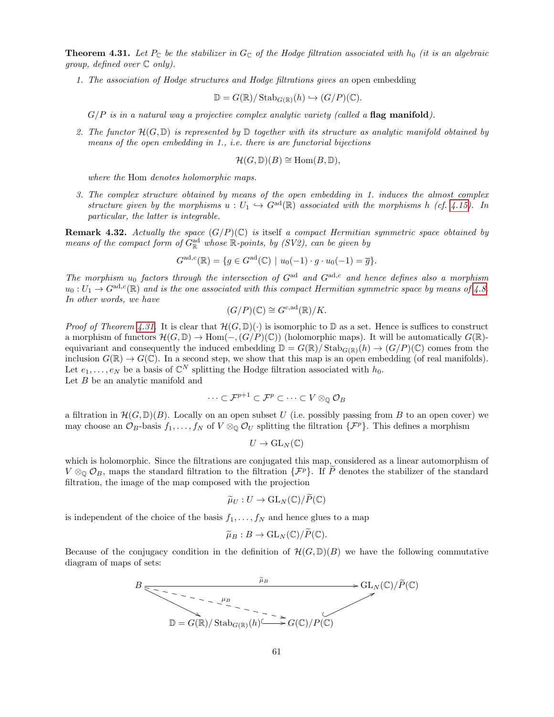<span id="page-60-0"></span>**Theorem 4.31.** Let  $P_{\mathbb{C}}$  be the stabilizer in  $G_{\mathbb{C}}$  of the Hodge filtration associated with  $h_0$  (it is an algebraic group, defined over  $\mathbb C$  only).

1. The association of Hodge structures and Hodge filtrations gives an open embedding

$$
\mathbb{D} = G(\mathbb{R})/\operatorname{Stab}_{G(\mathbb{R})}(h) \hookrightarrow (G/P)(\mathbb{C}).
$$

 $G/P$  is in a natural way a projective complex analytic variety (called a flag manifold).

2. The functor  $\mathcal{H}(G,\mathbb{D})$  is represented by  $\mathbb D$  together with its structure as analytic manifold obtained by means of the open embedding in 1., i.e. there is are functorial bijections

$$
\mathcal{H}(G,\mathbb{D})(B) \cong \text{Hom}(B,\mathbb{D}),
$$

where the Hom denotes holomorphic maps.

3. The complex structure obtained by means of the open embedding in 1. induces the almost complex structure given by the morphisms  $u : U_1 \hookrightarrow G^{ad}(\mathbb{R})$  associated with the morphisms h (cf. [4.15\)](#page-55-2). In particular, the latter is integrable.

**Remark 4.32.** Actually the space  $(G/P)(\mathbb{C})$  is itself a compact Hermitian symmetric space obtained by means of the compact form of  $G^{\text{ad}}_{\mathbb{R}}$  whose  $\mathbb{R}$ -points, by (SV2), can be given by

$$
G^{\mathrm{ad},c}(\mathbb{R}) = \{ g \in G^{\mathrm{ad}}(\mathbb{C}) \mid u_0(-1) \cdot g \cdot u_0(-1) = \overline{g} \}.
$$

The morphism  $u_0$  factors through the intersection of  $G^{ad}$  and  $G^{ad,c}$  and hence defines also a morphism  $u_0: U_1 \to G^{ad,c}(\mathbb{R})$  and is the one associated with this compact Hermitian symmetric space by means of [4.8.](#page-52-2) In other words, we have

$$
(G/P)(\mathbb{C}) \cong G^{c, \mathrm{ad}}(\mathbb{R})/K.
$$

*Proof of Theorem [4.31.](#page-60-0)* It is clear that  $\mathcal{H}(G,\mathbb{D})(\cdot)$  is isomorphic to  $\mathbb{D}$  as a set. Hence is suffices to construct a morphism of functors  $\mathcal{H}(G,\mathbb{D})\to \text{Hom}(-,(G/P)(\mathbb{C}))$  (holomorphic maps). It will be automatically  $G(\mathbb{R})$ equivariant and consequently the induced embedding  $\mathbb{D} = G(\mathbb{R})/\text{Stab}_{G(\mathbb{R})}(h) \to (G/P)(\mathbb{C})$  comes from the inclusion  $G(\mathbb{R}) \to G(\mathbb{C})$ . In a second step, we show that this map is an open embedding (of real manifolds). Let  $e_1, \ldots, e_N$  be a basis of  $\mathbb{C}^N$  splitting the Hodge filtration associated with  $h_0$ . Let  $B$  be an analytic manifold and

$$
\cdots\subset\mathcal{F}^{p+1}\subset\mathcal{F}^p\subset\cdots\subset V\otimes_\mathbb{Q}\mathcal{O}_B
$$

a filtration in  $\mathcal{H}(G,\mathbb{D})(B)$ . Locally on an open subset U (i.e. possibly passing from B to an open cover) we may choose an  $\mathcal{O}_B$ -basis  $f_1, \ldots, f_N$  of  $V \otimes_{\mathbb{Q}} \mathcal{O}_U$  splitting the filtration  $\{\mathcal{F}^p\}$ . This defines a morphism

$$
U\to \mathrm{GL}_N(\mathbb{C})
$$

which is holomorphic. Since the filtrations are conjugated this map, considered as a linear automorphism of  $V \otimes_{\mathbb{Q}} \mathcal{O}_B$ , maps the standard filtration to the filtration  $\{\mathcal{F}^p\}$ . If P denotes the stabilizer of the standard filtration, the image of the map composed with the projection

$$
\widetilde{\mu}_U: U \to \mathrm{GL}_N(\mathbb{C})/\widetilde{P}(\mathbb{C})
$$

is independent of the choice of the basis  $f_1, \ldots, f_N$  and hence glues to a map

$$
\widetilde{\mu}_B:B\to \mathrm{GL}_N(\mathbb{C})/\widetilde{P}(\mathbb{C}).
$$

Because of the conjugacy condition in the definition of  $\mathcal{H}(G,\mathbb{D})(B)$  we have the following commutative diagram of maps of sets:

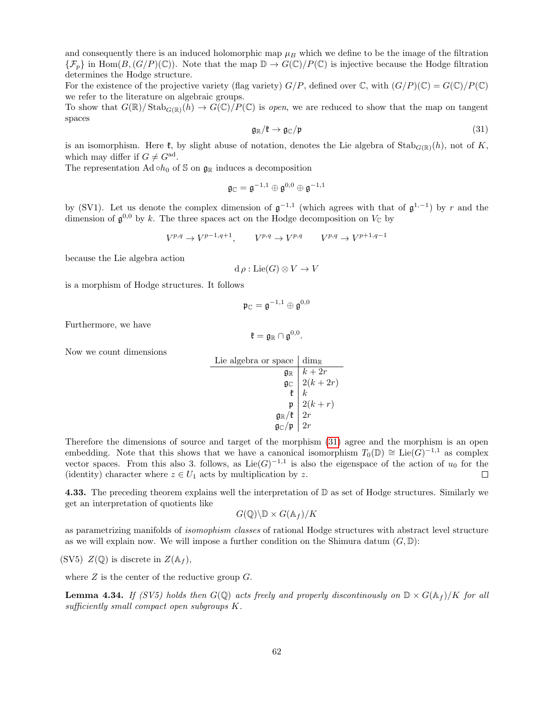and consequently there is an induced holomorphic map  $\mu_B$  which we define to be the image of the filtration  $\{\mathcal{F}_p\}$  in Hom $(B,(G/P)(\mathbb{C}))$ . Note that the map  $\mathbb{D} \to G(\mathbb{C})/P(\mathbb{C})$  is injective because the Hodge filtration determines the Hodge structure.

For the existence of the projective variety (flag variety)  $G/P$ , defined over C, with  $(G/P)(\mathbb{C}) = G(\mathbb{C})/P(\mathbb{C})$ we refer to the literature on algebraic groups.

To show that  $G(\mathbb{R})/\text{Stab}_{G(\mathbb{R})}(h) \to G(\mathbb{C})/P(\mathbb{C})$  is open, we are reduced to show that the map on tangent spaces

<span id="page-61-0"></span>
$$
\mathfrak{g}_{\mathbb{R}}/\mathfrak{k} \to \mathfrak{g}_{\mathbb{C}}/\mathfrak{p} \tag{31}
$$

is an isomorphism. Here  $\mathfrak{k}$ , by slight abuse of notation, denotes the Lie algebra of Stab<sub>G(R)</sub>(h), not of K, which may differ if  $G \neq G^{\text{ad}}$ .

The representation Ad  $\circ h_0$  of S on  $\mathfrak{g}_\mathbb{R}$  induces a decomposition

$$
\mathfrak{g}_\mathbb{C}=\mathfrak{g}^{-1,1}\oplus\mathfrak{g}^{0,0}\oplus\mathfrak{g}^{-1,1}
$$

by (SV1). Let us denote the complex dimension of  $\mathfrak{g}^{-1,1}$  (which agrees with that of  $\mathfrak{g}^{1,-1}$ ) by r and the dimension of  $\mathfrak{g}^{0,0}$  by k. The three spaces act on the Hodge decomposition on  $V_{\mathbb{C}}$  by

$$
V^{p,q} \to V^{p-1,q+1}, \qquad V^{p,q} \to V^{p,q} \qquad V^{p,q} \to V^{p+1,q-1}
$$

because the Lie algebra action

$$
d \rho : \text{Lie}(G) \otimes V \to V
$$

is a morphism of Hodge structures. It follows

$$
\mathfrak{p}_\mathbb{C}=\mathfrak{g}^{-1,1}\oplus\mathfrak{g}^{0,0}
$$

Furthermore, we have

$$
\mathfrak{k}=\mathfrak{g}_{\mathbb{R}}\cap \mathfrak{g}^{0,0}.
$$

Now we count dimensions

Lie algebra or space

\n
$$
\begin{array}{c|c}\n\text{Line algebra or space} & \text{dim}_{\mathbb{R}} \\
\hline\n\mathfrak{g}_{\mathbb{R}} & k + 2r \\
\hline\n\mathfrak{g}_{\mathbb{C}} & 2(k + 2r) \\
\hline\n\mathfrak{k} & k \\
\hline\n\mathfrak{g}_{\mathbb{R}}/\mathfrak{k} & 2(k + r) \\
\hline\n\mathfrak{g}_{\mathbb{R}}/\mathfrak{k} & 2r \\
\hline\n\mathfrak{g}_{\mathbb{C}}/\mathfrak{p} & 2r\n\end{array}
$$

Therefore the dimensions of source and target of the morphism [\(31\)](#page-61-0) agree and the morphism is an open embedding. Note that this shows that we have a canonical isomorphism  $T_0(\mathbb{D}) \cong \text{Lie}(\tilde{G})^{-1,1}$  as complex vector spaces. From this also 3. follows, as  $Lie(G)^{-1,1}$  is also the eigenspace of the action of  $u_0$  for the (identity) character where  $z \in U_1$  acts by multiplication by z.  $\Box$ 

**4.33.** The preceding theorem explains well the interpretation of  $D$  as set of Hodge structures. Similarly we get an interpretation of quotients like

$$
G(\mathbb{Q})\backslash\mathbb{D}\times G(\mathbb{A}_f)/K
$$

as parametrizing manifolds of isomophism classes of rational Hodge structures with abstract level structure as we will explain now. We will impose a further condition on the Shimura datum  $(G, \mathbb{D})$ :

(SV5)  $Z(\mathbb{Q})$  is discrete in  $Z(\mathbb{A}_f)$ ,

where  $Z$  is the center of the reductive group  $G$ .

**Lemma 4.34.** If (SV5) holds then  $G(\mathbb{Q})$  acts freely and properly discontinously on  $\mathbb{D} \times G(\mathbb{A}_f)/K$  for all sufficiently small compact open subgroups K.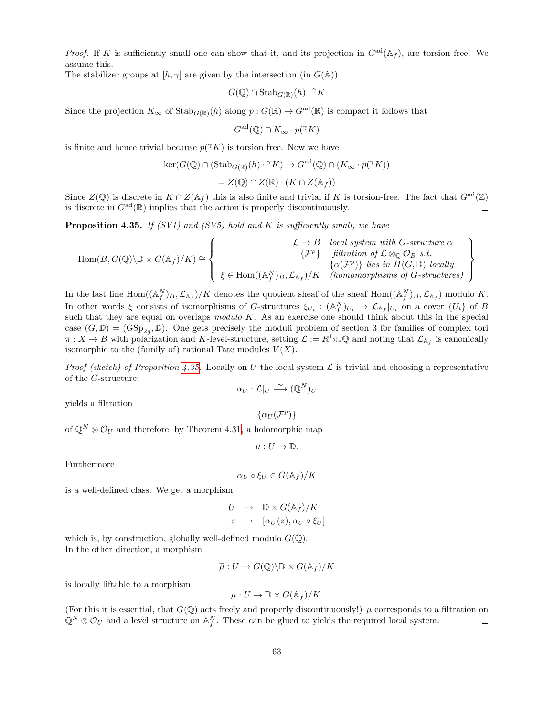*Proof.* If K is sufficiently small one can show that it, and its projection in  $G^{ad}(\mathbb{A}_f)$ , are torsion free. We assume this.

The stabilizer groups at  $[h, \gamma]$  are given by the intersection (in  $G(\mathbb{A}))$ 

$$
G(\mathbb{Q}) \cap \operatorname{Stab}_{G(\mathbb{R})}(h) \cdot {}^{\gamma} K
$$

Since the projection  $K_{\infty}$  of  $\mathrm{Stab}_{G(\mathbb{R})}(h)$  along  $p: G(\mathbb{R}) \to G^{\mathrm{ad}}(\mathbb{R})$  is compact it follows that

 $G^{\rm ad}(\mathbb{Q}) \cap K_\infty \cdot p(\gamma K)$ 

is finite and hence trivial because  $p(\gamma K)$  is torsion free. Now we have

$$
ker(G(\mathbb{Q}) \cap (Stab_{G(\mathbb{R})}(h) \cdot {}^{\gamma}K) \to G^{ad}(\mathbb{Q}) \cap (K_{\infty} \cdot p({}^{\gamma}K))
$$
  
=  $Z(\mathbb{Q}) \cap Z(\mathbb{R}) \cdot (K \cap Z(\mathbb{A}_f))$ 

Since  $Z(\mathbb{Q})$  is discrete in  $K \cap Z(\mathbb{A}_f)$  this is also finite and trivial if K is torsion-free. The fact that  $G^{\text{ad}}(\mathbb{Z})$ is discrete in  $G^{\text{ad}}(\mathbb{R})$  implies that the action is properly discontinuously.  $\Box$ 

<span id="page-62-0"></span>**Proposition 4.35.** If (SV1) and (SV5) hold and K is sufficiently small, we have

$$
\text{Hom}(B, G(\mathbb{Q})\backslash\mathbb{D}\times G(\mathbb{A}_f)/K) \cong \left\{\begin{array}{c}\mathcal{L} \to B \quad local \; system \; with \; G-structure \; \alpha \\ \{\mathcal{F}^p\} \quad \text{ filtration \; of} \; \mathcal{L} \otimes_{\mathbb{Q}} \mathcal{O}_B \; s.t. \\ \{\alpha(\mathcal{F}^p)\} \; lies \; in \; H(G, \mathbb{D}) \; locally \\ \xi \in \text{Hom}((\mathbb{A}_f^N)_B, \mathcal{L}_{\mathbb{A}_f})/K \quad (homomorphisms \; of \; G-structures) \end{array}\right\}
$$

In the last line  $\text{Hom}((\mathbb{A}_f^N)_B, \mathcal{L}_{\mathbb{A}_f})/K$  denotes the quotient sheaf of the sheaf  $\text{Hom}((\mathbb{A}_f^N)_B, \mathcal{L}_{\mathbb{A}_f})$  modulo K. In other words  $\xi$  consists of isomorphisms of G-structures  $\xi_{U_i} : (\mathbb{A}_f^N)_{U_i} \to \mathcal{L}_{\mathbb{A}_f}|_{U_i}$  on a cover  $\{U_i\}$  of B such that they are equal on overlaps  $modulo K$ . As an exercise one should think about this in the special case  $(G,\mathbb{D}) = (GSp_{2g}, \mathbb{D})$ . One gets precisely the moduli problem of section 3 for families of complex tori  $\pi: X \to B$  with polarization and K-level-structure, setting  $\mathcal{L} := R^1 \pi_* \mathbb{Q}$  and noting that  $\mathcal{L}_{A_f}$  is canonically isomorphic to the (family of) rational Tate modules  $V(X)$ .

*Proof (sketch) of Proposition [4.35.](#page-62-0)* Locally on U the local system  $\mathcal L$  is trivial and choosing a representative of the G-structure:

$$
\alpha_U : \mathcal{L}|_U \xrightarrow{\sim} (\mathbb{Q}^N)_U
$$

yields a filtration

$$
\{\alpha_U(\mathcal{F}^p)\}
$$

of  $\mathbb{Q}^N \otimes \mathcal{O}_U$  and therefore, by Theorem [4.31,](#page-60-0) a holomorphic map

$$
\mu: U \to \mathbb{D}.
$$

Furthermore

$$
\alpha_U \circ \xi_U \in G(\mathbb{A}_f)/K
$$

is a well-defined class. We get a morphism

$$
U \rightarrow \mathbb{D} \times G(\mathbb{A}_f)/K
$$
  

$$
z \rightarrow [\alpha_U(z), \alpha_U \circ \xi_U]
$$

which is, by construction, globally well-defined modulo  $G(\mathbb{Q})$ . In the other direction, a morphism

$$
\widetilde{\mu}: U \to G(\mathbb{Q}) \backslash \mathbb{D} \times G(\mathbb{A}_f)/K
$$

is locally liftable to a morphism

$$
\mu: U \to \mathbb{D} \times G(\mathbb{A}_f)/K.
$$

(For this it is essential, that  $G(\mathbb{Q})$  acts freely and properly discontinuously!)  $\mu$  corresponds to a filtration on  $\mathbb{Q}^N \otimes \mathcal{O}_U$  and a level structure on  $\mathbb{A}_f^N$ . These can be glued to yields the required local system.  $\Box$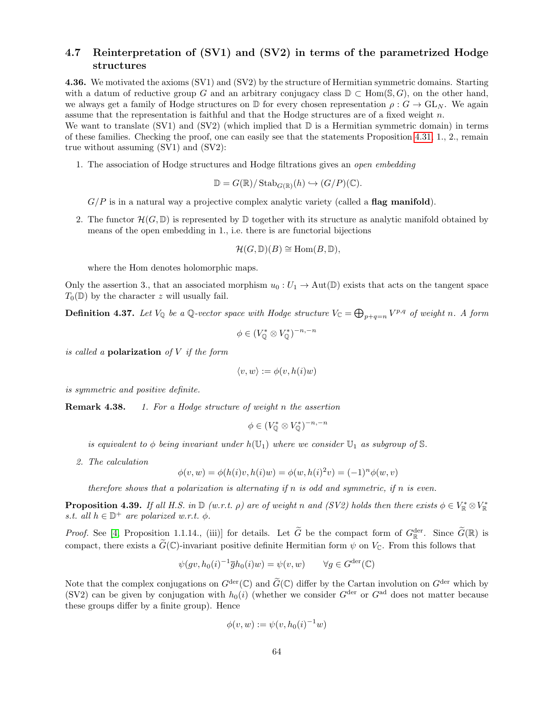### <span id="page-63-0"></span>4.7 Reinterpretation of (SV1) and (SV2) in terms of the parametrized Hodge structures

4.36. We motivated the axioms (SV1) and (SV2) by the structure of Hermitian symmetric domains. Starting with a datum of reductive group G and an arbitrary conjugacy class  $\mathbb{D} \subset \text{Hom}(\mathbb{S}, G)$ , on the other hand, we always get a family of Hodge structures on  $\mathbb D$  for every chosen representation  $\rho: G \to \text{GL}_N$ . We again assume that the representation is faithful and that the Hodge structures are of a fixed weight  $n$ .

We want to translate  $(SV1)$  and  $(SV2)$  (which implied that  $\mathbb D$  is a Hermitian symmetric domain) in terms of these families. Checking the proof, one can easily see that the statements Proposition [4.31,](#page-60-0) 1., 2., remain true without assuming (SV1) and (SV2):

1. The association of Hodge structures and Hodge filtrations gives an open embedding

$$
\mathbb{D} = G(\mathbb{R})/\operatorname{Stab}_{G(\mathbb{R})}(h) \hookrightarrow (G/P)(\mathbb{C}).
$$

 $G/P$  is in a natural way a projective complex analytic variety (called a **flag manifold)**.

2. The functor  $\mathcal{H}(G,\mathbb{D})$  is represented by  $\mathbb D$  together with its structure as analytic manifold obtained by means of the open embedding in 1., i.e. there is are functorial bijections

$$
\mathcal{H}(G,\mathbb{D})(B) \cong \text{Hom}(B,\mathbb{D}),
$$

where the Hom denotes holomorphic maps.

Only the assertion 3., that an associated morphism  $u_0: U_1 \to \text{Aut}(\mathbb{D})$  exists that acts on the tangent space  $T_0(\mathbb{D})$  by the character z will usually fail.

**Definition 4.37.** Let  $V_{\mathbb{Q}}$  be a  $\mathbb{Q}$ -vector space with Hodge structure  $V_{\mathbb{C}} = \bigoplus_{p+q=n} V^{p,q}$  of weight n. A form

$$
\phi \in (V_0^* \otimes V_0^*)^{-n,-n}
$$

is called a **polarization** of  $V$  if the form

$$
\langle v, w \rangle := \phi(v, h(i)w)
$$

is symmetric and positive definite.

**Remark 4.38.** 1. For a Hodge structure of weight n the assertion

$$
\phi \in (V^*_{\mathbb{O}} \otimes V^*_{\mathbb{O}})^{-n,-n}
$$

is equivalent to  $\phi$  being invariant under  $h(\mathbb{U}_1)$  where we consider  $\mathbb{U}_1$  as subgroup of S.

2. The calculation

$$
\phi(v, w) = \phi(h(i)v, h(i)w) = \phi(w, h(i)^{2}v) = (-1)^{n} \phi(w, v)
$$

therefore shows that a polarization is alternating if n is odd and symmetric, if n is even.

**Proposition 4.39.** If all H.S. in  $\mathbb{D}$  (w.r.t.  $\rho$ ) are of weight n and (SV2) holds then there exists  $\phi \in V_{\mathbb{R}}^* \otimes V_{\mathbb{R}}^*$ s.t. all  $h \in \mathbb{D}^+$  are polarized w.r.t.  $\phi$ .

*Proof.* See [\[4,](#page-70-1) Proposition 1.1.14., (iii)] for details. Let  $\tilde{G}$  be the compact form of  $G_{\mathbb{R}}^{\text{der}}$ . Since  $\tilde{G}(\mathbb{R})$  is compact, there exists a  $\widetilde{G}(\mathbb{C})$ -invariant positive definite Hermitian form  $\psi$  on  $V_{\mathbb{C}}$ . From this follows that

$$
\psi(gv, h_0(i)^{-1}\overline{g}h_0(i)w) = \psi(v, w) \qquad \forall g \in G^{\text{der}}(\mathbb{C})
$$

Note that the complex conjugations on  $G^{\text{der}}(\mathbb{C})$  and  $\widetilde{G}(\mathbb{C})$  differ by the Cartan involution on  $G^{\text{der}}$  which by (SV2) can be given by conjugation with  $h_0(i)$  (whether we consider  $G^{\text{der}}$  or  $G^{\text{ad}}$  does not matter because these groups differ by a finite group). Hence

$$
\phi(v, w) := \psi(v, h_0(i)^{-1}w)
$$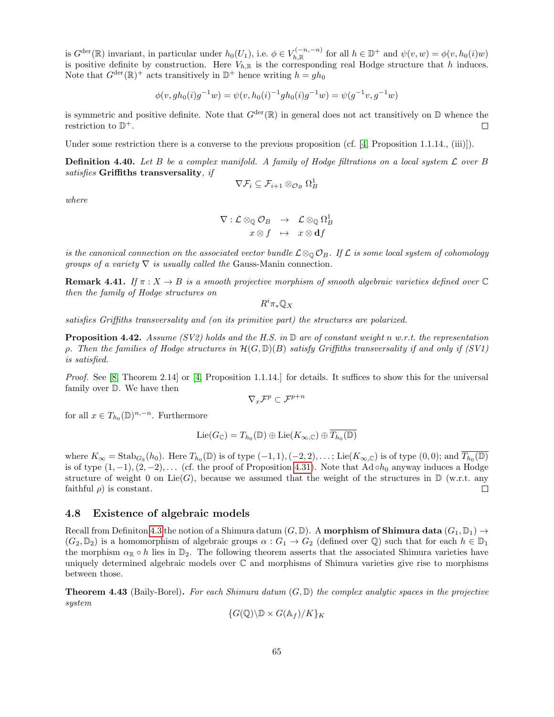is  $G^{\text{der}}(\mathbb{R})$  invariant, in particular under  $h_0(U_1)$ , i.e.  $\phi \in V_{h,\mathbb{R}}^{(-n,-n)}$  for all  $h \in \mathbb{D}^+$  and  $\psi(v,w) = \phi(v,h_0(i)w)$ is positive definite by construction. Here  $V_{h,\mathbb{R}}$  is the corresponding real Hodge structure that h induces. Note that  $G^{\text{der}}(\mathbb{R})^+$  acts transitively in  $\mathbb{D}^+$  hence writing  $h = gh_0$ 

$$
\phi(v, gh_0(i)g^{-1}w) = \psi(v, h_0(i)^{-1}gh_0(i)g^{-1}w) = \psi(g^{-1}v, g^{-1}w)
$$

is symmetric and positive definite. Note that  $G^{\text{der}}(\mathbb{R})$  in general does not act transitively on  $\mathbb D$  whence the restriction to  $\mathbb{D}^+$ .  $\Box$ 

Under some restriction there is a converse to the previous proposition (cf. [\[4,](#page-70-1) Proposition 1.1.14., (iii)]).

**Definition 4.40.** Let B be a complex manifold. A family of Hodge filtrations on a local system  $\mathcal{L}$  over B satisfies Griffiths transversality, if

$$
\nabla \mathcal{F}_i \subseteq \mathcal{F}_{i+1} \otimes_{\mathcal{O}_B} \Omega^1_B
$$

where

$$
\begin{array}{rcl}\nabla:\mathcal{L}\otimes_{\mathbb{Q}}\mathcal{O}_B&\rightarrow&\mathcal{L}\otimes_{\mathbb{Q}}\Omega^1_B\\
x\otimes f&\mapsto&x\otimes \mathbf{d} f\end{array}
$$

is the canonical connection on the associated vector bundle  $\mathcal{L}\otimes_{\mathbb{Q}}\mathcal{O}_B$ . If  $\mathcal{L}$  is some local system of cohomology groups of a variety  $\nabla$  is usually called the Gauss-Manin connection.

**Remark 4.41.** If  $\pi: X \to B$  is a smooth projective morphism of smooth algebraic varieties defined over  $\mathbb C$ then the family of Hodge structures on

 $R^i\pi_*\mathbb{Q}_X$ 

satisfies Griffiths transversality and (on its primitive part) the structures are polarized.

**Proposition 4.42.** Assume (SV2) holds and the H.S. in  $\mathbb{D}$  are of constant weight n w.r.t. the representation ρ. Then the families of Hodge structures in  $\mathcal{H}(G,\mathbb{D})(B)$  satisfy Griffiths transversality if and only if (SV1) is satisfied.

Proof. See [\[8,](#page-70-3) Theorem 2.14] or [\[4,](#page-70-1) Proposition 1.1.14.] for details. It suffices to show this for the universal family over D. We have then

$$
\nabla_x \mathcal{F}^p \subset \mathcal{F}^{p+n}
$$

for all  $x \in T_{h_0}(\mathbb{D})^{n,-n}$ . Furthermore

$$
\mathrm{Lie}(G_{\mathbb{C}}) = T_{h_0}(\mathbb{D}) \oplus \mathrm{Lie}(K_{\infty,\mathbb{C}}) \oplus \overline{T_{h_0}(\mathbb{D})}
$$

where  $K_{\infty} = \text{Stab}_{G_{\mathbb{R}}}(h_0)$ . Here  $T_{h_0}(\mathbb{D})$  is of type  $(-1, 1), (-2, 2), \ldots$ ; Lie $(K_{\infty, \mathbb{C}})$  is of type  $(0, 0)$ ; and  $\overline{T_{h_0}(\mathbb{D})}$ is of type  $(1, -1), (2, -2), \ldots$  (cf. the proof of Proposition [4.31\)](#page-60-0). Note that Ad ∘ $h_0$  anyway induces a Hodge structure of weight 0 on Lie(G), because we assumed that the weight of the structures in  $\mathbb{D}$  (w.r.t. any faithful  $\rho$ ) is constant.  $\Box$ 

### <span id="page-64-1"></span>4.8 Existence of algebraic models

Recall from Definiton [4.3](#page-50-1) the notion of a Shimura datum  $(G,\mathbb{D})$ . A **morphism of Shimura data**  $(G_1,\mathbb{D}_1) \rightarrow$  $(G_2,\mathbb{D}_2)$  is a homomorphism of algebraic groups  $\alpha: G_1 \to G_2$  (defined over  $\mathbb{Q}$ ) such that for each  $h \in \mathbb{D}_1$ the morphism  $\alpha_{\mathbb{R}} \circ h$  lies in  $\mathbb{D}_2$ . The following theorem asserts that the associated Shimura varieties have uniquely determined algebraic models over  $\mathbb C$  and morphisms of Shimura varieties give rise to morphisms between those.

<span id="page-64-0"></span>**Theorem 4.43** (Baily-Borel). For each Shimura datum  $(G, \mathbb{D})$  the complex analytic spaces in the projective system

$$
\{G(\mathbb{Q})\backslash \mathbb{D}\times G(\mathbb{A}_f)/K\}_K
$$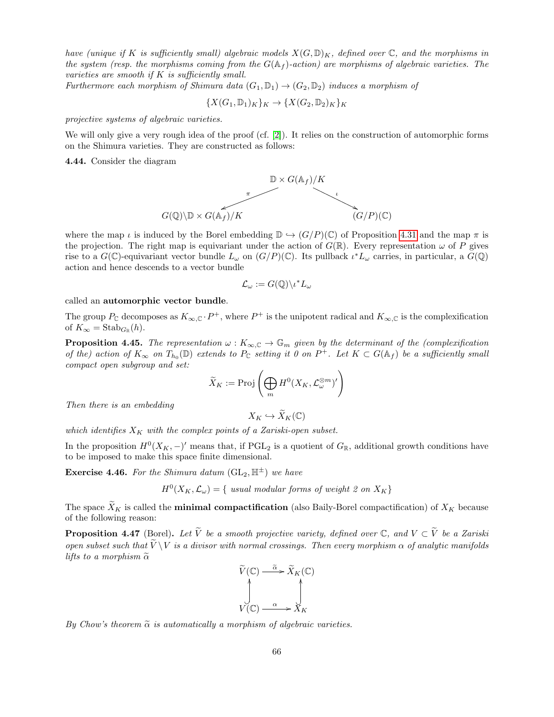have (unique if K is sufficiently small) algebraic models  $X(G, \mathbb{D})_K$ , defined over C, and the morphisms in the system (resp. the morphisms coming from the  $G(\mathbb{A}_f)$ -action) are morphisms of algebraic varieties. The varieties are smooth if  $K$  is sufficiently small.

Furthermore each morphism of Shimura data  $(G_1, \mathbb{D}_1) \rightarrow (G_2, \mathbb{D}_2)$  induces a morphism of

 ${X(G_1, \mathbb{D}_1)_K}_K \to {X(G_2, \mathbb{D}_2)_K}_K$ 

projective systems of algebraic varieties.

We will only give a very rough idea of the proof (cf. [\[2\]](#page-69-0)). It relies on the construction of automorphic forms on the Shimura varieties. They are constructed as follows:

4.44. Consider the diagram



where the map  $\iota$  is induced by the Borel embedding  $\mathbb{D} \hookrightarrow (G/P)(\mathbb{C})$  of Proposition [4.31](#page-60-0) and the map  $\pi$  is the projection. The right map is equivariant under the action of  $G(\mathbb{R})$ . Every representation  $\omega$  of P gives rise to a  $G(\mathbb{C})$ -equivariant vector bundle  $L_{\omega}$  on  $(G/P)(\mathbb{C})$ . Its pullback  $\iota^* L_{\omega}$  carries, in particular, a  $\widetilde{G}(\mathbb{Q})$ action and hence descends to a vector bundle

$$
\mathcal{L}_{\omega} := G(\mathbb{Q}) \backslash \iota^* L_{\omega}
$$

called an automorphic vector bundle.

The group  $P_{\mathbb{C}}$  decomposes as  $K_{\infty,\mathbb{C}} \cdot P^+$ , where  $P^+$  is the unipotent radical and  $K_{\infty,\mathbb{C}}$  is the complexification of  $K_{\infty} = \text{Stab}_{G_{\mathbb{R}}}(h)$ .

**Proposition 4.45.** The representation  $\omega : K_{\infty,\mathbb{C}} \to \mathbb{G}_m$  given by the determinant of the (complexification of the) action of  $K_{\infty}$  on  $T_{h_0}(\mathbb{D})$  extends to  $P_{\mathbb{C}}$  setting it 0 on  $P^+$ . Let  $K \subset G(\mathbb{A}_f)$  be a sufficiently small compact open subgroup and set:

$$
\widetilde{X}_K:=\mathrm{Proj}\left(\bigoplus_m H^0(X_K,\mathcal{L}_{\omega}^{\otimes m})'\right)
$$

Then there is an embedding

 $X_K \hookrightarrow \widetilde{X}_K(\mathbb{C})$ 

which identifies  $X_K$  with the complex points of a Zariski-open subset.

In the proposition  $H^0(X_K, -)$ ' means that, if  $PGL_2$  is a quotient of  $G_{\mathbb{R}}$ , additional growth conditions have to be imposed to make this space finite dimensional.

**Exercise 4.46.** For the Shimura datum  $(GL_2, \mathbb{H}^{\pm})$  we have

 $H^0(X_K, \mathcal{L}_\omega) = \{$  usual modular forms of weight 2 on  $X_K\}$ 

The space  $\tilde{X}_K$  is called the **minimal compactification** (also Baily-Borel compactification) of  $X_K$  because of the following reason:

**Proposition 4.47** (Borel). Let  $\widetilde{V}$  be a smooth projective variety, defined over  $\mathbb{C}$ , and  $V \subset \widetilde{V}$  be a Zariski open subset such that  $\overline{V} \backslash V$  is a divisor with normal crossings. Then every morphism  $\alpha$  of analytic manifolds lifts to a morphism  $\tilde{\alpha}$ 

$$
\widetilde{V}(\mathbb{C}) \xrightarrow{\tilde{\alpha}} \widetilde{X}_K(\mathbb{C})
$$
\n
$$
\downarrow \qquad \qquad \downarrow
$$
\n
$$
V(\mathbb{C}) \xrightarrow{\alpha} X_K
$$

By Chow's theorem  $\tilde{\alpha}$  is automatically a morphism of algebraic varieties.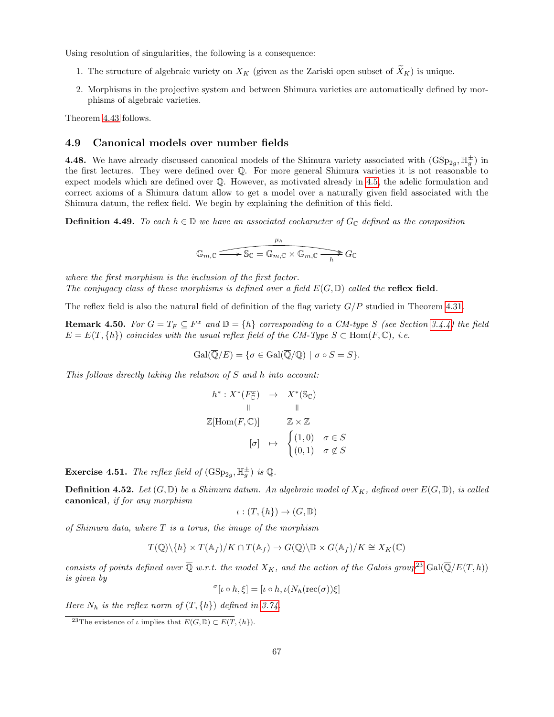Using resolution of singularities, the following is a consequence:

- 1. The structure of algebraic variety on  $X_K$  (given as the Zariski open subset of  $\widetilde{X}_K$ ) is unique.
- 2. Morphisms in the projective system and between Shimura varieties are automatically defined by morphisms of algebraic varieties.

Theorem [4.43](#page-64-0) follows.

### <span id="page-66-1"></span>4.9 Canonical models over number fields

**4.48.** We have already discussed canonical models of the Shimura variety associated with  $(GSp_{2g}, \mathbb{H}_{g}^{\pm})$  in the first lectures. They were defined over Q. For more general Shimura varieties it is not reasonable to expect models which are defined over Q. However, as motivated already in [4.5,](#page-50-2) the adelic formulation and correct axioms of a Shimura datum allow to get a model over a naturally given field associated with the Shimura datum, the reflex field. We begin by explaining the definition of this field.

**Definition 4.49.** To each  $h \in \mathbb{D}$  we have an associated cocharacter of  $G_{\mathbb{C}}$  defined as the composition

$$
\mathbb{G}_{m,\mathbb{C}} \xrightarrow{\mu_h} \mathbb{S}_{\mathbb{C}} = \mathbb{G}_{m,\mathbb{C}} \times \mathbb{G}_{m,\mathbb{C}} \xrightarrow{h} G_{\mathbb{C}}
$$

where the first morphism is the inclusion of the first factor. The conjugacy class of these morphisms is defined over a field  $E(G, \mathbb{D})$  called the **reflex field**.

The reflex field is also the natural field of definition of the flag variety  $G/P$  studied in Theorem [4.31.](#page-60-0)

**Remark 4.50.** For  $G = T_F \subseteq F^x$  and  $\mathbb{D} = \{h\}$  corresponding to a CM-type S (see Section [3.4.4\)](#page-43-2) the field  $E = E(T, \{h\})$  coincides with the usual reflex field of the CM-Type  $S \subset Hom(F, \mathbb{C}),$  i.e.

$$
\operatorname{Gal}(\overline{\mathbb{Q}}/E) = \{ \sigma \in \operatorname{Gal}(\overline{\mathbb{Q}}/\mathbb{Q}) \mid \sigma \circ S = S \}.
$$

This follows directly taking the relation of S and h into account:

$$
h^*: X^*(F_{\mathbb{C}}^x) \rightarrow X^*(\mathbb{S}_{\mathbb{C}})
$$
  
\n
$$
\parallel \qquad \parallel
$$
  
\n
$$
\mathbb{Z}[\text{Hom}(F, \mathbb{C})] \qquad \mathbb{Z} \times \mathbb{Z}
$$
  
\n
$$
[\sigma] \mapsto \begin{cases} (1,0) & \sigma \in S \\ (0,1) & \sigma \notin S \end{cases}
$$

**Exercise 4.51.** The reflex field of  $(GSp_{2g}, \mathbb{H}_g^{\pm})$  is  $\mathbb{Q}$ .

**Definition 4.52.** Let  $(G, \mathbb{D})$  be a Shimura datum. An algebraic model of  $X_K$ , defined over  $E(G, \mathbb{D})$ , is called canonical, if for any morphism

$$
\iota: (T, \{h\}) \to (G, \mathbb{D})
$$

of Shimura data, where  $T$  is a torus, the image of the morphism

$$
T(\mathbb{Q})\backslash\{h\}\times T(\mathbb{A}_f)/K\cap T(\mathbb{A}_f)\to G(\mathbb{Q})\backslash\mathbb{D}\times G(\mathbb{A}_f)/K\cong X_K(\mathbb{C})
$$

consists of points defined over  $\overline{Q}$  w.r.t. the model  $X_K$ , and the action of the Galois group<sup>[23](#page-66-0)</sup> Gal( $\overline{Q}/E(T, h)$ ) is given by

$$
{}^{\sigma}[\iota \circ h, \xi] = [\iota \circ h, \iota(N_h(\text{rec}(\sigma))\xi]
$$

Here  $N_h$  is the reflex norm of  $(T, \{h\})$  defined in [3.74.](#page-48-1)

<span id="page-66-0"></span><sup>&</sup>lt;sup>23</sup>The existence of  $\iota$  implies that  $E(G,\mathbb{D}) \subset E(T,\lbrace h \rbrace)$ .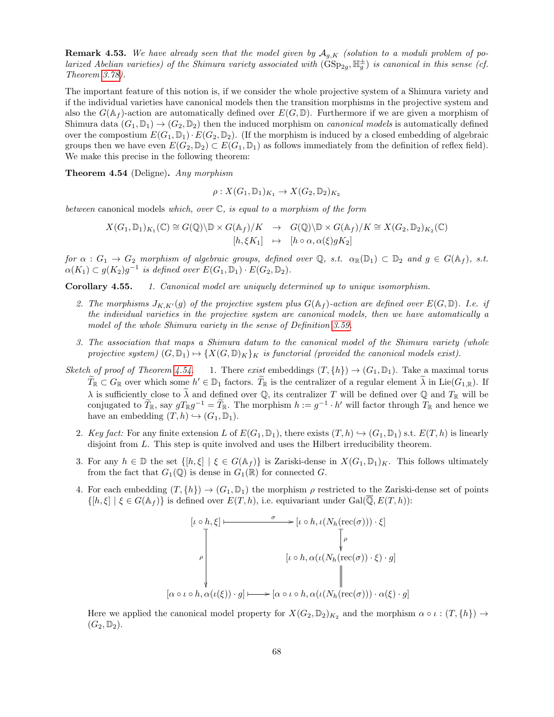**Remark 4.53.** We have already seen that the model given by  $A_{q,K}$  (solution to a moduli problem of polarized Abelian varieties) of the Shimura variety associated with  $(\text{GSp}_{2g}, \mathbb{H}_g^{\pm})$  is canonical in this sense (cf. Theorem [3.78\)](#page-49-2).

The important feature of this notion is, if we consider the whole projective system of a Shimura variety and if the individual varieties have canonical models then the transition morphisms in the projective system and also the  $G(\mathbb{A}_f)$ -action are automatically defined over  $E(G,\mathbb{D})$ . Furthermore if we are given a morphism of Shimura data  $(G_1, \mathbb{D}_1) \to (G_2, \mathbb{D}_2)$  then the induced morphism on *canonical models* is automatically defined over the compostium  $E(G_1, \mathbb{D}_1) \cdot E(G_2, \mathbb{D}_2)$ . (If the morphism is induced by a closed embedding of algebraic groups then we have even  $E(G_2, \mathbb{D}_2) \subset E(G_1, \mathbb{D}_1)$  as follows immediately from the definition of reflex field). We make this precise in the following theorem:

<span id="page-67-0"></span>Theorem 4.54 (Deligne). Any morphism

$$
\rho: X(G_1, \mathbb{D}_1)_{K_1} \to X(G_2, \mathbb{D}_2)_{K_2}
$$

between canonical models which, over  $\mathbb{C}$ , is equal to a morphism of the form

$$
X(G_1, \mathbb{D}_1)_{K_1}(\mathbb{C}) \cong G(\mathbb{Q}) \backslash \mathbb{D} \times G(\mathbb{A}_f)/K \rightarrow G(\mathbb{Q}) \backslash \mathbb{D} \times G(\mathbb{A}_f)/K \cong X(G_2, \mathbb{D}_2)_{K_2}(\mathbb{C})
$$

$$
[h, \xi K_1] \rightarrow [h \circ \alpha, \alpha(\xi) g K_2]
$$

for  $\alpha : G_1 \to G_2$  morphism of algebraic groups, defined over  $\mathbb{Q}$ , s.t.  $\alpha_{\mathbb{R}}(\mathbb{D}_1) \subset \mathbb{D}_2$  and  $g \in G(\mathbb{A}_f)$ , s.t.  $\alpha(K_1) \subset g(K_2)g^{-1}$  is defined over  $E(G_1, \mathbb{D}_1) \cdot E(G_2, \mathbb{D}_2)$ .

Corollary 4.55. 1. Canonical model are uniquely determined up to unique isomorphism.

- 2. The morphisms  $J_{K,K'}(g)$  of the projective system plus  $G(\mathbb{A}_f)$ -action are defined over  $E(G,\mathbb{D})$ . I.e. if the individual varieties in the projective system are canonical models, then we have automatically a model of the whole Shimura variety in the sense of Definition [3.59.](#page-42-1)
- 3. The association that maps a Shimura datum to the canonical model of the Shimura variety (whole projective system)  $(G, \mathbb{D}_1) \rightarrow \{X(G, \mathbb{D})_K\}_K$  is functorial (provided the canonical models exist).
- Sketch of proof of Theorem [4.54.](#page-67-0) 1. There exist embeddings  $(T, \{h\}) \rightarrow (G_1, \mathbb{D}_1)$ . Take a maximal torus  $\widetilde{T}_{\mathbb{R}} \subset G_{\mathbb{R}}$  over which some  $h' \in \mathbb{D}_1$  factors.  $\widetilde{T}_{\mathbb{R}}$  is the centralizer of a regular element  $\widetilde{\lambda}$  in Lie $(G_{1,\mathbb{R}})$ . If  $\lambda$  is sufficiently close to  $\tilde{\lambda}$  and defined over Q, its centralizer T will be defined over Q and  $T_{\mathbb{R}}$  will be conjugated to  $\widetilde{T}_{\mathbb{R}}$ , say  $gT_{\mathbb{R}}g^{-1} = \widetilde{T}_{\mathbb{R}}$ . The morphism  $h := g^{-1} \cdot h'$  will factor through  $T_{\mathbb{R}}$  and hence we have an embedding  $(T, h) \hookrightarrow (G_1, \mathbb{D}_1)$ .
	- 2. Key fact: For any finite extension L of  $E(G_1, \mathbb{D}_1)$ , there exists  $(T, h) \hookrightarrow (G_1, \mathbb{D}_1)$  s.t.  $E(T, h)$  is linearly disjoint from L. This step is quite involved and uses the Hilbert irreducibility theorem.
	- 3. For any  $h \in \mathbb{D}$  the set  $\{[h,\xi] \mid \xi \in G(\mathbb{A}_f)\}$  is Zariski-dense in  $X(G_1,\mathbb{D}_1)_K$ . This follows ultimately from the fact that  $G_1(\mathbb{Q})$  is dense in  $G_1(\mathbb{R})$  for connected G.
	- 4. For each embedding  $(T, \{h\}) \to (G_1, \mathbb{D}_1)$  the morphism  $\rho$  restricted to the Zariski-dense set of points  $\{[h,\xi] \mid \xi \in G(\mathbb{A}_f)\}\$ is defined over  $E(T, h)$ , i.e. equivariant under  $Gal(\overline{\mathbb{Q}}, E(T, h))$ :

$$
[\iota \circ h, \xi] \longmapsto [\iota \circ h, \iota(N_h(\text{rec}(\sigma))) \cdot \xi]
$$
\n
$$
\downarrow \qquad [\varphi \circ h, \alpha(\iota(N_h(\text{rec}(\sigma)) \cdot \xi) \cdot g]
$$
\n
$$
[\alpha \circ \iota \circ h, \alpha(\iota(\xi)) \cdot g] \longmapsto [\alpha \circ \iota \circ h, \alpha(\iota(N_h(\text{rec}(\sigma))) \cdot \alpha(\xi) \cdot g]
$$

Here we applied the canonical model property for  $X(G_2, \mathbb{D}_2)_{K_2}$  and the morphism  $\alpha \circ \iota : (T, \{h\}) \to$  $(G_2,\mathbb{D}_2).$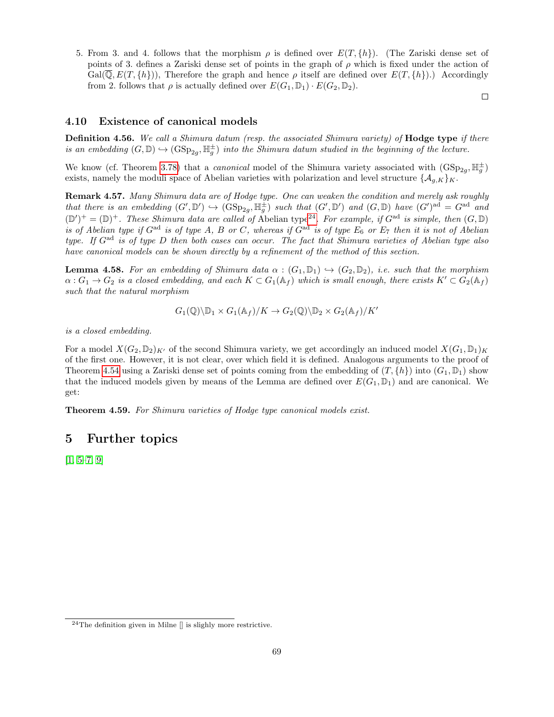5. From 3. and 4. follows that the morphism  $\rho$  is defined over  $E(T, \{h\})$ . (The Zariski dense set of points of 3. defines a Zariski dense set of points in the graph of  $\rho$  which is fixed under the action of  $Gal(\mathbb{Q}, E(T, \{h\}))$ , Therefore the graph and hence  $\rho$  itself are defined over  $E(T, \{h\})$ .) Accordingly from 2. follows that  $\rho$  is actually defined over  $E(G_1, \mathbb{D}_1) \cdot E(G_2, \mathbb{D}_2)$ .

 $\Box$ 

## <span id="page-68-1"></span>4.10 Existence of canonical models

**Definition 4.56.** We call a Shimura datum (resp. the associated Shimura variety) of **Hodge type** if there is an embedding  $(G, \mathbb{D}) \hookrightarrow (\text{GSp}_{2g}, \mathbb{H}_g^{\pm})$  into the Shimura datum studied in the beginning of the lecture.

We know (cf. Theorem [3.78\)](#page-49-2) that a *canonical* model of the Shimura variety associated with  $(GSp_{2g}, \mathbb{H}_g^{\pm})$ exists, namely the moduli space of Abelian varieties with polarization and level structure  $\{\mathcal{A}_{g,K}\}_K$ .

Remark 4.57. Many Shimura data are of Hodge type. One can weaken the condition and merely ask roughly that there is an embedding  $(G', \mathbb{D}') \hookrightarrow (\mathrm{GSp}_{2g}, \mathbb{H}_g^{\pm})$  such that  $(G', \mathbb{D}')$  and  $(G, \mathbb{D})$  have  $(G')^{\text{ad}} = G^{\text{ad}}$  and  $(\mathbb{D}')^+ = (\mathbb{D})^+$ . These Shimura data are called of Abelian type<sup>[24](#page-68-0)</sup>. For example, if  $G^{ad}$  is simple, then  $(G, \mathbb{D})$ is of Abelian type if  $G^{ad}$  is of type A, B or C, whereas if  $G^{ad}$  is of type  $E_6$  or  $E_7$  then it is not of Abelian type. If  $G^{ad}$  is of type D then both cases can occur. The fact that Shimura varieties of Abelian type also have canonical models can be shown directly by a refinement of the method of this section.

**Lemma 4.58.** For an embedding of Shimura data  $\alpha : (G_1, \mathbb{D}_1) \hookrightarrow (G_2, \mathbb{D}_2)$ , i.e. such that the morphism  $\alpha: G_1 \to G_2$  is a closed embedding, and each  $K \subset G_1(\mathbb{A}_f)$  which is small enough, there exists  $K' \subset G_2(\mathbb{A}_f)$ such that the natural morphism

$$
G_1(\mathbb{Q})\backslash \mathbb{D}_1 \times G_1(\mathbb{A}_f)/K \to G_2(\mathbb{Q})\backslash \mathbb{D}_2 \times G_2(\mathbb{A}_f)/K'
$$

is a closed embedding.

For a model  $X(G_2, \mathbb{D}_2)_{K'}$  of the second Shimura variety, we get accordingly an induced model  $X(G_1, \mathbb{D}_1)_{K}$ of the first one. However, it is not clear, over which field it is defined. Analogous arguments to the proof of Theorem [4.54](#page-67-0) using a Zariski dense set of points coming from the embedding of  $(T, \{h\})$  into  $(G_1, \mathbb{D}_1)$  show that the induced models given by means of the Lemma are defined over  $E(G_1, \mathbb{D}_1)$  and are canonical. We get:

Theorem 4.59. For Shimura varieties of Hodge type canonical models exist.

# <span id="page-68-2"></span>5 Further topics

 $[1, 5-7, 9]$  $[1, 5-7, 9]$  $[1, 5-7, 9]$  $[1, 5-7, 9]$ 

<span id="page-68-0"></span> $24$ The definition given in Milne  $\parallel$  is slighly more restrictive.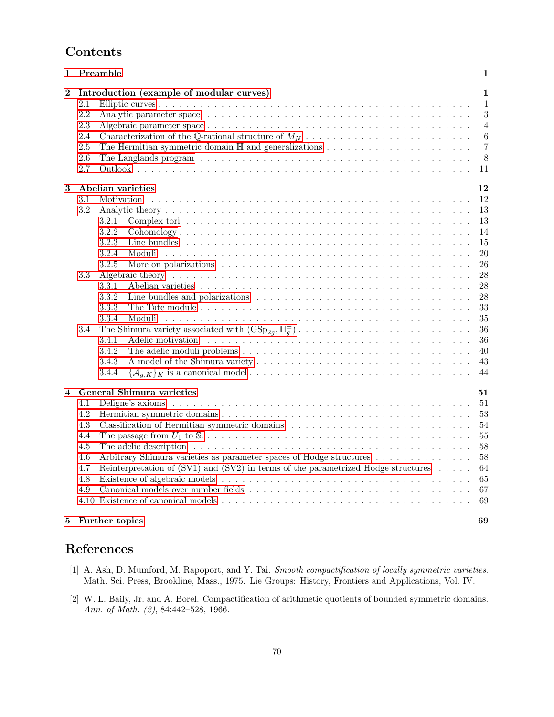# Contents

| 1              | Preamble                                                                                                                                                                                                                                                                                                                                                                                                                    | 1                                                                                                            |
|----------------|-----------------------------------------------------------------------------------------------------------------------------------------------------------------------------------------------------------------------------------------------------------------------------------------------------------------------------------------------------------------------------------------------------------------------------|--------------------------------------------------------------------------------------------------------------|
| $\overline{2}$ | Introduction (example of modular curves)<br>2.1<br>2.2<br>2.3<br>2.4<br>The Hermitian symmetric domain $\mathbb H$ and generalizations $\ldots \ldots \ldots \ldots \ldots \ldots \ldots$<br>2.5<br>2.6<br>2.7                                                                                                                                                                                                              | $\mathbf{1}$<br>1<br>3<br>4<br>6<br>$\overline{7}$<br>8<br>11                                                |
| 3              | Abelian varieties<br>Motivation<br>3.1<br>3.2<br>3.2.1<br>3.2.2<br>3.2.3<br>3.2.4<br>3.2.5<br>3.3<br>3.3.1<br>3.3.2<br>3.3.3<br>3.3.4<br>Moduli<br>3.4<br>3.4.1<br>Adelic motivation respectively and the set of the set of the set of the set of the set of the set of the set of the set of the set of the set of the set of the set of the set of the set of the set of the set of the set of<br>3.4.2<br>3.4.3<br>3.4.4 | $12\,$<br>12<br>13<br>13<br>14<br>15<br>20<br>26<br>28<br>28<br>28<br>33<br>35<br>36<br>36<br>40<br>43<br>44 |
| 4              | General Shimura varieties<br>4.1<br>4.2<br>4.3<br>Classification of Hermitian symmetric domains<br>4.4<br>4.5<br>Arbitrary Shimura varieties as parameter spaces of Hodge structures<br>4.6<br>Reinterpretation of (SV1) and (SV2) in terms of the parametrized Hodge structures $\dots$ .<br>4.7<br>4.8<br>4.9                                                                                                             | 51<br>51<br>53<br>54<br>55<br>58<br>58<br>64<br>65<br>67<br>69                                               |
| 5              | Further topics                                                                                                                                                                                                                                                                                                                                                                                                              | 69                                                                                                           |

# References

- <span id="page-69-1"></span>[1] A. Ash, D. Mumford, M. Rapoport, and Y. Tai. Smooth compactification of locally symmetric varieties. Math. Sci. Press, Brookline, Mass., 1975. Lie Groups: History, Frontiers and Applications, Vol. IV.
- <span id="page-69-0"></span>[2] W. L. Baily, Jr. and A. Borel. Compactification of arithmetic quotients of bounded symmetric domains. Ann. of Math. (2), 84:442–528, 1966.